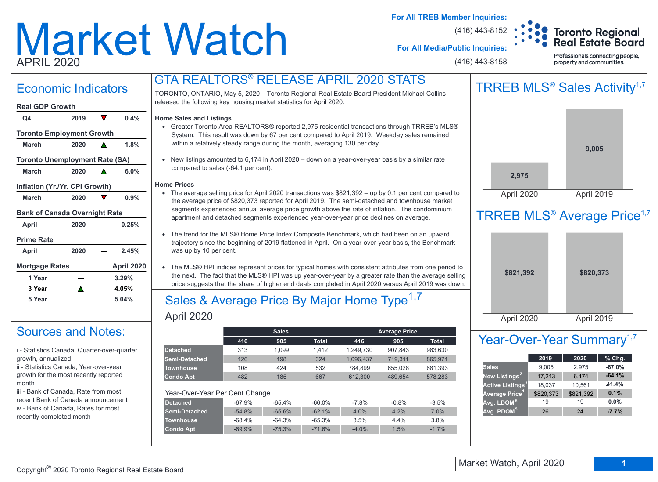# Market Watch APRIL 2020

**For All TREB Member Inquiries:**

(416) 443-8152



**For All Media/Public Inquiries:**

(416) 443-8158

Professionals connecting people, property and communities.

## Economic Indicators

#### **Real GDP Growth**

| Q4                                    | 2019 |   | 0.4%       |
|---------------------------------------|------|---|------------|
| <b>Toronto Employment Growth</b>      |      |   |            |
| March                                 | 2020 |   | 1.8%       |
| <b>Toronto Unemployment Rate (SA)</b> |      |   |            |
| March                                 | 2020 | А | 6.0%       |
| Inflation (Yr./Yr. CPI Growth)        |      |   |            |
| March                                 | 2020 |   | 0.9%       |
| <b>Bank of Canada Overnight Rate</b>  |      |   |            |
| April                                 | 2020 |   | 0.25%      |
| <b>Prime Rate</b>                     |      |   |            |
| April                                 | 2020 |   | 2.45%      |
| <b>Mortgage Rates</b>                 |      |   | April 2020 |
| 1 Year                                |      |   | 3.29%      |
| 3 Year                                |      |   | 4.05%      |

## Sources and Notes:

i - Statistics Canada, Quarter-over-quarter growth, annualized

**5 Year 5.04%**

ii - Statistics Canada, Year-over-year growth for the most recently reported month

iii - Bank of Canada, Rate from most recent Bank of Canada announcement iv - Bank of Canada, Rates for most recently completed month

TORONTO, ONTARIO, May 5, 2020 – Toronto Regional Real Estate Board President Michael Collins released the following key housing market statistics for April 2020:

GTA REALTORS® RELEASE APRIL 2020 STATS

#### **Home Sales and Listings**

- Greater Toronto Area REALTORS® reported 2,975 residential transactions through TRREB's MLS® System. This result was down by 67 per cent compared to April 2019. Weekday sales remained within a relatively steady range during the month, averaging 130 per day.
- New listings amounted to 6,174 in April 2020 down on a year-over-year basis by a similar rate compared to sales (-64.1 per cent).

#### **Home Prices**

- The average selling price for April 2020 transactions was \$821,392 up by 0.1 per cent compared to the average price of \$820,373 reported for April 2019. The semi-detached and townhouse market segments experienced annual average price growth above the rate of inflation. The condominium apartment and detached segments experienced year-over-year price declines on average.
- The trend for the MLS® Home Price Index Composite Benchmark, which had been on an upward trajectory since the beginning of 2019 flattened in April. On a year-over-year basis, the Benchmark was up by 10 per cent.
- The MLS® HPI indices represent prices for typical homes with consistent attributes from one period to the next. The fact that the MLS® HPI was up year-over-year by a greater rate than the average selling price suggests that the share of higher end deals completed in April 2020 versus April 2019 was down.

## April 2020 Sales & Average Price By Major Home Type<sup>1,7</sup>

|                                |          | <b>Sales</b> |              |           | <b>Average Price</b> |              |
|--------------------------------|----------|--------------|--------------|-----------|----------------------|--------------|
|                                | 416      | 905          | <b>Total</b> | 416       | 905                  | <b>Total</b> |
| <b>Detached</b>                | 313      | 1.099        | 1.412        | 1.249.730 | 907.843              | 983.630      |
| Semi-Detached                  | 126      | 198          | 324          | 1,096,437 | 719,311              | 865.971      |
| <b>Townhouse</b>               | 108      | 424          | 532          | 784.899   | 655.028              | 681.393      |
| <b>Condo Apt</b>               | 482      | 185          | 667          | 612.300   | 489.654              | 578.283      |
|                                |          |              |              |           |                      |              |
| Year-Over-Year Per Cent Change |          |              |              |           |                      |              |
| <b>Detached</b>                | $-67.9%$ | $-65.4%$     | $-66.0%$     | $-7.8%$   | $-0.8%$              | $-3.5%$      |
| Semi-Detached                  | $-54.8%$ | $-65.6%$     | $-62.1%$     | 4.0%      | 4.2%                 | 7.0%         |
| <b>Townhouse</b>               | $-68.4%$ | $-64.3%$     | $-65.3%$     | 3.5%      | $4.4\%$              | 3.8%         |
| <b>Condo Apt</b>               | $-69.9%$ | $-75.3%$     | $-71.6%$     | $-4.0%$   | 1.5%                 | $-1.7%$      |
|                                |          |              |              |           |                      |              |





## TRREB MLS<sup>®</sup> Average Price<sup>1,7</sup>

| \$821,392  | \$820,373  |  |
|------------|------------|--|
| April 2020 | April 2019 |  |

## Year-Over-Year Summary<sup>1,7</sup>

|                                    | 2019      | 2020      | $%$ Chg. |
|------------------------------------|-----------|-----------|----------|
| <b>Sales</b>                       | 9,005     | 2,975     | $-67.0%$ |
| New Listings <sup>2</sup>          | 17,213    | 6,174     | $-64.1%$ |
| <b>Active Listings<sup>3</sup></b> | 18,037    | 10,561    | 41.4%    |
| Average Price <sup>1</sup>         | \$820,373 | \$821,392 | 0.1%     |
| Avg. LDOM <sup>51</sup>            | 19        | 19        | 0.0%     |
| Avg. PDOM <sup>51</sup>            | 26        | 24        | $-7.7%$  |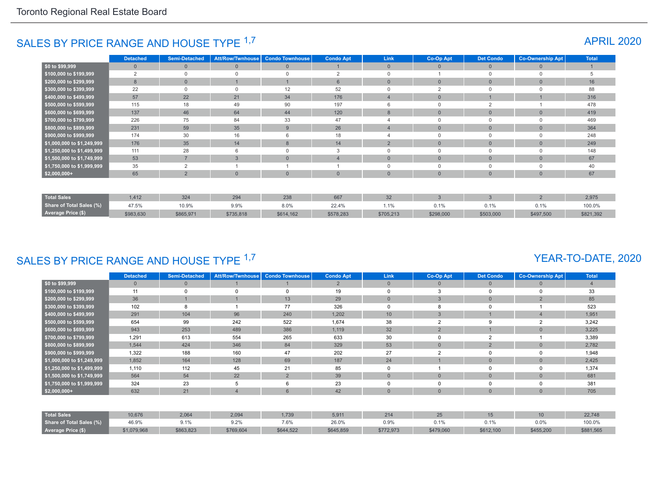## SALES BY PRICE RANGE AND HOUSE TYPE <sup>1,7</sup> APRIL 2020

|                            | <b>Detached</b> | <b>Semi-Detached</b> | <b>Att/Row/Twnhouse</b> | <b>Condo Townhouse</b> | <b>Condo Apt</b> | Link            | Co-Op Apt    | <b>Det Condo</b> | <b>Co-Ownership Apt</b> | <b>Total</b> |
|----------------------------|-----------------|----------------------|-------------------------|------------------------|------------------|-----------------|--------------|------------------|-------------------------|--------------|
| $$0$ to \$99,999           | $\mathbf{0}$    | $\Omega$             | $\mathbf{0}$            | $\mathbf{0}$           |                  | $\mathbf{0}$    | $\Omega$     | $\overline{0}$   | $\Omega$                |              |
| \$100,000 to \$199,999     | $\overline{2}$  |                      |                         | $\Omega$               | $\overline{2}$   |                 |              | $\Omega$         |                         |              |
| \$200,000 to \$299,999     | 8               | $\Omega$             |                         |                        | 6                | $\Omega$        | $\Omega$     | $\mathbf{0}$     | $\Omega$                | 16           |
| \$300,000 to \$399,999     | 22              |                      |                         | 12                     | 52               |                 | $\Omega$     |                  |                         | 88           |
| \$400,000 to \$499,999     | 57              | 22                   | 21                      | 34                     | 176              |                 | $\mathbf{0}$ |                  |                         | 316          |
| \$500,000 to \$599,999     | 115             | 18                   | 49                      | 90                     | 197              | 6               | $\Omega$     | 2                |                         | 478          |
| \$600,000 to \$699,999     | 137             | 46                   | 64                      | 44                     | 120              | 8               | $\mathbf{0}$ | $\bf 0$          | $\Omega$                | 419          |
| \$700,000 to \$799,999     | 226             | 75                   | 84                      | 33                     | 47               |                 | $\Omega$     | $\mathbf 0$      |                         | 469          |
| \$800,000 to \$899,999     | 231             | 59                   | 35                      | 9                      | 26               |                 | $\mathbf{0}$ | $\mathbf{0}$     | $\Omega$                | 364          |
| \$900,000 to \$999,999     | 174             | 30                   | 16                      | 6                      | 18               |                 | $\Omega$     | $\Omega$         |                         | 248          |
| \$1,000,000 to \$1,249,999 | 176             | 35                   | 14                      | 8                      | 14               | $\overline{2}$  | $\mathbf{0}$ | $\mathbf{0}$     | $\Omega$                | 249          |
| \$1,250,000 to \$1,499,999 | 111             | 28                   | 6                       | $\Omega$               | 3                | 0               | $\mathbf 0$  | $\overline{0}$   | $\Omega$                | 148          |
| \$1,500,000 to \$1,749,999 | 53              | $\overline{ }$       | 3                       | $\overline{0}$         | $\overline{4}$   | $\overline{0}$  | $\mathbf{0}$ | $\mathbf{0}$     | $\Omega$                | 67           |
| \$1,750,000 to \$1,999,999 | 35              | $\overline{2}$       |                         |                        |                  | 0               | $\Omega$     | $\overline{0}$   |                         | 40           |
| $$2,000,000+$              | 65              | $\overline{2}$       | $\Omega$                | $\overline{0}$         | $\overline{0}$   | $\Omega$        | $\Omega$     | $\mathbf{0}$     | $\Omega$                | 67           |
|                            |                 |                      |                         |                        |                  |                 |              |                  |                         |              |
| <b>Total Sales</b>         | 1,412           | 324                  | 294                     | 238                    | 667              | 32 <sup>°</sup> | 3            | $\mathbf{3}$     | $\overline{2}$          | 2,975        |
| Share of Total Sales (%)   | 47.5%           | 10.9%                | 9.9%                    | 8.0%                   | 22.4%            | 1.1%            | 0.1%         | 0.1%             | 0.1%                    | 100.0%       |
| Average Price (\$)         | \$983,630       | \$865,971            | \$735,818               | \$614,162              | \$578,283        | \$705,213       | \$298,000    | \$503,000        | \$497,500               | \$821,392    |

## SALES BY PRICE RANGE AND HOUSE TYPE 1,7

## YEAR-TO-DATE, 2020

|                            | <b>Detached</b> | <b>Semi-Detached</b> | <b>Att/Row/Twnhouse</b> | <b>Condo Townhouse</b> | <b>Condo Apt</b> | Link           | Co-Op Apt      | <b>Det Condo</b> | <b>Co-Ownership Apt</b> | <b>Total</b>   |
|----------------------------|-----------------|----------------------|-------------------------|------------------------|------------------|----------------|----------------|------------------|-------------------------|----------------|
| \$0 to \$99,999            | $\overline{0}$  | $\mathbf{0}$         |                         |                        | $\overline{2}$   | $\overline{0}$ | 0              | $\mathbf{0}$     | $\Omega$                | $\overline{4}$ |
| \$100,000 to \$199,999     | 11              | $\Omega$             | $\Omega$                | $\Omega$               | 19               | 0              | 3              | 0                | 0                       | 33             |
| \$200,000 to \$299,999     | 36              |                      |                         | 13                     | 29               | $\mathbf{0}$   | 3              | $\overline{0}$   | $\overline{2}$          | 85             |
| \$300,000 to \$399,999     | 102             | 8                    |                         | 77                     | 326              | 0              | 8              |                  |                         | 523            |
| \$400,000 to \$499,999     | 291             | 104                  | 96                      | 240                    | 1,202            | 10             | 3              |                  |                         | 1,951          |
| \$500,000 to \$599,999     | 654             | 99                   | 242                     | 522                    | 1,674            | 38             | $\sim$         | 9                |                         | 3,242          |
| \$600,000 to \$699,999     | 943             | 253                  | 489                     | 386                    | 1,119            | 32             | $\overline{2}$ |                  | $\Omega$                | 3,225          |
| \$700,000 to \$799,999     | 1,291           | 613                  | 554                     | 265                    | 633              | 30             |                | $\overline{2}$   |                         | 3,389          |
| \$800,000 to \$899,999     | 1,544           | 424                  | 346                     | 84                     | 329              | 53             | $\overline{0}$ | $\overline{2}$   | $\overline{0}$          | 2,782          |
| \$900,000 to \$999,999     | 1,322           | 188                  | 160                     | 47                     | 202              | 27             | $\overline{2}$ |                  | 0                       | 1,948          |
| \$1,000,000 to \$1,249,999 | 1,852           | 164                  | 128                     | 69                     | 187              | 24             |                | $\Omega$         | $\Omega$                | 2,425          |
| \$1,250,000 to \$1,499,999 | 1,110           | 112                  | 45                      | 21                     | 85               | $\Omega$       |                |                  | 0                       | 1,374          |
| \$1,500,000 to \$1,749,999 | 564             | 54                   | 22                      | $\overline{2}$         | 39               | $\Omega$       | $\overline{0}$ | $\mathbf{0}$     | $\Omega$                | 681            |
| \$1,750,000 to \$1,999,999 | 324             | 23                   | 5                       | 6                      | 23               | 0              |                |                  | 0                       | 381            |
| $$2,000,000+$              | 632             | 21                   | Δ                       | 6                      | 42               | $\mathbf{0}$   | $\overline{0}$ | $\Omega$         | $\overline{0}$          | 705            |
|                            |                 |                      |                         |                        |                  |                |                |                  |                         |                |
| <b>Total Sales</b>         | 10,676          | 2,064                | 2,094                   | 1,739                  | 5,911            | 214            | 25             | 15               | 10 <sup>°</sup>         | 22,748         |
| Share of Total Sales (%)   | 46.9%           | 9.1%                 | 9.2%                    | 7.6%                   | 26.0%            | 0.9%           | 0.1%           | 0.1%             | 0.0%                    | 100.0%         |
| Average Price (\$)         | \$1,079,968     | \$863,823            | \$769,604               | \$644,522              | \$645,859        | \$772,973      | \$479,060      | \$612,100        | \$455,200               | \$881,565      |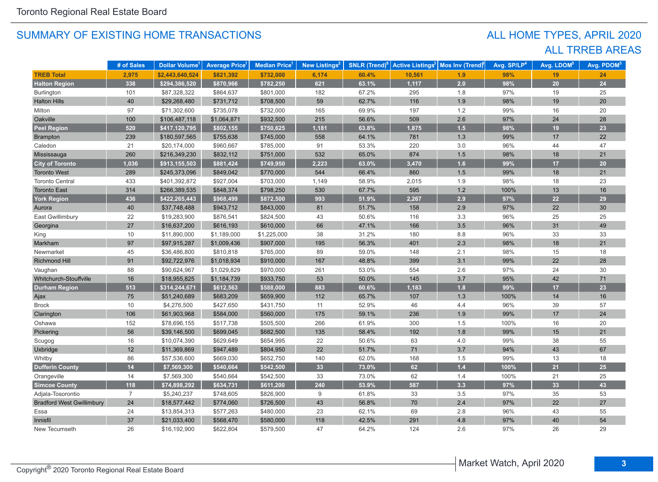## ALL TRREB AREAS ALL HOME TYPES, APRIL 2020

|                                  | # of Sales     | Dollar Volume <sup>1</sup> | <b>Average Price</b> | <b>Median Price</b> | <b>New Listings</b> | <b>SNLR</b> (Trend) <sup>8</sup> | <b>Active Listings<sup>3</sup></b> | Mos Inv (Trend) | Avg. SP/LP <sup>4</sup> | Avg. LDOM <sup>5</sup> | Avg. PDOM <sup>5</sup> |
|----------------------------------|----------------|----------------------------|----------------------|---------------------|---------------------|----------------------------------|------------------------------------|-----------------|-------------------------|------------------------|------------------------|
| <b>TREB Total</b>                | 2,975          | \$2.443.640.524            | \$821,392            | \$732,000           | 6,174               | 60.4%                            | 10,561                             | 1.9             | 98%                     | 19                     | 24                     |
| <b>Halton Region</b>             | 338            | \$294,386,520              | \$870,966            | \$782,250           | 621                 | 63.1%                            | 1,117                              | 2.0             | 98%                     | 20                     | 24                     |
| Burlington                       | 101            | \$87,328,322               | \$864,637            | \$801,000           | 182                 | 67.2%                            | 295                                | 1.8             | 97%                     | 19                     | 25                     |
| <b>Halton Hills</b>              | 40             | \$29,268,480               | \$731,712            | \$708,500           | 59                  | 62.7%                            | 116                                | 1.9             | 98%                     | 19                     | 20                     |
| Milton                           | 97             | \$71,302,600               | \$735,078            | \$732,000           | 165                 | 69.9%                            | 197                                | 1.2             | 99%                     | 16                     | 20                     |
| Oakville                         | 100            | \$106,487,118              | \$1,064,871          | \$932,500           | 215                 | 56.6%                            | 509                                | 2.6             | 97%                     | 24                     | 28                     |
| <b>Peel Region</b>               | 520            | \$417,120,795              | \$802,155            | \$750,625           | 1,181               | 63.8%                            | 1,875                              | 1.5             | 98%                     | 19                     | 23                     |
| <b>Brampton</b>                  | 239            | \$180,597,565              | \$755,638            | \$745,000           | 558                 | 64.1%                            | 781                                | 1.3             | 99%                     | 17                     | 22                     |
| Caledon                          | 21             | \$20,174,000               | \$960,667            | \$785,000           | 91                  | 53.3%                            | 220                                | 3.0             | 96%                     | 44                     | 47                     |
| Mississauga                      | 260            | \$216,349,230              | \$832,112            | \$751,000           | 532                 | 65.0%                            | 874                                | 1.5             | 98%                     | 18                     | 21                     |
| <b>City of Toronto</b>           | 1,036          | \$913,155,503              | \$881,424            | \$749,950           | 2,223               | 63.0%                            | 3,470                              | 1.6             | 99%                     | 17                     | 20                     |
| <b>Toronto West</b>              | 289            | \$245,373,096              | \$849,042            | \$770,000           | 544                 | 66.4%                            | 860                                | 1.5             | 99%                     | 18                     | 21                     |
| <b>Toronto Central</b>           | 433            | \$401,392,872              | \$927,004            | \$703,000           | 1,149               | 58.9%                            | 2,015                              | 1.9             | 98%                     | 18                     | 23                     |
| <b>Toronto East</b>              | 314            | \$266,389,535              | \$848,374            | \$798,250           | 530                 | 67.7%                            | 595                                | $1.2$           | 100%                    | 13                     | 16                     |
| <b>York Region</b>               | 436            | \$422,265,443              | \$968,499            | \$872,500           | 993                 | 51.9%                            | 2,267                              | 2.9             | 97%                     | 22                     | 29                     |
| Aurora                           | 40             | \$37,748,488               | \$943,712            | \$843,000           | 81                  | 51.7%                            | 158                                | 2.9             | 97%                     | 22                     | 30                     |
| East Gwillimbury                 | 22             | \$19,283,900               | \$876,541            | \$824,500           | 43                  | 50.6%                            | 116                                | 3.3             | 96%                     | 25                     | 25                     |
| Georgina                         | 27             | \$16,637,200               | \$616,193            | \$610,000           | 66                  | 47.1%                            | 166                                | 3.5             | 96%                     | 31                     | 49                     |
| King                             | 10             | \$11,890,000               | \$1,189,000          | \$1,225,000         | 38                  | 31.2%                            | 180                                | 8.8             | 96%                     | 33                     | 33                     |
| Markham                          | 97             | \$97,915,287               | \$1,009,436          | \$907,000           | 195                 | 56.3%                            | 401                                | 2.3             | 98%                     | 18                     | 21                     |
| Newmarket                        | 45             | \$36,486,800               | \$810,818            | \$765,000           | 89                  | 59.0%                            | 148                                | 2.1             | 98%                     | 15                     | 18                     |
| Richmond Hill                    | 91             | \$92,722,976               | \$1,018,934          | \$910,000           | 167                 | 48.8%                            | 399                                | 3.1             | 99%                     | 22                     | 28                     |
| Vaughan                          | 88             | \$90,624,967               | \$1,029,829          | \$970,000           | 261                 | 53.0%                            | 554                                | 2.6             | 97%                     | 24                     | 30                     |
| Whitchurch-Stouffville           | 16             | \$18,955,825               | \$1,184,739          | \$933,750           | 53                  | 50.0%                            | 145                                | 3.7             | 95%                     | 42                     | 71                     |
| <b>Durham Region</b>             | 513            | \$314,244,671              | \$612,563            | \$588,000           | 883                 | 60.6%                            | 1,183                              | 1.8             | 99%                     | 17                     | 23                     |
| Ajax                             | 75             | \$51,240,689               | \$683,209            | \$659,900           | 112                 | 65.7%                            | 107                                | 1.3             | 100%                    | 14                     | 16                     |
| <b>Brock</b>                     | 10             | \$4,276,500                | \$427,650            | \$431,750           | 11                  | 52.9%                            | 46                                 | 4.4             | 96%                     | 39                     | 57                     |
| Clarington                       | 106            | \$61,903,968               | \$584,000            | \$560,000           | 175                 | 59.1%                            | 236                                | 1.9             | 99%                     | 17                     | 24                     |
| Oshawa                           | 152            | \$78,696,155               | \$517,738            | \$505,500           | 266                 | 61.9%                            | 300                                | 1.5             | 100%                    | 16                     | 20                     |
| Pickering                        | 56             | \$39,146,500               | \$699,045            | \$682,500           | 135                 | 58.4%                            | 192                                | 1.8             | 99%                     | 15                     | 21                     |
| Scugog                           | 16             | \$10,074,390               | \$629,649            | \$654,995           | 22                  | 50.6%                            | 63                                 | 4.0             | 99%                     | 38                     | 55                     |
| Uxbridge                         | 12             | \$11,369,869               | \$947,489            | \$804,950           | 22                  | 51.7%                            | 71                                 | 3.7             | 94%                     | 43                     | 67                     |
| Whitby                           | 86             | \$57,536,600               | \$669,030            | \$652,750           | 140                 | 62.0%                            | 168                                | 1.5             | 99%                     | 13                     | 18                     |
| <b>Dufferin County</b>           | 14             | \$7,569,300                | \$540,664            | \$542,500           | 33                  | 73.0%                            | 62                                 | $1.4$           | 100%                    | 21                     | 25                     |
| Orangeville                      | 14             | \$7,569,300                | \$540,664            | \$542,500           | 33                  | 73.0%                            | 62                                 | 1.4             | 100%                    | 21                     | 25                     |
| <b>Simcoe County</b>             | 118            | \$74,898,292               | \$634,731            | \$611,200           | 240                 | 53.9%                            | 587                                | 3.3             | 97%                     | 33                     | 43                     |
| Adjala-Tosorontio                | $\overline{7}$ | \$5,240,237                | \$748,605            | \$826,900           | 9                   | 61.8%                            | 33                                 | 3.5             | 97%                     | 35                     | 53                     |
| <b>Bradford West Gwillimbury</b> | 24             | \$18,577,442               | \$774,060            | \$726,500           | 43                  | 56.8%                            | 70                                 | 2.4             | 97%                     | 22                     | 27                     |
| Essa                             | 24             | \$13,854,313               | \$577,263            | \$480,000           | 23                  | 62.1%                            | 69                                 | 2.8             | 96%                     | 43                     | 55                     |
| Innisfil                         | 37             | \$21,033,400               | \$568,470            | \$580,000           | 118                 | 42.5%                            | 291                                | 4.8             | 97%                     | 40                     | 54                     |
| New Tecumseth                    | 26             | \$16,192,900               | \$622,804            | \$579,500           | 47                  | 64.2%                            | 124                                | 2.6             | 97%                     | 26                     | 29                     |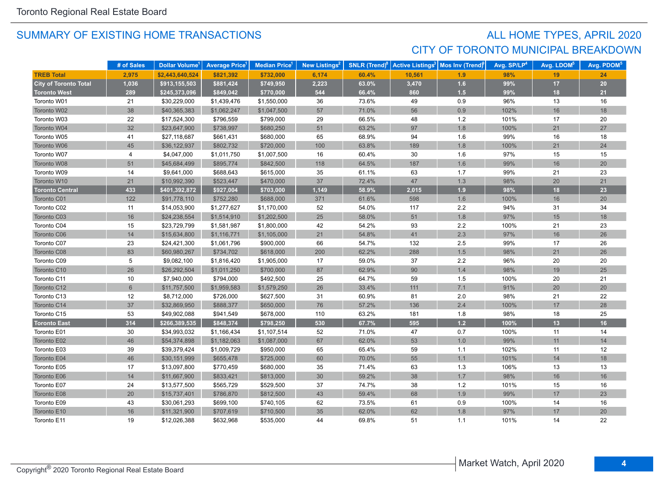## SUMMARY OF EXISTING HOME TRANSACTIONS **ALL HOME TYPES, APRIL 2020** CITY OF TORONTO MUNICIPAL BREAKDOWN

|                              | # of Sales     | Dollar Volume <sup>1</sup> | <b>Average Price</b> | <b>Median Price</b> <sup>1</sup> | New Listings <sup>2</sup> | <b>SNLR (Trend)<sup>8</sup></b> | <b>Active Listings<sup>3</sup></b> | Mos Inv (Trend) | Avg. SP/LP <sup>4</sup> | Avg. LDOM <sup>5</sup> | Avg. PDOM <sup>5</sup> |
|------------------------------|----------------|----------------------------|----------------------|----------------------------------|---------------------------|---------------------------------|------------------------------------|-----------------|-------------------------|------------------------|------------------------|
| <b>TREB Total</b>            | 2,975          | \$2,443,640,524            | \$821,392            | \$732,000                        | 6,174                     | 60.4%                           | 10,561                             | 1.9             | 98%                     | 19                     | 24                     |
| <b>City of Toronto Total</b> | 1,036          | \$913,155,503              | \$881,424            | \$749,950                        | 2,223                     | 63.0%                           | 3,470                              | 1.6             | 99%                     | 17                     | 20                     |
| <b>Toronto West</b>          | 289            | \$245,373,096              | \$849,042            | \$770,000                        | 544                       | 66.4%                           | 860                                | 1.5             | 99%                     | 18                     | 21                     |
| Toronto W01                  | 21             | \$30,229,000               | \$1,439,476          | \$1,550,000                      | 36                        | 73.6%                           | 49                                 | 0.9             | 96%                     | 13                     | 16                     |
| Toronto W02                  | 38             | \$40,365,383               | \$1,062,247          | \$1,047,500                      | 57                        | 71.0%                           | 56                                 | 0.9             | 102%                    | 16                     | 18                     |
| Toronto W03                  | 22             | \$17,524,300               | \$796,559            | \$799,000                        | 29                        | 66.5%                           | 48                                 | $1.2$           | 101%                    | 17                     | 20                     |
| Toronto W04                  | 32             | \$23,647,900               | \$738,997            | \$680,250                        | 51                        | 63.2%                           | 97                                 | 1.8             | 100%                    | 21                     | 27                     |
| Toronto W05                  | 41             | \$27,118,687               | \$661,431            | \$680,000                        | 65                        | 68.9%                           | 94                                 | 1.6             | 99%                     | 16                     | 18                     |
| Toronto W06                  | 45             | \$36,122,937               | \$802,732            | \$720,000                        | 100                       | 63.8%                           | 189                                | 1.8             | 100%                    | 21                     | 24                     |
| Toronto W07                  | 4              | \$4,047,000                | \$1,011,750          | \$1,007,500                      | 16                        | 60.4%                           | 30                                 | 1.6             | 97%                     | 15                     | 15                     |
| Toronto W08                  | 51             | \$45,684,499               | \$895,774            | \$842,500                        | 118                       | 64.5%                           | 187                                | 1.6             | 99%                     | 16                     | 20                     |
| Toronto W09                  | 14             | \$9,641,000                | \$688,643            | \$615,000                        | 35                        | 61.1%                           | 63                                 | 1.7             | 99%                     | 21                     | 23                     |
| Toronto W10                  | 21             | \$10,992,390               | \$523,447            | \$470,000                        | 37                        | 72.4%                           | 47                                 | 1.3             | 98%                     | 20                     | 21                     |
| <b>Toronto Central</b>       | 433            | \$401,392,872              | \$927,004            | \$703,000                        | 1,149                     | 58.9%                           | 2,015                              | 1.9             | 98%                     | 18                     | 23                     |
| Toronto C01                  | 122            | \$91,778,110               | \$752,280            | \$688,000                        | 371                       | 61.6%                           | 598                                | 1.6             | 100%                    | 16                     | 20                     |
| Toronto C02                  | 11             | \$14,053,900               | \$1,277,627          | \$1,170,000                      | 52                        | 54.0%                           | 117                                | 2.2             | 94%                     | 31                     | 34                     |
| Toronto C03                  | 16             | \$24,238,554               | \$1,514,910          | \$1,202,500                      | 25                        | 58.0%                           | 51                                 | 1.8             | 97%                     | 15                     | 18                     |
| Toronto C04                  | 15             | \$23,729,799               | \$1,581,987          | \$1,800,000                      | 42                        | 54.2%                           | 93                                 | 2.2             | 100%                    | 21                     | 23                     |
| Toronto C06                  | 14             | \$15,634,800               | \$1,116,771          | \$1,105,000                      | 21                        | 54.8%                           | 41                                 | 2.3             | 97%                     | 16                     | 26                     |
| Toronto C07                  | 23             | \$24,421,300               | \$1,061,796          | \$900,000                        | 66                        | 54.7%                           | 132                                | 2.5             | 99%                     | 17                     | 26                     |
| Toronto C08                  | 83             | \$60,980,267               | \$734,702            | \$618,000                        | 200                       | 62.2%                           | 288                                | 1.5             | 98%                     | 21                     | 26                     |
| Toronto C09                  | 5              | \$9,082,100                | \$1,816,420          | \$1,905,000                      | 17                        | 59.0%                           | 37                                 | $2.2\,$         | 96%                     | 20                     | 20                     |
| Toronto C10                  | 26             | \$26,292,504               | \$1,011,250          | \$700,000                        | 87                        | 62.9%                           | 90                                 | $1.4$           | 98%                     | 19                     | 25                     |
| Toronto C11                  | 10             | \$7,940,000                | \$794,000            | \$492,500                        | 25                        | 64.7%                           | 59                                 | 1.5             | 100%                    | 20                     | 21                     |
| Toronto C12                  | $6\phantom{1}$ | \$11,757,500               | \$1,959,583          | \$1,579,250                      | 26                        | 33.4%                           | 111                                | 7.1             | 91%                     | 20                     | 20                     |
| Toronto C13                  | 12             | \$8,712,000                | \$726,000            | \$627,500                        | 31                        | 60.9%                           | 81                                 | 2.0             | 98%                     | 21                     | 22                     |
| Toronto C14                  | 37             | \$32,869,950               | \$888,377            | \$650,000                        | 76                        | 57.2%                           | 136                                | 2.4             | 100%                    | 17                     | 28                     |
| Toronto C15                  | 53             | \$49,902,088               | \$941,549            | \$678,000                        | 110                       | 63.2%                           | 181                                | 1.8             | 98%                     | 18                     | 25                     |
| <b>Toronto East</b>          | 314            | \$266,389,535              | \$848,374            | \$798,250                        | 530                       | 67.7%                           | 595                                | $1.2$           | 100%                    | 13                     | 16                     |
| Toronto E01                  | 30             | \$34,993,032               | \$1,166,434          | \$1,107,514                      | 52                        | 71.0%                           | 47                                 | 0.7             | 100%                    | 11                     | 14                     |
| Toronto E02                  | 46             | \$54,374,898               | \$1,182,063          | \$1,087,000                      | 67                        | 62.0%                           | 53                                 | $1.0$           | 99%                     | 11                     | 14                     |
| Toronto E03                  | 39             | \$39,379,424               | \$1,009,729          | \$950,000                        | 65                        | 65.4%                           | 59                                 | $1.1$           | 102%                    | 11                     | 12                     |
| Toronto E04                  | 46             | \$30,151,999               | \$655,478            | \$725,000                        | 60                        | 70.0%                           | 55                                 | 1.1             | 101%                    | 14                     | 18                     |
| Toronto E05                  | 17             | \$13,097,800               | \$770,459            | \$680,000                        | 35                        | 71.4%                           | 63                                 | 1.3             | 106%                    | 13                     | 13                     |
| Toronto E06                  | 14             | \$11,667,900               | \$833,421            | \$813,000                        | 30                        | 59.2%                           | 38                                 | 1.7             | 98%                     | $16$                   | 16                     |
| Toronto E07                  | 24             | \$13,577,500               | \$565,729            | \$529,500                        | 37                        | 74.7%                           | 38                                 | $1.2$           | 101%                    | 15                     | 16                     |
| Toronto E08                  | 20             | \$15,737,401               | \$786,870            | \$812,500                        | 43                        | 59.4%                           | 68                                 | 1.9             | 99%                     | 17                     | 23                     |
| Toronto E09                  | 43             | \$30,061,293               | \$699,100            | \$740,105                        | 62                        | 73.5%                           | 61                                 | 0.9             | 100%                    | 14                     | 16                     |
| Toronto E10                  | 16             | \$11,321,900               | \$707,619            | \$710,500                        | 35                        | 62.0%                           | 62                                 | 1.8             | 97%                     | 17                     | 20                     |
| Toronto E11                  | 19             | \$12,026,388               | \$632,968            | \$535,000                        | 44                        | 69.8%                           | 51                                 | 1.1             | 101%                    | 14                     | 22                     |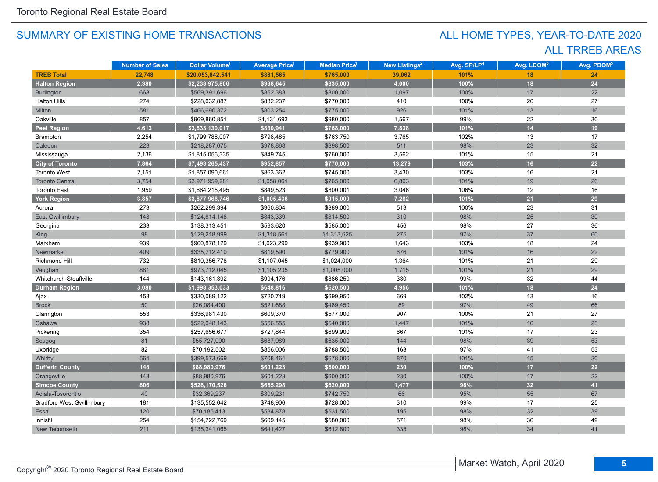## ALL TRREB AREAS ALL HOME TYPES, YEAR-TO-DATE 2020

|                                  | <b>Number of Sales</b> | Dollar Volume <sup>1</sup> | <b>Average Price</b> <sup>1</sup> | Median Price <sup>1</sup> | New Listings <sup>2</sup> | Avg. SP/LP <sup>4</sup> | Avg. LDOM <sup>5</sup> | Avg. PDOM <sup>5</sup> |
|----------------------------------|------------------------|----------------------------|-----------------------------------|---------------------------|---------------------------|-------------------------|------------------------|------------------------|
| <b>TREB Total</b>                | 22,748                 | \$20,053,842,541           | \$881,565                         | \$765,000                 | 39,062                    | 101%                    | 18                     | 24                     |
| <b>Halton Region</b>             | 2,380                  | \$2,233,975,806            | \$938,645                         | \$835,000                 | 4,000                     | 100%                    | 18                     | 24                     |
| Burlington                       | 668                    | \$569,391,696              | \$852,383                         | \$800,000                 | 1,097                     | 100%                    | 17                     | 22                     |
| <b>Halton Hills</b>              | 274                    | \$228,032,887              | \$832,237                         | \$770,000                 | 410                       | 100%                    | 20                     | 27                     |
| Milton                           | 581                    | \$466,690,372              | \$803,254                         | \$775,000                 | 926                       | 101%                    | 13                     | 16                     |
| Oakville                         | 857                    | \$969,860,851              | \$1,131,693                       | \$980,000                 | 1,567                     | 99%                     | 22                     | 30                     |
| <b>Peel Region</b>               | 4,613                  | \$3,833,130,017            | \$830,941                         | \$768,000                 | 7,838                     | 101%                    | 14                     | 19                     |
| Brampton                         | 2,254                  | \$1,799,786,007            | \$798,485                         | \$763,750                 | 3,765                     | 102%                    | 13                     | 17                     |
| Caledon                          | 223                    | \$218,287,675              | \$978,868                         | \$898,500                 | 511                       | 98%                     | 23                     | 32                     |
| Mississauga                      | 2,136                  | \$1,815,056,335            | \$849,745                         | \$760,000                 | 3,562                     | 101%                    | 15                     | 21                     |
| <b>City of Toronto</b>           | 7,864                  | \$7,493,265,437            | \$952,857                         | \$770,000                 | 13,279                    | 103%                    | 16                     | 22                     |
| <b>Toronto West</b>              | 2,151                  | \$1,857,090,661            | \$863,362                         | \$745,000                 | 3,430                     | 103%                    | 16                     | 21                     |
| <b>Toronto Central</b>           | 3,754                  | \$3,971,959,281            | \$1,058,061                       | \$765,000                 | 6,803                     | 101%                    | 19                     | 26                     |
| <b>Toronto East</b>              | 1,959                  | \$1,664,215,495            | \$849,523                         | \$800,001                 | 3,046                     | 106%                    | 12                     | 16                     |
| <b>York Region</b>               | 3,857                  | \$3,877,966,746            | \$1,005,436                       | \$915,000                 | 7,282                     | 101%                    | 21                     | 29                     |
| Aurora                           | 273                    | \$262,299,394              | \$960,804                         | \$889,000                 | 513                       | 100%                    | 23                     | 31                     |
| <b>East Gwillimbury</b>          | 148                    | \$124,814,148              | \$843,339                         | \$814,500                 | 310                       | 98%                     | 25                     | 30                     |
| Georgina                         | 233                    | \$138,313,451              | \$593,620                         | \$585,000                 | 456                       | 98%                     | 27                     | 36                     |
| <b>King</b>                      | 98                     | \$129,218,999              | \$1,318,561                       | \$1,313,625               | 275                       | 97%                     | 37                     | 60                     |
| Markham                          | 939                    | \$960,878,129              | \$1,023,299                       | \$939,900                 | 1,643                     | 103%                    | 18                     | 24                     |
| Newmarket                        | 409                    | \$335,212,410              | \$819,590                         | \$779,900                 | 676                       | 101%                    | 16                     | 22                     |
| Richmond Hill                    | 732                    | \$810,356,778              | \$1,107,045                       | \$1,024,000               | 1,364                     | 101%                    | 21                     | 29                     |
| Vaughan                          | 881                    | \$973,712,045              | \$1,105,235                       | \$1,005,000               | 1,715                     | 101%                    | 21                     | 29                     |
| Whitchurch-Stouffville           | 144                    | \$143,161,392              | \$994,176                         | \$886,250                 | 330                       | 99%                     | 32                     | 44                     |
| <b>Durham Region</b>             | 3,080                  | \$1,998,353,033            | \$648,816                         | \$620,500                 | 4,956                     | 101%                    | 18                     | 24                     |
| Ajax                             | 458                    | \$330,089,122              | \$720,719                         | \$699,950                 | 669                       | 102%                    | 13                     | 16                     |
| <b>Brock</b>                     | 50                     | \$26,084,400               | \$521,688                         | \$489,450                 | 89                        | 97%                     | 49                     | 66                     |
| Clarington                       | 553                    | \$336,981,430              | \$609,370                         | \$577,000                 | 907                       | 100%                    | 21                     | 27                     |
| Oshawa                           | 938                    | \$522,048,143              | \$556,555                         | \$540,000                 | 1,447                     | 101%                    | 16                     | 23                     |
| Pickering                        | 354                    | \$257,656,677              | \$727,844                         | \$699,900                 | 667                       | 101%                    | 17                     | 23                     |
| Scugog                           | 81                     | \$55,727,090               | \$687,989                         | \$635,000                 | 144                       | 98%                     | 39                     | 53                     |
| Uxbridge                         | 82                     | \$70,192,502               | \$856,006                         | \$788,500                 | 163                       | 97%                     | 41                     | 53                     |
| Whitby                           | 564                    | \$399,573,669              | \$708,464                         | \$678,000                 | 870                       | 101%                    | 15                     | $20\,$                 |
| <b>Dufferin County</b>           | 148                    | \$88,980,976               | \$601,223                         | \$600,000                 | 230                       | 100%                    | 17                     | 22                     |
| Orangeville                      | 148                    | \$88,980,976               | \$601,223                         | \$600,000                 | 230                       | 100%                    | 17                     | 22                     |
| <b>Simcoe County</b>             | 806                    | \$528,170,526              | \$655,298                         | \$620,000                 | 1,477                     | 98%                     | 32                     | 41                     |
| Adjala-Tosorontio                | 40                     | \$32,369,237               | \$809,231                         | \$742,750                 | 66                        | 95%                     | 55                     | 67                     |
| <b>Bradford West Gwillimbury</b> | 181                    | \$135,552,042              | \$748,906                         | \$728,000                 | 310                       | 99%                     | 17                     | 25                     |
| Essa                             | 120                    | \$70,185,413               | \$584,878                         | \$531,500                 | 195                       | 98%                     | 32                     | 39                     |
| Innisfil                         | 254                    | \$154,722,769              | \$609,145                         | \$580,000                 | 571                       | 98%                     | 36                     | 49                     |
| New Tecumseth                    | 211                    | \$135,341,065              | \$641,427                         | \$612,800                 | 335                       | 98%                     | 34                     | 41                     |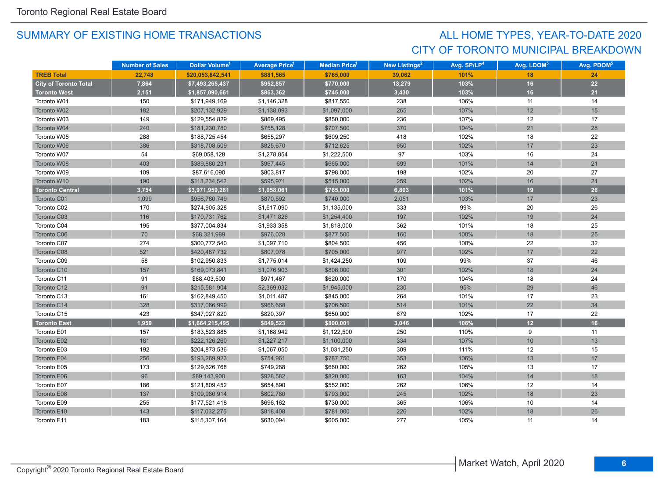## CITY OF TORONTO MUNICIPAL BREAKDOWN ALL HOME TYPES, YEAR-TO-DATE 2020

|                              | <b>Number of Sales</b> | Dollar Volume <sup>1</sup> | <b>Average Price</b> | <b>Median Price</b> <sup>1</sup> | <b>New Listings<sup>2</sup></b> | Avg. SP/LP <sup>4</sup> | Avg. LDOM <sup>5</sup> | Avg. PDOM <sup>5</sup> |
|------------------------------|------------------------|----------------------------|----------------------|----------------------------------|---------------------------------|-------------------------|------------------------|------------------------|
| <b>TREB Total</b>            | 22.748                 | \$20,053,842,541           | \$881,565            | \$765,000                        | 39,062                          | 101%                    | 18                     | 24                     |
| <b>City of Toronto Total</b> | 7,864                  | \$7,493,265,437            | \$952,857            | \$770,000                        | 13,279                          | 103%                    | 16                     | 22                     |
| <b>Toronto West</b>          | 2,151                  | \$1,857,090,661            | \$863,362            | \$745,000                        | 3,430                           | 103%                    | 16                     | 21                     |
| Toronto W01                  | 150                    | \$171,949,169              | \$1,146,328          | \$817,550                        | 238                             | 106%                    | 11                     | 14                     |
| Toronto W02                  | 182                    | \$207,132,929              | \$1,138,093          | \$1,097,000                      | 265                             | 107%                    | 12                     | 15                     |
| Toronto W03                  | 149                    | \$129,554,829              | \$869,495            | \$850,000                        | 236                             | 107%                    | 12                     | 17                     |
| Toronto W04                  | 240                    | \$181,230,780              | \$755,128            | \$707,500                        | 370                             | 104%                    | 21                     | 28                     |
| Toronto W05                  | 288                    | \$188,725,454              | \$655,297            | \$609,250                        | 418                             | 102%                    | 18                     | 22                     |
| Toronto W06                  | 386                    | \$318,708,509              | \$825,670            | \$712,625                        | 650                             | 102%                    | 17                     | 23                     |
| Toronto W07                  | 54                     | \$69,058,128               | \$1,278,854          | \$1,222,500                      | 97                              | 103%                    | 16                     | 24                     |
| Toronto W08                  | 403                    | \$389,880,231              | \$967,445            | \$665,000                        | 699                             | 101%                    | 14                     | 21                     |
| Toronto W09                  | 109                    | \$87,616,090               | \$803,817            | \$798,000                        | 198                             | 102%                    | 20                     | 27                     |
| Toronto W10                  | 190                    | \$113,234,542              | \$595,971            | \$515,000                        | 259                             | 102%                    | 16                     | 21                     |
| <b>Toronto Central</b>       | 3,754                  | \$3,971,959,281            | \$1,058,061          | \$765,000                        | 6,803                           | 101%                    | 19                     | 26                     |
| Toronto C01                  | 1,099                  | \$956,780,749              | \$870,592            | \$740,000                        | 2,051                           | 103%                    | 17                     | 23                     |
| Toronto C02                  | 170                    | \$274,905,328              | \$1,617,090          | \$1,135,000                      | 333                             | 99%                     | 20                     | 26                     |
| Toronto C03                  | 116                    | \$170,731,762              | \$1,471,826          | \$1,254,400                      | 197                             | 102%                    | 19                     | 24                     |
| Toronto C04                  | 195                    | \$377,004,834              | \$1,933,358          | \$1,818,000                      | 362                             | 101%                    | 18                     | 25                     |
| Toronto C06                  | 70                     | \$68,321,989               | \$976,028            | \$877,500                        | 160                             | 100%                    | 18                     | 25                     |
| Toronto C07                  | 274                    | \$300,772,540              | \$1,097,710          | \$804,500                        | 456                             | 100%                    | 22                     | 32                     |
| Toronto C08                  | 521                    | \$420,487,732              | \$807,078            | \$705,000                        | 977                             | 102%                    | 17                     | 22                     |
| Toronto C09                  | 58                     | \$102,950,833              | \$1,775,014          | \$1,424,250                      | 109                             | 99%                     | 37                     | 46                     |
| Toronto C10                  | 157                    | \$169,073,841              | \$1,076,903          | \$808,000                        | 301                             | 102%                    | 18                     | 24                     |
| Toronto C11                  | 91                     | \$88,403,500               | \$971,467            | \$620,000                        | 170                             | 104%                    | 18                     | 24                     |
| Toronto C12                  | 91                     | \$215,581,904              | \$2,369,032          | \$1,945,000                      | 230                             | 95%                     | 29                     | 46                     |
| Toronto C13                  | 161                    | \$162,849,450              | \$1,011,487          | \$845,000                        | 264                             | 101%                    | 17                     | 23                     |
| Toronto C14                  | 328                    | \$317,066,999              | \$966,668            | \$706,500                        | 514                             | 101%                    | 22                     | 34                     |
| Toronto C15                  | 423                    | \$347,027,820              | \$820,397            | \$650,000                        | 679                             | 102%                    | 17                     | 22                     |
| <b>Toronto East</b>          | 1,959                  | \$1,664,215,495            | \$849,523            | \$800,001                        | 3,046                           | 106%                    | 12                     | 16                     |
| Toronto E01                  | 157                    | \$183,523,885              | \$1,168,942          | \$1,122,500                      | 250                             | 110%                    | 9                      | 11                     |
| Toronto E02                  | 181                    | \$222,126,260              | \$1,227,217          | \$1,100,000                      | 334                             | 107%                    | 10                     | 13                     |
| Toronto E03                  | 192                    | \$204,873,536              | \$1,067,050          | \$1,031,250                      | 309                             | 111%                    | 12                     | 15                     |
| Toronto E04                  | 256                    | \$193,269,923              | \$754,961            | \$787,750                        | 353                             | 106%                    | 13                     | 17                     |
| Toronto E05                  | 173                    | \$129,626,768              | \$749,288            | \$660,000                        | 262                             | 105%                    | 13                     | 17                     |
| Toronto E06                  | 96                     | \$89,143,900               | \$928,582            | \$820,000                        | 163                             | 104%                    | 14                     | 18                     |
| Toronto E07                  | 186                    | \$121,809,452              | \$654,890            | \$552,000                        | 262                             | 106%                    | 12                     | 14                     |
| Toronto E08                  | 137                    | \$109,980,914              | \$802,780            | \$793,000                        | 245                             | 102%                    | 18                     | 23                     |
| Toronto E09                  | 255                    | \$177,521,418              | \$696,162            | \$730,000                        | 365                             | 106%                    | 10                     | 14                     |
| Toronto E10                  | 143                    | \$117,032,275              | \$818,408            | \$781,000                        | 226                             | 102%                    | 18                     | 26                     |
| Toronto E11                  | 183                    | \$115,307,164              | \$630,094            | \$605,000                        | 277                             | 105%                    | 11                     | 14                     |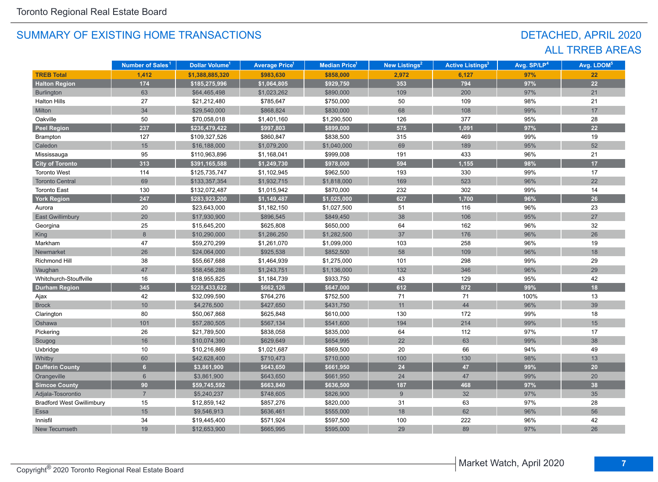## DETACHED, APRIL 2020 ALL TRREB AREAS

|                                  | Number of Sales <sup>1</sup> | Dollar Volume <sup>1</sup> | <b>Average Price<sup>1</sup></b> | Median Price <sup>1</sup> | <b>New Listings<sup>2</sup></b> | <b>Active Listings<sup>3</sup></b> | Avg. SP/LP <sup>4</sup> | Avg. LDOM <sup>5</sup> |
|----------------------------------|------------------------------|----------------------------|----------------------------------|---------------------------|---------------------------------|------------------------------------|-------------------------|------------------------|
| <b>TREB Total</b>                | 1,412                        | \$1,388,885,320            | \$983,630                        | \$858,000                 | 2,972                           | 6,127                              | 97%                     | 22                     |
| <b>Halton Region</b>             | 174                          | \$185,275,996              | \$1,064,805                      | \$929,750                 | 353                             | 794                                | 97%                     | 22                     |
| Burlington                       | 63                           | \$64,465,498               | \$1,023,262                      | \$890,000                 | 109                             | 200                                | 97%                     | 21                     |
| <b>Halton Hills</b>              | 27                           | \$21,212,480               | \$785,647                        | \$750,000                 | 50                              | 109                                | 98%                     | 21                     |
| Milton                           | 34                           | \$29,540,000               | \$868,824                        | \$830,000                 | 68                              | 108                                | 99%                     | 17                     |
| Oakville                         | 50                           | \$70,058,018               | \$1,401,160                      | \$1,290,500               | 126                             | 377                                | 95%                     | 28                     |
| <b>Peel Region</b>               | 237                          | \$236,479,422              | \$997,803                        | \$899,000                 | 575                             | 1,091                              | 97%                     | 22                     |
| Brampton                         | 127                          | \$109,327,526              | \$860,847                        | \$838,500                 | 315                             | 469                                | 99%                     | 19                     |
| Caledon                          | 15                           | \$16,188,000               | \$1,079,200                      | \$1,040,000               | 69                              | 189                                | 95%                     | 52                     |
| Mississauga                      | 95                           | \$110,963,896              | \$1,168,041                      | \$999,008                 | 191                             | 433                                | 96%                     | 21                     |
| <b>City of Toronto</b>           | 313                          | \$391,165,588              | \$1,249,730                      | \$978,000                 | 594                             | 1,155                              | 98%                     | 17                     |
| <b>Toronto West</b>              | 114                          | \$125,735,747              | \$1,102,945                      | \$962,500                 | 193                             | 330                                | 99%                     | 17                     |
| <b>Toronto Central</b>           | 69                           | \$133,357,354              | \$1,932,715                      | \$1,818,000               | 169                             | 523                                | 96%                     | 22                     |
| <b>Toronto East</b>              | 130                          | \$132,072,487              | \$1,015,942                      | \$870,000                 | 232                             | 302                                | 99%                     | 14                     |
| <b>York Region</b>               | 247                          | \$283,923,200              | \$1,149,487                      | \$1,025,000               | 627                             | 1,700                              | 96%                     | 26                     |
| Aurora                           | 20                           | \$23,643,000               | \$1,182,150                      | \$1,027,500               | 51                              | 116                                | 96%                     | 23                     |
| <b>East Gwillimbury</b>          | 20                           | \$17,930,900               | \$896,545                        | \$849,450                 | 38                              | 106                                | 95%                     | 27                     |
| Georgina                         | 25                           | \$15,645,200               | \$625,808                        | \$650,000                 | 64                              | 162                                | 96%                     | 32                     |
| <b>King</b>                      | 8                            | \$10,290,000               | \$1,286,250                      | \$1,282,500               | 37                              | 176                                | 96%                     | 26                     |
| Markham                          | 47                           | \$59,270,299               | \$1,261,070                      | \$1,099,000               | 103                             | 258                                | 96%                     | 19                     |
| Newmarket                        | 26                           | \$24,064,000               | \$925,538                        | \$852,500                 | 58                              | 109                                | 96%                     | 18                     |
| Richmond Hill                    | 38                           | \$55,667,688               | \$1,464,939                      | \$1,275,000               | 101                             | 298                                | 99%                     | 29                     |
| Vaughan                          | 47                           | \$58,456,288               | \$1,243,751                      | \$1,136,000               | 132                             | 346                                | 96%                     | 29                     |
| Whitchurch-Stouffville           | 16                           | \$18,955,825               | \$1,184,739                      | \$933,750                 | 43                              | 129                                | 95%                     | 42                     |
| <b>Durham Region</b>             | 345                          | \$228,433,622              | \$662,126                        | \$647,000                 | 612                             | 872                                | 99%                     | 18                     |
| Ajax                             | 42                           | \$32,099,590               | \$764,276                        | \$752,500                 | 71                              | 71                                 | 100%                    | 13                     |
| <b>Brock</b>                     | $10$                         | \$4,276,500                | \$427,650                        | \$431,750                 | 11                              | 44                                 | 96%                     | 39                     |
| Clarington                       | 80                           | \$50,067,868               | \$625,848                        | \$610,000                 | 130                             | 172                                | 99%                     | 18                     |
| Oshawa                           | 101                          | \$57,280,505               | \$567,134                        | \$541,600                 | 194                             | 214                                | 99%                     | 15                     |
| Pickering                        | 26                           | \$21,789,500               | \$838,058                        | \$835,000                 | 64                              | 112                                | 97%                     | 17                     |
| Scugog                           | 16                           | \$10,074,390               | \$629,649                        | \$654,995                 | 22                              | 63                                 | 99%                     | 38                     |
| Uxbridge                         | 10                           | \$10,216,869               | \$1,021,687                      | \$869,500                 | 20                              | 66                                 | 94%                     | 49                     |
| Whitby                           | 60                           | \$42,628,400               | \$710,473                        | \$710,000                 | 100                             | 130                                | 98%                     | 13                     |
| <b>Dufferin County</b>           | $\overline{6}$               | \$3,861,900                | \$643,650                        | \$661,950                 | 24                              | 47                                 | 99%                     | 20                     |
| Orangeville                      | $6\phantom{1}$               | \$3,861,900                | \$643,650                        | \$661,950                 | 24                              | 47                                 | 99%                     | 20                     |
| <b>Simcoe County</b>             | 90                           | \$59,745,592               | \$663,840                        | \$636,500                 | 187                             | 468                                | 97%                     | 38                     |
| Adjala-Tosorontio                | $\overline{7}$               | \$5,240,237                | \$748,605                        | \$826,900                 | 9                               | 32                                 | 97%                     | 35                     |
| <b>Bradford West Gwillimbury</b> | 15                           | \$12,859,142               | \$857,276                        | \$820,000                 | 31                              | 63                                 | 97%                     | 28                     |
| Essa                             | 15                           | \$9,546,913                | \$636,461                        | \$555,000                 | 18                              | 62                                 | 96%                     | 56                     |
| Innisfil                         | 34                           | \$19,445,400               | \$571,924                        | \$597,500                 | 100                             | 222                                | 96%                     | 42                     |
| New Tecumseth                    | 19                           | \$12,653,900               | \$665,995                        | \$595,000                 | 29                              | 89                                 | 97%                     | 26                     |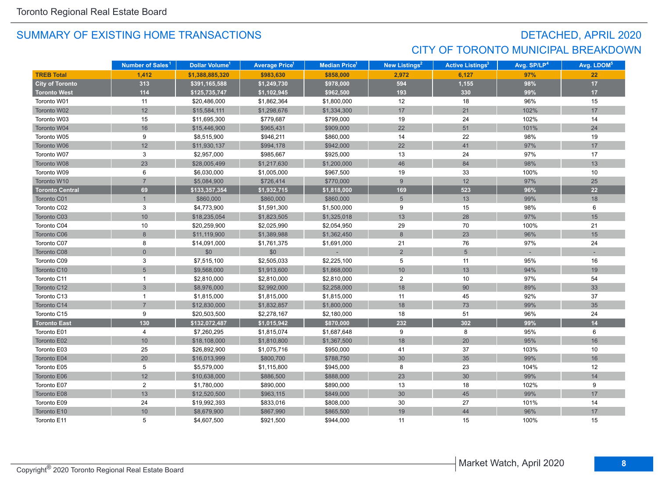## DETACHED, APRIL 2020 CITY OF TORONTO MUNICIPAL BREAKDOWN

|                        | Number of Sales <sup>1</sup> | Dollar Volume <sup>1</sup> | <b>Average Price<sup>1</sup></b> | Median Price <sup>1</sup> | New Listings <sup>2</sup> | <b>Active Listings<sup>3</sup></b> | Avg. SP/LP <sup>4</sup> | Avg. LDOM <sup>5</sup> |
|------------------------|------------------------------|----------------------------|----------------------------------|---------------------------|---------------------------|------------------------------------|-------------------------|------------------------|
| <b>TREB Total</b>      | 1,412                        | \$1,388,885,320            | \$983,630                        | \$858,000                 | 2,972                     | 6,127                              | 97%                     | 22                     |
| <b>City of Toronto</b> | 313                          | \$391,165,588              | \$1,249,730                      | \$978,000                 | 594                       | 1,155                              | 98%                     | $17$                   |
| <b>Toronto West</b>    | 114                          | \$125,735,747              | \$1,102,945                      | \$962,500                 | 193                       | 330                                | 99%                     | 17                     |
| Toronto W01            | 11                           | \$20,486,000               | \$1,862,364                      | \$1,800,000               | 12                        | 18                                 | 96%                     | 15                     |
| Toronto W02            | 12                           | \$15,584,111               | \$1,298,676                      | \$1,334,300               | 17                        | 21                                 | 102%                    | 17                     |
| Toronto W03            | 15                           | \$11,695,300               | \$779,687                        | \$799,000                 | 19                        | 24                                 | 102%                    | 14                     |
| Toronto W04            | 16                           | \$15,446,900               | \$965,431                        | \$909,000                 | 22                        | 51                                 | 101%                    | 24                     |
| Toronto W05            | 9                            | \$8,515,900                | \$946,211                        | \$860,000                 | 14                        | 22                                 | 98%                     | 19                     |
| Toronto W06            | 12                           | \$11,930,137               | \$994,178                        | \$942,000                 | 22                        | 41                                 | 97%                     | 17                     |
| Toronto W07            | 3                            | \$2,957,000                | \$985,667                        | \$925,000                 | 13                        | 24                                 | 97%                     | 17                     |
| Toronto W08            | 23                           | \$28,005,499               | \$1,217,630                      | \$1,200,000               | 46                        | 84                                 | 98%                     | 13                     |
| Toronto W09            | 6                            | \$6,030,000                | \$1,005,000                      | \$967,500                 | 19                        | 33                                 | 100%                    | 10                     |
| Toronto W10            | $\overline{7}$               | \$5,084,900                | \$726,414                        | \$770,000                 | 9                         | 12                                 | 97%                     | 25                     |
| <b>Toronto Central</b> | 69                           | \$133,357,354              | \$1,932,715                      | \$1,818,000               | 169                       | 523                                | 96%                     | 22                     |
| Toronto C01            | $\mathbf{1}$                 | \$860,000                  | \$860,000                        | \$860,000                 | $\sqrt{5}$                | 13                                 | 99%                     | 18                     |
| Toronto C02            | 3                            | \$4,773,900                | \$1,591,300                      | \$1,500,000               | 9                         | 15                                 | 98%                     | 6                      |
| Toronto C03            | $10$                         | \$18,235,054               | \$1,823,505                      | \$1,325,018               | 13                        | 28                                 | 97%                     | 15                     |
| Toronto C04            | 10                           | \$20,259,900               | \$2,025,990                      | \$2,054,950               | 29                        | 70                                 | 100%                    | 21                     |
| Toronto C06            | $\overline{8}$               | \$11,119,900               | \$1,389,988                      | \$1,362,450               | $8\phantom{1}$            | 23                                 | 96%                     | 15                     |
| Toronto C07            | 8                            | \$14,091,000               | \$1,761,375                      | \$1,691,000               | 21                        | 76                                 | 97%                     | 24                     |
| Toronto C08            | $\Omega$                     | \$0                        | \$0                              |                           | 2                         | $5\overline{)}$                    |                         |                        |
| Toronto C09            | 3                            | \$7,515,100                | \$2,505,033                      | \$2,225,100               | 5                         | 11                                 | 95%                     | 16                     |
| Toronto C10            | 5                            | \$9,568,000                | \$1,913,600                      | \$1,868,000               | 10                        | 13                                 | 94%                     | 19                     |
| Toronto C11            | 1                            | \$2,810,000                | \$2,810,000                      | \$2,810,000               | $\overline{2}$            | 10                                 | 97%                     | 54                     |
| Toronto C12            | 3                            | \$8,976,000                | \$2,992,000                      | \$2,258,000               | 18                        | 90                                 | 89%                     | 33                     |
| Toronto C13            | 1                            | \$1,815,000                | \$1,815,000                      | \$1,815,000               | 11                        | 45                                 | 92%                     | 37                     |
| Toronto C14            | $\overline{7}$               | \$12,830,000               | \$1,832,857                      | \$1,800,000               | 18                        | 73                                 | 99%                     | 35                     |
| Toronto C15            | 9                            | \$20,503,500               | \$2,278,167                      | \$2,180,000               | 18                        | 51                                 | 96%                     | 24                     |
| <b>Toronto East</b>    | 130                          | \$132,072,487              | \$1,015,942                      | \$870,000                 | 232                       | 302                                | 99%                     | 14                     |
| Toronto E01            | 4                            | \$7,260,295                | \$1,815,074                      | \$1,687,648               | 9                         | 8                                  | 95%                     | 6                      |
| Toronto E02            | 10                           | \$18,108,000               | \$1,810,800                      | \$1,367,500               | 18                        | 20                                 | 95%                     | 16                     |
| Toronto E03            | 25                           | \$26,892,900               | \$1,075,716                      | \$950,000                 | 41                        | 37                                 | 103%                    | 10                     |
| Toronto E04            | 20                           | \$16,013,999               | \$800,700                        | \$788,750                 | 30                        | 35                                 | 99%                     | 16                     |
| Toronto E05            | 5                            | \$5,579,000                | \$1,115,800                      | \$945,000                 | 8                         | 23                                 | 104%                    | 12                     |
| Toronto E06            | 12                           | \$10,638,000               | \$886,500                        | \$888,000                 | 23                        | 30                                 | 99%                     | 14                     |
| Toronto E07            | $\overline{\mathbf{c}}$      | \$1,780,000                | \$890,000                        | \$890,000                 | 13                        | 18                                 | 102%                    | 9                      |
| Toronto E08            | 13                           | \$12,520,500               | \$963,115                        | \$849,000                 | 30 <sup>°</sup>           | 45                                 | 99%                     | 17                     |
| Toronto E09            | 24                           | \$19,992,393               | \$833,016                        | \$808,000                 | 30                        | 27                                 | 101%                    | 14                     |
| Toronto E10            | 10                           | \$8,679,900                | \$867,990                        | \$865,500                 | 19                        | 44                                 | 96%                     | 17                     |
| Toronto E11            | 5                            | \$4,607,500                | \$921.500                        | \$944.000                 | 11                        | 15                                 | 100%                    | 15                     |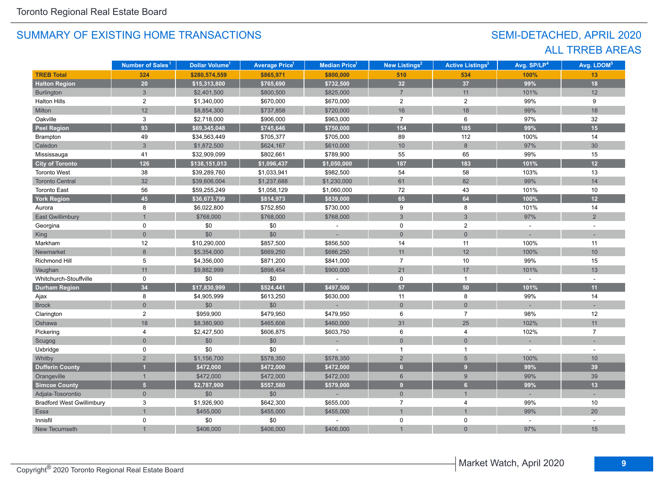## SEMI-DETACHED, APRIL 2020 ALL TRREB AREAS

|                                  | Number of Sales <sup>1</sup> | Dollar Volume <sup>1</sup> | <b>Average Price</b> <sup>1</sup> | <b>Median Price<sup>1</sup></b> | <b>New Listings<sup>2</sup></b> | <b>Active Listings<sup>3</sup></b> | Avg. SP/LP <sup>4</sup> | Avg. LDOM <sup>5</sup> |
|----------------------------------|------------------------------|----------------------------|-----------------------------------|---------------------------------|---------------------------------|------------------------------------|-------------------------|------------------------|
| <b>TREB Total</b>                | 324                          | \$280,574,559              | \$865,971                         | \$800,000                       | 510                             | 534                                | 100%                    | 13                     |
| <b>Halton Region</b>             | 20                           | \$15,313,800               | \$765,690                         | \$732,500                       | 32                              | 37                                 | 99%                     | 18                     |
| <b>Burlington</b>                | $\overline{3}$               | \$2,401,500                | \$800,500                         | \$825,000                       | $\overline{7}$                  | 11                                 | 101%                    | 12                     |
| <b>Halton Hills</b>              | $\overline{c}$               | \$1,340,000                | \$670,000                         | \$670,000                       | $\overline{2}$                  | $\overline{2}$                     | 99%                     | 9                      |
| Milton                           | 12                           | \$8,854,300                | \$737,858                         | \$720,000                       | 16                              | 18                                 | 99%                     | 18                     |
| Oakville                         | 3                            | \$2,718,000                | \$906,000                         | \$963,000                       | $\overline{7}$                  | 6                                  | 97%                     | 32                     |
| <b>Peel Region</b>               | 93                           | \$69,345,048               | \$745,646                         | \$750,000                       | 154                             | 185                                | 99%                     | 15                     |
| Brampton                         | 49                           | \$34,563,449               | \$705,377                         | \$705,000                       | 89                              | 112                                | 100%                    | 14                     |
| Caledon                          | 3                            | \$1,872,500                | \$624,167                         | \$610,000                       | 10 <sup>1</sup>                 | $\bf 8$                            | 97%                     | 30                     |
| Mississauga                      | 41                           | \$32,909,099               | \$802,661                         | \$789,900                       | 55                              | 65                                 | 99%                     | 15                     |
| <b>City of Toronto</b>           | 126                          | \$138,151,013              | \$1,096,437                       | \$1,050,000                     | 187                             | 183                                | 101%                    | 12                     |
| <b>Toronto West</b>              | 38                           | \$39,289,760               | \$1,033,941                       | \$982,500                       | 54                              | 58                                 | 103%                    | 13                     |
| <b>Toronto Central</b>           | 32                           | \$39,606,004               | \$1,237,688                       | \$1,230,000                     | 61                              | 82                                 | 99%                     | 14                     |
| <b>Toronto East</b>              | 56                           | \$59,255,249               | \$1,058,129                       | \$1,060,000                     | $72\,$                          | 43                                 | 101%                    | 10                     |
| <b>York Region</b>               | 45 <sup>°</sup>              | \$36,673,799               | \$814,973                         | \$839,000                       | 65                              | 64                                 | 100%                    | 12                     |
| Aurora                           | 8                            | \$6,022,800                | \$752,850                         | \$730,000                       | 9                               | 8                                  | 101%                    | 14                     |
| <b>East Gwillimbury</b>          |                              | \$768,000                  | \$768,000                         | \$768,000                       | $\mathbf{3}$                    | 3                                  | 97%                     | 2                      |
| Georgina                         | 0                            | \$0                        | \$0                               |                                 | 0                               | $\overline{2}$                     | $\sim$                  |                        |
| King                             | $\overline{0}$               | \$0                        | \$0                               |                                 | $\overline{0}$                  | $\overline{0}$                     |                         |                        |
| Markham                          | 12                           | \$10,290,000               | \$857,500                         | \$856,500                       | 14                              | 11                                 | 100%                    | 11                     |
| Newmarket                        | 8                            | \$5,354,000                | \$669,250                         | \$686,250                       | 11                              | 12                                 | 100%                    | 10                     |
| <b>Richmond Hill</b>             | 5                            | \$4,356,000                | \$871,200                         | \$841,000                       | $\overline{7}$                  | 10                                 | 99%                     | 15                     |
| Vaughan                          | 11                           | \$9,882,999                | \$898,454                         | \$900,000                       | 21                              | 17                                 | 101%                    | 13                     |
| Whitchurch-Stouffville           | 0                            | \$0                        | \$0                               |                                 | $\mathsf{O}$                    | $\mathbf{1}$                       |                         |                        |
| <b>Durham Region</b>             | 34                           | \$17,830,999               | \$524,441                         | \$497,500                       | 57                              | 50                                 | 101%                    | 11                     |
| Ajax                             | 8                            | \$4,905,999                | \$613,250                         | \$630,000                       | 11                              | 8                                  | 99%                     | 14                     |
| <b>Brock</b>                     | $\overline{0}$               | \$0                        | $$0$$                             |                                 | $\mathbf 0$                     | $\mathbf 0$                        |                         |                        |
| Clarington                       | $\overline{c}$               | \$959,900                  | \$479,950                         | \$479,950                       | 6                               | $\overline{7}$                     | 98%                     | 12                     |
| Oshawa                           | 18                           | \$8,380,900                | \$465,606                         | \$460,000                       | 31                              | 25                                 | 102%                    | 11                     |
| Pickering                        | 4                            | \$2,427,500                | \$606,875                         | \$603,750                       | 6                               | 4                                  | 102%                    | $\overline{7}$         |
| Scugog                           | $\overline{0}$               | \$0                        | \$0                               |                                 | $\mathsf{O}\xspace$             | $\overline{0}$                     |                         |                        |
| Uxbridge                         | 0                            | \$0                        | \$0                               |                                 | $\mathbf{1}$                    | $\mathbf{1}$                       |                         | $\overline{a}$         |
| Whitby                           | $\overline{2}$               | \$1,156,700                | \$578,350                         | \$578,350                       | $\overline{2}$                  | $\sqrt{5}$                         | 100%                    | 10                     |
| <b>Dufferin County</b>           |                              | \$472,000                  | \$472,000                         | \$472,000                       | 6                               | 9                                  | 99%                     | 39                     |
| Orangeville                      | $\mathbf{1}$                 | \$472,000                  | \$472,000                         | \$472,000                       | $6\phantom{1}$                  | 9                                  | 99%                     | 39                     |
| <b>Simcoe County</b>             | 5 <sup>1</sup>               | \$2,787,900                | \$557,580                         | \$579,000                       | 9                               | 6 <sup>1</sup>                     | 99%                     | 13                     |
| Adjala-Tosorontio                | $\mathbf{0}$                 | $$0$$                      | \$0                               | $\sim$                          | $\mathsf{O}\xspace$             | $\mathbf{1}$                       | $\sim$                  |                        |
| <b>Bradford West Gwillimbury</b> | 3                            | \$1,926,900                | \$642,300                         | \$655,000                       | $\overline{7}$                  | $\overline{4}$                     | 99%                     | 10                     |
| Essa                             | $\overline{1}$               | \$455,000                  | \$455,000                         | \$455,000                       | $\overline{1}$                  | $\mathbf{1}$                       | 99%                     | 20                     |
| Innisfil                         | 0                            | \$0                        | \$0                               |                                 | $\mathbf 0$                     | 0                                  |                         |                        |
| New Tecumseth                    |                              | \$406,000                  | \$406,000                         | \$406,000                       |                                 | $\overline{0}$                     | 97%                     | 15                     |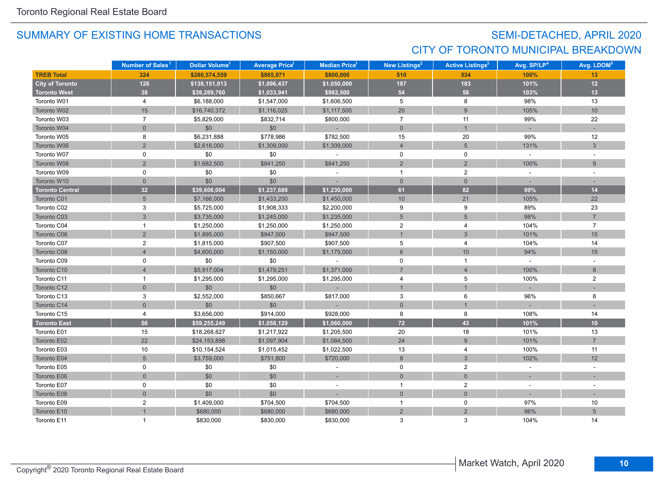## SEMI-DETACHED, APRIL 2020 CITY OF TORONTO MUNICIPAL BREAKDOWN

|                        | Number of Sales <sup>1</sup> | Dollar Volume <sup>1</sup> | <b>Average Price</b> <sup>1</sup> | <b>Median Price<sup>1</sup></b> | New Listings <sup>2</sup> | <b>Active Listings<sup>3</sup></b> | Avg. SP/LP <sup>4</sup> | Avg. LDOM <sup>5</sup> |
|------------------------|------------------------------|----------------------------|-----------------------------------|---------------------------------|---------------------------|------------------------------------|-------------------------|------------------------|
| <b>TREB Total</b>      | 324                          | \$280,574,559              | \$865,971                         | \$800,000                       | 510                       | 534                                | 100%                    | 13                     |
| <b>City of Toronto</b> | 126                          | \$138,151,013              | \$1,096,437                       | \$1,050,000                     | 187                       | 183                                | 101%                    | $12$                   |
| <b>Toronto West</b>    | 38                           | \$39,289,760               | \$1,033,941                       | \$982,500                       | 54                        | 58                                 | 103%                    | 13                     |
| Toronto W01            | 4                            | \$6,188,000                | \$1,547,000                       | \$1,606,500                     | 5                         | 8                                  | 98%                     | 13                     |
| Toronto W02            | 15                           | \$16,740,372               | \$1,116,025                       | \$1,117,500                     | 20                        | 9                                  | 105%                    | 10                     |
| Toronto W03            | $\overline{7}$               | \$5,829,000                | \$832,714                         | \$800,000                       | $\overline{7}$            | 11                                 | 99%                     | 22                     |
| Toronto W04            | $\overline{0}$               | \$0                        | \$0                               | $\sim$                          | $\mathbf{0}$              | $\mathbf{1}$                       | $\sim$                  |                        |
| Toronto W05            | 8                            | \$6,231,888                | \$778,986                         | \$782,500                       | 15                        | 20                                 | 99%                     | 12                     |
| Toronto W06            | $\overline{2}$               | \$2,618,000                | \$1,309,000                       | \$1,309,000                     | $\overline{4}$            | 5                                  | 131%                    | 3                      |
| Toronto W07            | 0                            | \$0                        | \$0                               | $\sim$                          | 0                         | 0                                  | $\mathcal{L}$           |                        |
| Toronto W08            | $\overline{2}$               | \$1,682,500                | \$841,250                         | \$841,250                       | 2                         | $\overline{2}$                     | 100%                    | 9                      |
| Toronto W09            | 0                            | \$0                        | \$0                               |                                 | $\mathbf{1}$              | $\overline{2}$                     | $\sim$                  |                        |
| Toronto W10            | $\mathbf{0}$                 | \$0                        | \$0                               |                                 | $\mathbf{0}$              | $\overline{0}$                     |                         |                        |
| <b>Toronto Central</b> | 32                           | \$39,606,004               | \$1,237,688                       | \$1,230,000                     | 61                        | 82                                 | 99%                     | $14$                   |
| Toronto C01            | $5\overline{)}$              | \$7,166,000                | \$1,433,200                       | \$1,450,000                     | 10 <sup>1</sup>           | 21                                 | 105%                    | 22                     |
| Toronto C02            | 3                            | \$5,725,000                | \$1,908,333                       | \$2,200,000                     | 9                         | 9                                  | 89%                     | 23                     |
| Toronto C03            | 3                            | \$3,735,000                | \$1,245,000                       | \$1,235,000                     | $\overline{5}$            | $5\phantom{.0}$                    | 98%                     | $\overline{7}$         |
| Toronto C04            | $\mathbf{1}$                 | \$1,250,000                | \$1,250,000                       | \$1,250,000                     | $\overline{2}$            | 4                                  | 104%                    | $\overline{7}$         |
| Toronto C06            | 2                            | \$1,895,000                | \$947,500                         | \$947,500                       | $\overline{1}$            | 3                                  | 101%                    | 15                     |
| Toronto C07            | $\overline{2}$               | \$1,815,000                | \$907,500                         | \$907,500                       | 5                         | 4                                  | 104%                    | 14                     |
| Toronto C08            | $\overline{4}$               | \$4,600,000                | \$1,150,000                       | \$1,175,000                     | $6\phantom{1}$            | 10                                 | 94%                     | 15                     |
| Toronto C09            | 0                            | \$0                        | \$0                               | $\blacksquare$                  | $\mathbf 0$               | $\mathbf{1}$                       | $\omega$                |                        |
| Toronto C10            | $\overline{4}$               | \$5,917,004                | \$1,479,251                       | \$1,371,000                     | $\overline{7}$            | $\overline{4}$                     | 100%                    | $8\phantom{1}$         |
| Toronto C11            | $\mathbf{1}$                 | \$1,295,000                | \$1,295,000                       | \$1,295,000                     | 4                         | 5                                  | 100%                    | $\overline{2}$         |
| Toronto C12            | $\overline{0}$               | \$0                        | \$0                               | $\sim$                          | $\mathbf{1}$              | $\mathbf{1}$                       |                         |                        |
| Toronto C13            | 3                            | \$2,552,000                | \$850,667                         | \$817,000                       | 3                         | 6                                  | 96%                     | 8                      |
| Toronto C14            | $\overline{0}$               | \$0                        | \$0                               |                                 | $\mathbf{0}$              | $\mathbf{1}$                       |                         |                        |
| Toronto C15            | 4                            | \$3,656,000                | \$914,000                         | \$928,000                       | 8                         | 8                                  | 108%                    | 14                     |
| <b>Toronto East</b>    | 56                           | \$59,255,249               | \$1,058,129                       | \$1,060,000                     | $72\,$                    | 43                                 | 101%                    | 10                     |
| Toronto E01            | 15                           | \$18,268,827               | \$1,217,922                       | \$1,205,500                     | 20                        | 18                                 | 101%                    | 13                     |
| Toronto E02            | 22                           | \$24,153,898               | \$1,097,904                       | \$1,084,500                     | 24                        | 9                                  | 101%                    | $\overline{7}$         |
| Toronto E03            | 10                           | \$10,154,524               | \$1,015,452                       | \$1,022,500                     | 13                        | 4                                  | 100%                    | 11                     |
| Toronto E04            | 5                            | \$3,759,000                | \$751,800                         | \$720,000                       | 8                         | 3                                  | 102%                    | 12                     |
| Toronto E05            | 0                            | \$0                        | \$0                               |                                 | 0                         | $\overline{2}$                     |                         |                        |
| Toronto E06            | $\overline{0}$               | \$0                        | \$0                               |                                 | $\overline{0}$            | $\overline{0}$                     |                         |                        |
| Toronto E07            | 0                            | \$0                        | \$0                               |                                 | $\overline{1}$            | $\mathbf{2}$                       |                         |                        |
| Toronto E08            | $\mathbf 0$                  | \$0                        | \$0                               |                                 | $\mathbf{0}$              | $\overline{0}$                     |                         |                        |
| Toronto E09            | $\overline{c}$               | \$1,409,000                | \$704,500                         | \$704,500                       | $\mathbf{1}$              | 0                                  | 97%                     | 10                     |
| Toronto E10            |                              | \$680,000                  | \$680,000                         | \$680,000                       | $\overline{2}$            | $\overline{2}$                     | 96%                     | $\sqrt{5}$             |
| Toronto E11            | 1                            | \$830,000                  | \$830,000                         | \$830,000                       | 3                         | 3                                  | 104%                    | 14                     |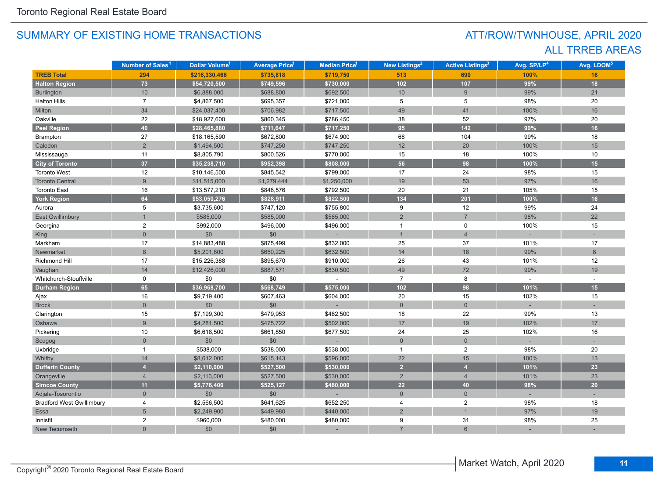## ATT/ROW/TWNHOUSE, APRIL 2020 ALL TRREB AREAS

|                                  | Number of Sales <sup>1</sup> | <b>Dollar Volume<sup>1</sup></b> | <b>Average Price<sup>1</sup></b> | <b>Median Price</b> <sup>1</sup> | New Listings <sup>2</sup> | <b>Active Listings<sup>3</sup></b> | Avg. SP/LP <sup>4</sup> | Avg. LDOM <sup>5</sup> |
|----------------------------------|------------------------------|----------------------------------|----------------------------------|----------------------------------|---------------------------|------------------------------------|-------------------------|------------------------|
| <b>TREB Total</b>                | 294                          | \$216,330,466                    | \$735,818                        | \$719,750                        | 513                       | 690                                | 100%                    | 16                     |
| <b>Halton Region</b>             | 73                           | \$54,720,500                     | \$749,596                        | \$730,000                        | 102                       | 107                                | 99%                     | 18                     |
| <b>Burlington</b>                | 10 <sup>°</sup>              | \$6,888,000                      | \$688,800                        | \$692,500                        | 10                        | 9                                  | 99%                     | 21                     |
| <b>Halton Hills</b>              | $\overline{7}$               | \$4,867,500                      | \$695,357                        | \$721,000                        | 5                         | 5                                  | 98%                     | 20                     |
| Milton                           | 34                           | \$24,037,400                     | \$706,982                        | \$717,500                        | 49                        | 41                                 | 100%                    | 16                     |
| Oakville                         | 22                           | \$18,927,600                     | \$860,345                        | \$786,450                        | 38                        | 52                                 | 97%                     | 20                     |
| <b>Peel Region</b>               | 40                           | \$28,465,880                     | \$711,647                        | \$717,250                        | 95                        | $142$                              | 99%                     | 16                     |
| Brampton                         | 27                           | \$18,165,590                     | \$672,800                        | \$674,900                        | 68                        | 104                                | 99%                     | 18                     |
| Caledon                          | $\overline{2}$               | \$1,494,500                      | \$747,250                        | \$747,250                        | 12                        | 20                                 | 100%                    | 15                     |
| Mississauga                      | 11                           | \$8,805,790                      | \$800,526                        | \$770,000                        | 15                        | 18                                 | 100%                    | 10                     |
| <b>City of Toronto</b>           | 37                           | \$35,238,710                     | \$952,398                        | \$808,000                        | 56                        | 98                                 | 100%                    | 15                     |
| <b>Toronto West</b>              | 12                           | \$10,146,500                     | \$845,542                        | \$799,000                        | 17                        | 24                                 | 98%                     | 15                     |
| <b>Toronto Central</b>           | $\overline{9}$               | \$11,515,000                     | \$1,279,444                      | \$1,250,000                      | 19                        | 53                                 | 97%                     | 16                     |
| <b>Toronto East</b>              | 16                           | \$13,577,210                     | \$848,576                        | \$792,500                        | 20                        | 21                                 | 105%                    | 15                     |
| <b>York Region</b>               | 64                           | \$53,050,276                     | \$828,911                        | \$822,500                        | 134                       | 201                                | 100%                    | 16                     |
| Aurora                           | 5                            | \$3,735,600                      | \$747,120                        | \$755,800                        | 9                         | 12                                 | 99%                     | 24                     |
| <b>East Gwillimbury</b>          |                              | \$585,000                        | \$585,000                        | \$585,000                        | $\overline{2}$            | $\overline{7}$                     | 98%                     | 22                     |
| Georgina                         | 2                            | \$992,000                        | \$496,000                        | \$496,000                        | $\mathbf{1}$              | $\mathbf 0$                        | 100%                    | 15                     |
| King                             | $\overline{0}$               | \$0                              | \$0                              | i.                               | $\overline{1}$            | $\overline{4}$                     |                         |                        |
| Markham                          | 17                           | \$14,883,488                     | \$875,499                        | \$832,000                        | 25                        | 37                                 | 101%                    | 17                     |
| Newmarket                        | 8                            | \$5,201,800                      | \$650,225                        | \$632,500                        | 14                        | 18                                 | 99%                     | 8                      |
| Richmond Hill                    | 17                           | \$15,226,388                     | \$895,670                        | \$910,000                        | 26                        | 43                                 | 101%                    | 12                     |
| Vaughan                          | 14                           | \$12,426,000                     | \$887,571                        | \$830,500                        | 49                        | 72                                 | 99%                     | 19                     |
| Whitchurch-Stouffville           | 0                            | \$0                              | \$0                              |                                  | $\overline{7}$            | 8                                  |                         |                        |
| <b>Durham Region</b>             | 65                           | \$36,968,700                     | \$568,749                        | \$575,000                        | $102$                     | 98                                 | 101%                    | 15                     |
| Ajax                             | 16                           | \$9,719,400                      | \$607,463                        | \$604,000                        | 20                        | 15                                 | 102%                    | 15                     |
| <b>Brock</b>                     | $\overline{0}$               | \$0                              | \$0                              |                                  | $\overline{0}$            | $\overline{0}$                     |                         |                        |
| Clarington                       | 15                           | \$7,199,300                      | \$479,953                        | \$482,500                        | 18                        | 22                                 | 99%                     | 13                     |
| Oshawa                           | 9                            | \$4,281,500                      | \$475,722                        | \$502,000                        | 17                        | 19                                 | 102%                    | 17                     |
| Pickering                        | 10                           | \$6,618,500                      | \$661,850                        | \$677,500                        | 24                        | 25                                 | 102%                    | 16                     |
| Scugog                           | $\overline{0}$               | \$0                              | \$0                              |                                  | $\mathsf{O}\xspace$       | $\mathsf{O}\xspace$                |                         |                        |
| Uxbridge                         | $\mathbf{1}$                 | \$538,000                        | \$538,000                        | \$538,000                        | $\mathbf{1}$              | $\overline{2}$                     | 98%                     | 20                     |
| Whitby                           | 14                           | \$8,612,000                      | \$615,143                        | \$596,000                        | 22                        | 15                                 | 100%                    | 13                     |
| <b>Dufferin County</b>           | 4                            | \$2,110,000                      | \$527,500                        | \$530,000                        | $\overline{2}$            | $\overline{\mathbf{A}}$            | 101%                    | 23                     |
| Orangeville                      | $\overline{4}$               | \$2,110,000                      | \$527,500                        | \$530,000                        | 2                         | $\overline{4}$                     | 101%                    | 23                     |
| <b>Simcoe County</b>             | 11                           | \$5,776,400                      | \$525,127                        | \$480,000                        | 22                        | 40                                 | 98%                     | 20                     |
| Adjala-Tosorontio                | $\overline{0}$               | \$0                              | \$0                              |                                  | $\overline{0}$            | $\overline{0}$                     |                         |                        |
| <b>Bradford West Gwillimbury</b> | 4                            | \$2,566,500                      | \$641,625                        | \$652,250                        | $\overline{4}$            | $\overline{c}$                     | 98%                     | 18                     |
| Essa                             | 5                            | \$2,249,900                      | \$449,980                        | \$440,000                        | $\overline{2}$            | $\mathbf{1}$                       | 97%                     | 19                     |
| Innisfil                         | 2                            | \$960,000                        | \$480,000                        | \$480,000                        | 9                         | 31                                 | 98%                     | 25                     |
| New Tecumseth                    | $\overline{0}$               | \$0                              | \$0                              |                                  | $\overline{7}$            | $6\overline{6}$                    |                         |                        |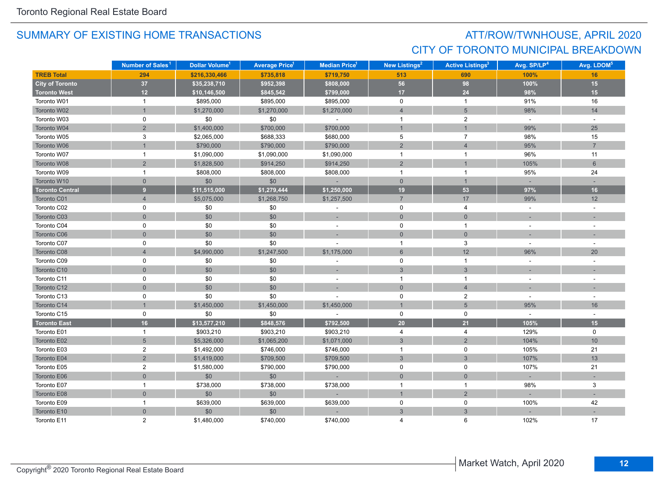## ATT/ROW/TWNHOUSE, APRIL 2020 CITY OF TORONTO MUNICIPAL BREAKDOWN

|                        | Number of Sales <sup>1</sup> | Dollar Volume <sup>1</sup> | <b>Average Price</b> <sup>1</sup> | <b>Median Price</b> <sup>1</sup> | New Listings <sup>2</sup> | <b>Active Listings<sup>3</sup></b> | Avg. SP/LP <sup>4</sup> | Avg. LDOM <sup>5</sup>   |
|------------------------|------------------------------|----------------------------|-----------------------------------|----------------------------------|---------------------------|------------------------------------|-------------------------|--------------------------|
| <b>TREB Total</b>      | 294                          | \$216,330,466              | \$735,818                         | \$719,750                        | 513                       | 690                                | 100%                    | 16                       |
| <b>City of Toronto</b> | $37\,$                       | \$35,238,710               | \$952,398                         | \$808,000                        | 56                        | 98                                 | 100%                    | 15                       |
| <b>Toronto West</b>    | 12                           | \$10,146,500               | \$845,542                         | \$799,000                        | 17 <sup>2</sup>           | $24$                               | 98%                     | 15                       |
| Toronto W01            | $\mathbf{1}$                 | \$895,000                  | \$895,000                         | \$895,000                        | $\mathbf 0$               | $\mathbf{1}$                       | 91%                     | 16                       |
| Toronto W02            |                              | \$1,270,000                | \$1,270,000                       | \$1,270,000                      | $\overline{4}$            | $5\phantom{.0}$                    | 98%                     | 14                       |
| Toronto W03            | 0                            | \$0                        | \$0                               | $\sim$                           | $\mathbf{1}$              | $\overline{2}$                     | $\omega$                | $\sim$                   |
| Toronto W04            | $\overline{2}$               | \$1,400,000                | \$700,000                         | \$700,000                        | $\overline{1}$            | $\overline{1}$                     | 99%                     | 25                       |
| Toronto W05            | 3                            | \$2,065,000                | \$688,333                         | \$680,000                        | 5                         | $\overline{7}$                     | 98%                     | 15                       |
| Toronto W06            |                              | \$790,000                  | \$790,000                         | \$790,000                        | $\sqrt{2}$                | $\overline{4}$                     | 95%                     | $\overline{7}$           |
| Toronto W07            | $\mathbf{1}$                 | \$1,090,000                | \$1,090,000                       | \$1,090,000                      | $\overline{1}$            | $\mathbf{1}$                       | 96%                     | 11                       |
| Toronto W08            | $\overline{2}$               | \$1,828,500                | \$914,250                         | \$914,250                        | $\sqrt{2}$                | $\mathbf{1}$                       | 105%                    | $6\phantom{1}$           |
| Toronto W09            | $\mathbf{1}$                 | \$808,000                  | \$808,000                         | \$808,000                        | $\overline{1}$            | $\mathbf{1}$                       | 95%                     | 24                       |
| Toronto W10            | $\overline{0}$               | \$0                        | \$0                               | $\sim$                           | $\overline{0}$            | $\mathbf{1}$                       |                         |                          |
| <b>Toronto Central</b> | 9 <sup>°</sup>               | \$11,515,000               | \$1,279,444                       | \$1,250,000                      | 19                        | 53                                 | 97%                     | 16                       |
| Toronto C01            | $\overline{4}$               | \$5,075,000                | \$1,268,750                       | \$1,257,500                      | $\overline{7}$            | 17                                 | 99%                     | 12                       |
| Toronto C02            | 0                            | \$0                        | \$0                               | $\blacksquare$                   | $\mathsf{O}$              | 4                                  | $\sim$                  | $\sim$                   |
| Toronto C03            | $\mathbf 0$                  | \$0                        | \$0                               |                                  | $\mathbf 0$               | $\mathsf{O}\xspace$                |                         |                          |
| Toronto C04            | 0                            | \$0                        | \$0                               |                                  | $\mathsf{O}$              | $\mathbf{1}$                       |                         |                          |
| Toronto C06            | $\mathbf 0$                  | \$0                        | \$0                               | ÷.                               | $\mathbf 0$               | $\overline{0}$                     | $\sim$                  | $\overline{\phantom{a}}$ |
| Toronto C07            | 0                            | \$0                        | \$0                               |                                  | $\overline{1}$            | 3                                  |                         |                          |
| Toronto C08            | $\overline{4}$               | \$4,990,000                | \$1,247,500                       | \$1,175,000                      | $6\overline{6}$           | 12                                 | 96%                     | 20                       |
| Toronto C09            | 0                            | \$0                        | \$0                               |                                  | 0                         | $\mathbf{1}$                       | $\sim$                  |                          |
| Toronto C10            | $\mathbf 0$                  | \$0                        | \$0                               |                                  | $\sqrt{3}$                | $\mathfrak{S}$                     |                         |                          |
| Toronto C11            | $\mathsf 0$                  | $$0$$                      | \$0                               | $\sim$                           | $\mathbf{1}$              | $\mathbf{1}$                       | $\sim$                  |                          |
| Toronto C12            | $\mathsf{O}\xspace$          | \$0                        | \$0                               |                                  | $\mathbf 0$               | $\overline{4}$                     |                         |                          |
| Toronto C13            | $\mathbf 0$                  | \$0                        | \$0                               |                                  | $\mathsf 0$               | $\mathbf{2}$                       | $\sim$                  | $\overline{a}$           |
| Toronto C14            |                              | \$1,450,000                | \$1,450,000                       | \$1,450,000                      | $\overline{1}$            | 5                                  | 95%                     | 16                       |
| Toronto C15            | 0                            | \$0                        | \$0                               |                                  | $\mathbf 0$               | 0                                  | $\sim$                  |                          |
| <b>Toronto East</b>    | 16 <sup>°</sup>              | \$13,577,210               | \$848,576                         | \$792,500                        | $20\degree$               | 21                                 | 105%                    | 15                       |
| Toronto E01            | $\mathbf{1}$                 | \$903,210                  | \$903,210                         | \$903,210                        | 4                         | 4                                  | 129%                    | $\mathbf 0$              |
| Toronto E02            | 5                            | \$5,326,000                | \$1,065,200                       | \$1,071,000                      | $\sqrt{3}$                | $\overline{2}$                     | 104%                    | $10$                     |
| Toronto E03            | $\overline{c}$               | \$1,492,000                | \$746,000                         | \$746,000                        | $\mathbf{1}$              | $\mathbf 0$                        | 105%                    | 21                       |
| Toronto E04            | $\overline{2}$               | \$1,419,000                | \$709,500                         | \$709,500                        | 3                         | 3                                  | 107%                    | 13                       |
| Toronto E05            | $\overline{2}$               | \$1,580,000                | \$790,000                         | \$790,000                        | $\mathbf 0$               | 0                                  | 107%                    | 21                       |
| Toronto E06            | $\overline{0}$               | \$0                        | \$0                               | $\sim$                           | $\mathbf{0}$              | $\overline{0}$                     |                         |                          |
| Toronto E07            | $\mathbf{1}$                 | \$738,000                  | \$738,000                         | \$738,000                        | $\overline{1}$            | $\mathbf{1}$                       | 98%                     | 3                        |
| Toronto E08            | $\overline{0}$               | \$0                        | \$0                               |                                  | $\mathbf{1}$              | $\overline{2}$                     |                         |                          |
| Toronto E09            | $\mathbf{1}$                 | \$639,000                  | \$639,000                         | \$639,000                        | $\mathsf 0$               | $\mathbf 0$                        | 100%                    | 42                       |
| Toronto E10            | $\mathsf{O}\xspace$          | \$0                        | \$0                               |                                  | $\mathbf{3}$              | $\sqrt{3}$                         |                         |                          |
| Toronto E11            | $\overline{2}$               | \$1,480,000                | \$740,000                         | \$740.000                        | $\Delta$                  | 6                                  | 102%                    | 17                       |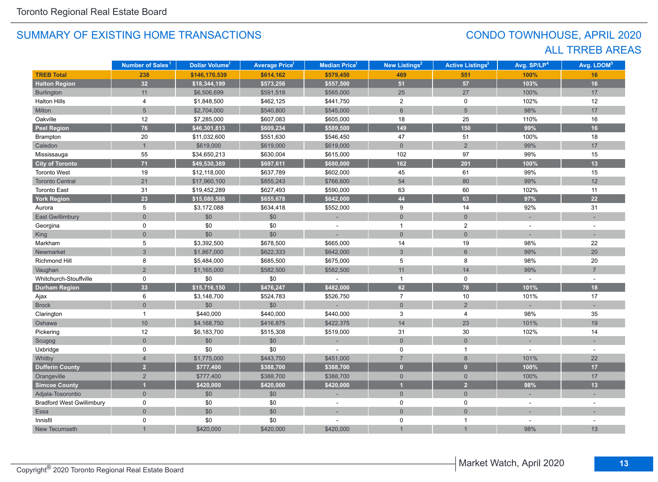## CONDO TOWNHOUSE, APRIL 2020 ALL TRREB AREAS

|                                  | Number of Sales <sup>1</sup> | Dollar Volume <sup>1</sup> | <b>Average Price</b> <sup>1</sup> | <b>Median Price<sup>1</sup></b> | <b>New Listings<sup>2</sup></b> | <b>Active Listings<sup>3</sup></b> | Avg. SP/LP <sup>4</sup> | Avg. LDOM <sup>5</sup> |
|----------------------------------|------------------------------|----------------------------|-----------------------------------|---------------------------------|---------------------------------|------------------------------------|-------------------------|------------------------|
| <b>TREB Total</b>                | 238                          | \$146,170,539              | \$614,162                         | \$579,450                       | 469                             | 551                                | 100%                    | 16                     |
| <b>Halton Region</b>             | 32                           | \$18,344,199               | \$573,256                         | \$557,500                       | 51                              | 57                                 | 103%                    | 16                     |
| Burlington                       | 11                           | \$6,506,699                | \$591,518                         | \$565,000                       | 25                              | 27                                 | 100%                    | 17                     |
| <b>Halton Hills</b>              | 4                            | \$1,848,500                | \$462,125                         | \$441,750                       | $\overline{2}$                  | $\mathbf 0$                        | 102%                    | 12                     |
| Milton                           | 5                            | \$2,704,000                | \$540,800                         | \$545,000                       | $\,6\,$                         | $\overline{5}$                     | 98%                     | 17                     |
| Oakville                         | 12                           | \$7,285,000                | \$607,083                         | \$605,000                       | 18                              | 25                                 | 110%                    | 16                     |
| <b>Peel Region</b>               | 76                           | \$46,301,813               | \$609,234                         | \$589,500                       | 149                             | 150                                | 99%                     | 16                     |
| Brampton                         | $20\,$                       | \$11,032,600               | \$551,630                         | \$546,450                       | 47                              | 51                                 | 100%                    | 18                     |
| Caledon                          | $\mathbf{1}$                 | \$619,000                  | \$619,000                         | \$619,000                       | $\mathbf 0$                     | $\overline{2}$                     | 99%                     | 17                     |
| Mississauga                      | 55                           | \$34,650,213               | \$630,004                         | \$615,000                       | 102                             | 97                                 | 99%                     | 15                     |
| <b>City of Toronto</b>           | 71                           | \$49,530,389               | \$697,611                         | \$680,000                       | 162                             | $201$                              | 100%                    | 13                     |
| <b>Toronto West</b>              | 19                           | \$12,118,000               | \$637,789                         | \$602,000                       | 45                              | 61                                 | 99%                     | 15                     |
| <b>Toronto Central</b>           | 21                           | \$17,960,100               | \$855,243                         | \$766,600                       | 54                              | 80                                 | 99%                     | 12                     |
| <b>Toronto East</b>              | 31                           | \$19,452,289               | \$627,493                         | \$590,000                       | 63                              | 60                                 | 102%                    | 11                     |
| <b>York Region</b>               | 23                           | \$15,080,588               | \$655,678                         | \$642,000                       | 44                              | 63                                 | 97%                     | 22                     |
| Aurora                           | 5                            | \$3,172,088                | \$634,418                         | \$552,000                       | 9                               | 14                                 | 92%                     | 31                     |
| <b>East Gwillimbury</b>          | $\overline{0}$               | \$0                        | \$0                               | ٠                               | $\overline{0}$                  | $\overline{0}$                     |                         |                        |
| Georgina                         | 0                            | \$0                        | \$0                               |                                 | $\mathbf{1}$                    | $\overline{2}$                     |                         |                        |
| <b>King</b>                      | $\overline{0}$               | \$0                        | \$0                               |                                 | $\overline{0}$                  | $\overline{0}$                     |                         |                        |
| Markham                          | 5                            | \$3,392,500                | \$678,500                         | \$665,000                       | 14                              | 19                                 | 98%                     | 22                     |
| Newmarket                        | $\overline{3}$               | \$1,867,000                | \$622,333                         | \$642,000                       | $\mathbf{3}$                    | $6\phantom{a}$                     | 99%                     | 20                     |
| Richmond Hill                    | 8                            | \$5,484,000                | \$685,500                         | \$675,000                       | 5                               | 8                                  | 98%                     | 20                     |
| Vaughan                          | $\overline{2}$               | \$1,165,000                | \$582,500                         | \$582,500                       | 11                              | 14                                 | 99%                     | $\overline{7}$         |
| Whitchurch-Stouffville           | 0                            | \$0                        | \$0                               |                                 | $\mathbf{1}$                    | $\mathbf 0$                        |                         |                        |
| <b>Durham Region</b>             | 33 <sup>°</sup>              | \$15,716,150               | \$476,247                         | \$482,000                       | 62                              | 78                                 | 101%                    | 18                     |
| Ajax                             | 6                            | \$3,148,700                | \$524,783                         | \$526,750                       | $\overline{7}$                  | 10                                 | 101%                    | 17                     |
| <b>Brock</b>                     | $\overline{0}$               | $$0$$                      | $$0$$                             |                                 | $\mathbf{0}$                    | $\overline{2}$                     |                         |                        |
| Clarington                       | $\mathbf{1}$                 | \$440,000                  | \$440,000                         | \$440,000                       | 3                               | 4                                  | 98%                     | 35                     |
| Oshawa                           | 10                           | \$4,168,750                | \$416,875                         | \$422,375                       | 14                              | 23                                 | 101%                    | 19                     |
| Pickering                        | 12                           | \$6,183,700                | \$515,308                         | \$519,000                       | 31                              | 30                                 | 102%                    | 14                     |
| Scugog                           | $\overline{0}$               | $$0$$                      | $\$0$                             |                                 | $\mathsf{O}\xspace$             | $\mathbf 0$                        |                         |                        |
| Uxbridge                         | 0                            | \$0                        | \$0                               |                                 | $\mathbf 0$                     | $\mathbf{1}$                       |                         | $\overline{a}$         |
| Whitby                           | $\overline{4}$               | \$1,775,000                | \$443,750                         | \$451,000                       | $\overline{7}$                  | 8                                  | 101%                    | 22                     |
| <b>Dufferin County</b>           | 2 <sup>1</sup>               | \$777,400                  | \$388,700                         | \$388,700                       | $\mathbf{0}$                    | $\overline{0}$                     | 100%                    | 17                     |
| Orangeville                      | $\overline{2}$               | \$777,400                  | \$388,700                         | \$388,700                       | $\overline{0}$                  | $\overline{0}$                     | 100%                    | 17                     |
| <b>Simcoe County</b>             | $\overline{1}$               | \$420,000                  | \$420,000                         | \$420,000                       | $\overline{1}$                  | $\overline{2}$                     | 98%                     | 13                     |
| Adjala-Tosorontio                | $\overline{0}$               | \$0                        | \$0                               |                                 | $\mathsf{O}$                    | $\overline{0}$                     |                         |                        |
| <b>Bradford West Gwillimbury</b> | 0                            | \$0                        | \$0                               | $\sim$                          | $\mathbf 0$                     | $\mathbf 0$                        |                         |                        |
| Essa                             | $\overline{0}$               | $$0$$                      | $$0$$                             |                                 | $\overline{0}$                  | $\mathbf 0$                        |                         |                        |
| Innisfil                         | 0                            | \$0                        | \$0                               |                                 | $\pmb{0}$                       | $\mathbf{1}$                       |                         |                        |
| New Tecumseth                    |                              | \$420,000                  | \$420,000                         | \$420,000                       |                                 | $\mathbf{1}$                       | 98%                     | 13                     |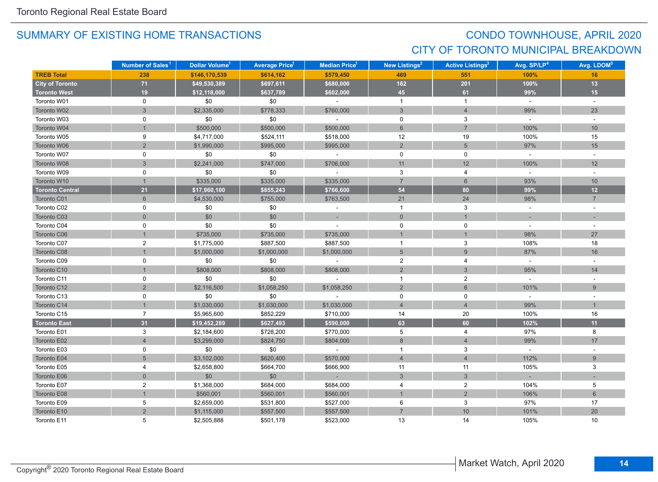## CONDO TOWNHOUSE, APRIL 2020 CITY OF TORONTO MUNICIPAL BREAKDOWN

|                        | Number of Sales <sup>1</sup> | Dollar Volume <sup>1</sup> | <b>Average Price</b> 1 | Median Price <sup>1</sup> | <b>New Listings<sup>2</sup></b> | <b>Active Listings<sup>3</sup></b> | Avg. SP/LP <sup>4</sup> | Avg. LDOM <sup>5</sup> |
|------------------------|------------------------------|----------------------------|------------------------|---------------------------|---------------------------------|------------------------------------|-------------------------|------------------------|
| <b>TREB Total</b>      | 238                          | \$146,170,539              | \$614,162              | \$579,450                 | 469                             | 551                                | 100%                    | 16                     |
| <b>City of Toronto</b> | $71$                         | \$49,530,389               | \$697,611              | \$680,000                 | 162                             | 201                                | 100%                    | 13                     |
| <b>Toronto West</b>    | 19                           | \$12,118,000               | \$637,789              | \$602,000                 | 45                              | 61                                 | 99%                     | 15                     |
| Toronto W01            | 0                            | \$0                        | \$0                    | $\mathbf{r}$              | $\overline{1}$                  | $\mathbf{1}$                       | $\sim$                  | $\omega$               |
| Toronto W02            | $\mathbf{3}$                 | \$2,335,000                | \$778,333              | \$760,000                 | $\mathbf{3}$                    | $\overline{4}$                     | 99%                     | 23                     |
| Toronto W03            | 0                            | \$0                        | \$0                    | $\sim$                    | 0                               | 3                                  | $\sim$                  | $\sim$                 |
| Toronto W04            |                              | \$500,000                  | \$500,000              | \$500,000                 | 6                               | $\overline{7}$                     | 100%                    | 10                     |
| Toronto W05            | 9                            | \$4,717,000                | \$524,111              | \$518,000                 | 12                              | 19                                 | 100%                    | 15                     |
| Toronto W06            | $\overline{2}$               | \$1,990,000                | \$995,000              | \$995,000                 | $\overline{2}$                  | $\sqrt{5}$                         | 97%                     | 15                     |
| Toronto W07            | 0                            | \$0                        | \$0                    | $\sim$                    | $\mathbf 0$                     | 0                                  | $\sim$                  | $\sim$                 |
| Toronto W08            | $\mathfrak{S}$               | \$2,241,000                | \$747,000              | \$706,000                 | 11                              | 12                                 | 100%                    | 12                     |
| Toronto W09            | 0                            | \$0                        | \$0                    | $\sim$                    | 3                               | 4                                  | $\sim$                  | $\sim$                 |
| Toronto W10            | $\mathbf{1}$                 | \$335,000                  | \$335,000              | \$335,000                 | $\overline{7}$                  | $6\phantom{1}$                     | 93%                     | 10                     |
| <b>Toronto Central</b> | 21                           | \$17,960,100               | \$855,243              | \$766,600                 | 54                              | 80                                 | 99%                     | 12                     |
| Toronto C01            | $6\phantom{1}$               | \$4,530,000                | \$755,000              | \$763,500                 | 21                              | 24                                 | 98%                     | $\overline{7}$         |
| Toronto C02            | 0                            | \$0                        | \$0                    | $\blacksquare$            | $\overline{1}$                  | 3                                  | $\sim$                  | $\sim$                 |
| Toronto C03            | $\mathbf 0$                  | \$0                        | \$0                    |                           | $\mathsf{O}\xspace$             | $\mathbf{1}$                       |                         |                        |
| Toronto C04            | 0                            | \$0                        | \$0                    |                           | 0                               | 0                                  | $\sim$                  |                        |
| Toronto C06            |                              | \$735,000                  | \$735,000              | \$735,000                 | $\mathbf{1}$                    | $\overline{1}$                     | 98%                     | 27                     |
| Toronto C07            | 2                            | \$1,775,000                | \$887,500              | \$887,500                 | $\overline{1}$                  | 3                                  | 108%                    | 18                     |
| Toronto C08            |                              | \$1,000,000                | \$1,000,000            | \$1,000,000               | $5\overline{)}$                 | 9                                  | 87%                     | 16                     |
| Toronto C09            | 0                            | \$0                        | \$0                    | $\sim$                    | $\overline{2}$                  | 4                                  | $\omega$                | $\sim$                 |
| Toronto C10            |                              | \$808,000                  | \$808,000              | \$808,000                 | $\overline{2}$                  | 3                                  | 95%                     | 14                     |
| Toronto C11            | 0                            | \$0                        | \$0                    | $\sim$                    | $\mathbf{1}$                    | $\boldsymbol{2}$                   | $\omega$                |                        |
| Toronto C12            | $\overline{c}$               | \$2,116,500                | \$1,058,250            | \$1,058,250               | $\overline{2}$                  | $\,6\,$                            | 101%                    | 9                      |
| Toronto C13            | 0                            | \$0                        | \$0                    |                           | $\mathbf 0$                     | $\mathbf 0$                        | $\sim$                  |                        |
| Toronto C14            |                              | \$1,030,000                | \$1,030,000            | \$1,030,000               | $\overline{4}$                  | $\overline{4}$                     | 99%                     | $\overline{1}$         |
| Toronto C15            | $\overline{7}$               | \$5,965,600                | \$852,229              | \$710,000                 | 14                              | 20                                 | 100%                    | 16                     |
| <b>Toronto East</b>    | 31                           | \$19,452,289               | \$627,493              | \$590,000                 | 63                              | 60                                 | 102%                    | 11                     |
| Toronto E01            | 3                            | \$2,184,600                | \$728,200              | \$770,000                 | 5                               | 4                                  | 97%                     | 8                      |
| Toronto E02            | $\overline{4}$               | \$3,299,000                | \$824,750              | \$804,000                 | $\bf 8$                         | $\overline{4}$                     | 99%                     | 17                     |
| Toronto E03            | 0                            | \$0                        | \$0                    | $\sim$                    | $\overline{1}$                  | 3                                  | $\omega$                | $\overline{a}$         |
| Toronto E04            | 5                            | \$3,102,000                | \$620,400              | \$570,000                 | $\overline{4}$                  | $\overline{4}$                     | 112%                    | 9                      |
| Toronto E05            | 4                            | \$2,658,800                | \$664,700              | \$666,900                 | 11                              | 11                                 | 105%                    | 3                      |
| Toronto E06            | $\overline{0}$               | \$0                        | \$0                    | <b>Card</b>               | 3                               | 3                                  |                         |                        |
| Toronto E07            | $\sqrt{2}$                   | \$1,368,000                | \$684,000              | \$684,000                 | 4                               | $\boldsymbol{2}$                   | 104%                    | 5                      |
| Toronto E08            |                              | \$560,001                  | \$560,001              | \$560,001                 | $\mathbf{1}$                    | $\sqrt{2}$                         | 106%                    | $6\phantom{1}$         |
| Toronto E09            | 5                            | \$2,659,000                | \$531,800              | \$527,000                 | 6                               | 3                                  | 97%                     | 17                     |
| Toronto E10            | $\overline{c}$               | \$1,115,000                | \$557,500              | \$557,500                 | $\overline{7}$                  | $10$                               | 101%                    | 20                     |
| Toronto E11            | 5                            | \$2,505,888                | \$501,178              | \$523,000                 | 13                              | 14                                 | 105%                    | 10                     |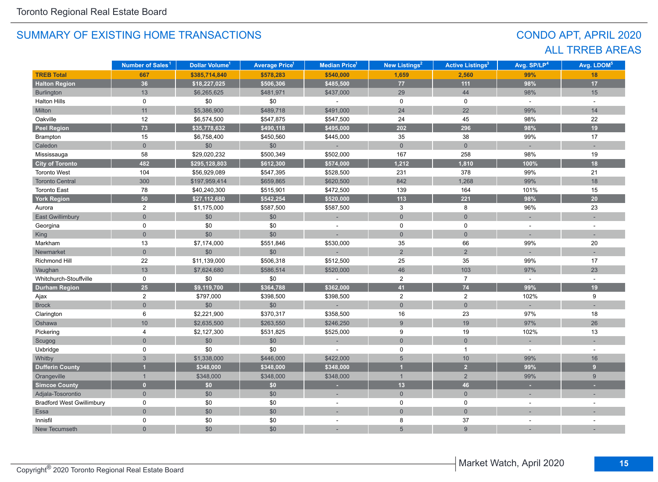## CONDO APT, APRIL 2020 ALL TRREB AREAS

|                                  | Number of Sales <sup>1</sup> | Dollar Volume <sup>1</sup> | <b>Average Price<sup>1</sup></b> | Median Price <sup>1</sup> | New Listings <sup>2</sup> | <b>Active Listings<sup>3</sup></b> | Avg. SP/LP <sup>4</sup> | Avg. LDOM <sup>5</sup> |
|----------------------------------|------------------------------|----------------------------|----------------------------------|---------------------------|---------------------------|------------------------------------|-------------------------|------------------------|
| <b>TREB Total</b>                | 667                          | \$385,714,840              | \$578,283                        | \$540,000                 | 1,659                     | 2,560                              | 99%                     | 18                     |
| <b>Halton Region</b>             | 36                           | \$18,227,025               | \$506,306                        | \$485,500                 | $77\,$                    | $111$                              | 98%                     | 17                     |
| <b>Burlington</b>                | 13                           | \$6,265,625                | \$481,971                        | \$437,000                 | 29                        | 44                                 | 98%                     | 15                     |
| <b>Halton Hills</b>              | 0                            | \$0                        | \$0                              |                           | $\mathbf 0$               | $\mathbf 0$                        | $\sim$                  | $\omega$               |
| Milton                           | 11                           | \$5,386,900                | \$489,718                        | \$491,000                 | 24                        | 22                                 | 99%                     | 14                     |
| Oakville                         | 12                           | \$6,574,500                | \$547,875                        | \$547,500                 | 24                        | 45                                 | 98%                     | 22                     |
| <b>Peel Region</b>               | 73                           | \$35,778,632               | \$490,118                        | \$495,000                 | 202                       | 296                                | 98%                     | 19                     |
| Brampton                         | 15                           | \$6,758,400                | \$450,560                        | \$445,000                 | 35                        | 38                                 | 99%                     | 17                     |
| Caledon                          | $\overline{0}$               | \$0                        | \$0                              |                           | $\mathbf 0$               | $\mathbf 0$                        |                         |                        |
| Mississauga                      | 58                           | \$29,020,232               | \$500,349                        | \$502,000                 | 167                       | 258                                | 98%                     | 19                     |
| <b>City of Toronto</b>           | 482                          | \$295,128,803              | \$612,300                        | \$574,000                 | 1,212                     | 1,810                              | 100%                    | 18                     |
| <b>Toronto West</b>              | 104                          | \$56,929,089               | \$547,395                        | \$528,500                 | 231                       | 378                                | 99%                     | 21                     |
| <b>Toronto Central</b>           | 300                          | \$197,959,414              | \$659,865                        | \$620,500                 | 842                       | 1,268                              | 99%                     | 18                     |
| <b>Toronto East</b>              | 78                           | \$40,240,300               | \$515,901                        | \$472,500                 | 139                       | 164                                | 101%                    | 15                     |
| <b>York Region</b>               | 50                           | \$27,112,680               | \$542,254                        | \$520,000                 | 113                       | 221                                | 98%                     | 20                     |
| Aurora                           | $\overline{2}$               | \$1,175,000                | \$587,500                        | \$587,500                 | 3                         | 8                                  | 96%                     | 23                     |
| <b>East Gwillimbury</b>          | $\Omega$                     | \$0                        | $$0$$                            |                           | $\mathbf{0}$              | $\overline{0}$                     |                         |                        |
| Georgina                         | 0                            | \$0                        | \$0                              |                           | 0                         | 0                                  |                         |                        |
| King                             | $\overline{0}$               | \$0                        | \$0                              |                           | $\mathbf{0}$              | $\mathbf{0}$                       |                         |                        |
| Markham                          | 13                           | \$7,174,000                | \$551,846                        | \$530,000                 | 35                        | 66                                 | 99%                     | 20                     |
| Newmarket                        | $\overline{0}$               | \$0                        | \$0                              |                           | $\overline{2}$            | $\sqrt{2}$                         |                         |                        |
| Richmond Hill                    | 22                           | \$11,139,000               | \$506,318                        | \$512,500                 | 25                        | 35                                 | 99%                     | 17                     |
| Vaughan                          | 13                           | \$7,624,680                | \$586,514                        | \$520,000                 | 46                        | 103                                | 97%                     | 23                     |
| Whitchurch-Stouffville           | 0                            | \$0                        | \$0                              |                           | $\overline{2}$            | $\overline{7}$                     | $\sim$                  |                        |
| <b>Durham Region</b>             | $25\phantom{.0}$             | \$9,119,700                | \$364,788                        | \$362,000                 | 41                        | $\overline{74}$                    | 99%                     | 19                     |
| Ajax                             | $\overline{2}$               | \$797,000                  | \$398,500                        | \$398,500                 | $\overline{2}$            | $\overline{2}$                     | 102%                    | 9                      |
| <b>Brock</b>                     | $\overline{0}$               | \$0                        | \$0                              |                           | $\mathbf{0}$              | $\mathbf 0$                        |                         |                        |
| Clarington                       | 6                            | \$2,221,900                | \$370,317                        | \$358,500                 | 16                        | 23                                 | 97%                     | 18                     |
| Oshawa                           | 10                           | \$2,635,500                | \$263,550                        | \$246,250                 | $\overline{9}$            | 19                                 | 97%                     | 26                     |
| Pickering                        | 4                            | \$2,127,300                | \$531,825                        | \$525,000                 | 9                         | 19                                 | 102%                    | 13                     |
| Scugog                           | $\mathbf 0$                  | \$0                        | $$0$$                            |                           | $\mathsf{O}\xspace$       | $\mathsf{O}\xspace$                |                         |                        |
| Uxbridge                         | $\Omega$                     | \$0                        | \$0                              |                           | 0                         | $\mathbf{1}$                       | $\sim$                  |                        |
| Whitby                           | 3                            | \$1,338,000                | \$446,000                        | \$422,000                 | $\overline{5}$            | $10$                               | 99%                     | 16                     |
| <b>Dufferin County</b>           |                              | \$348,000                  | \$348,000                        | \$348,000                 | и                         | $\overline{2}$                     | 99%                     | 9                      |
| Orangeville                      | $\mathbf{1}$                 | \$348,000                  | \$348,000                        | \$348,000                 | $\overline{1}$            | 2                                  | 99%                     | 9                      |
| <b>Simcoe County</b>             | $\overline{0}$               | \$0                        | \$0                              |                           | 13                        | 46                                 |                         |                        |
| Adjala-Tosorontio                | $\overline{0}$               | \$0                        | \$0                              |                           | $\overline{0}$            | $\overline{0}$                     |                         |                        |
| <b>Bradford West Gwillimbury</b> | 0                            | \$0                        | \$0                              |                           | 0                         | 0                                  |                         |                        |
| Essa                             | $\overline{0}$               | \$0                        | \$0                              |                           | $\overline{0}$            | $\overline{0}$                     |                         |                        |
| Innisfil                         | $\Omega$                     | \$0                        | \$0                              |                           | 8                         | 37                                 |                         |                        |
| New Tecumseth                    | $\Omega$                     | \$0                        | \$0                              |                           | 5                         | $\overline{9}$                     |                         |                        |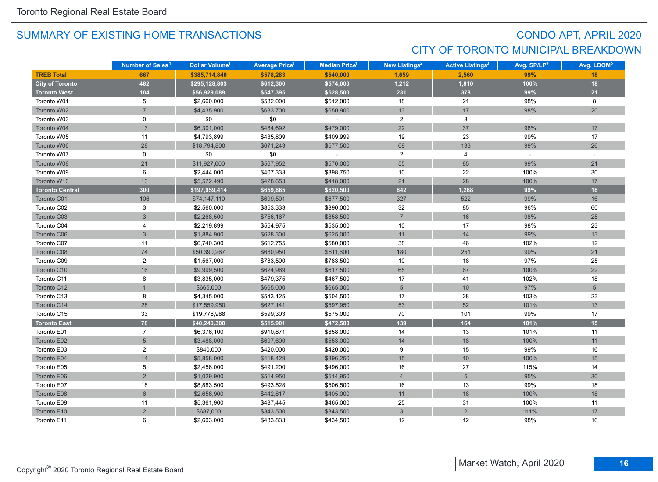## CONDO APT, APRIL 2020 CITY OF TORONTO MUNICIPAL BREAKDOWN

|                        | Number of Sales <sup>1</sup> | Dollar Volume <sup>1</sup> | <b>Average Price</b> | Median Price <sup>1</sup> | New Listings <sup>2</sup> | <b>Active Listings<sup>3</sup></b> | Avg. SP/LP <sup>4</sup> | Avg. LDOM <sup>5</sup> |
|------------------------|------------------------------|----------------------------|----------------------|---------------------------|---------------------------|------------------------------------|-------------------------|------------------------|
| <b>TREB Total</b>      | 667                          | \$385,714,840              | \$578,283            | \$540,000                 | 1,659                     | 2,560                              | 99%                     | 18                     |
| <b>City of Toronto</b> | 482                          | \$295,128,803              | \$612,300            | \$574,000                 | 1,212                     | 1,810                              | 100%                    | 18                     |
| <b>Toronto West</b>    | 104                          | \$56,929,089               | \$547,395            | \$528,500                 | 231                       | 378                                | 99%                     | 21                     |
| Toronto W01            | 5                            | \$2,660,000                | \$532,000            | \$512,000                 | 18                        | 21                                 | 98%                     | 8                      |
| Toronto W02            | $\overline{7}$               | \$4,435,900                | \$633,700            | \$650,900                 | 13                        | 17                                 | 98%                     | 20                     |
| Toronto W03            | 0                            | \$0                        | \$0                  |                           | $\overline{2}$            | 8                                  | $\sim$                  | $\sim$                 |
| Toronto W04            | 13                           | \$6,301,000                | \$484,692            | \$479,000                 | 22                        | 37                                 | 98%                     | 17                     |
| Toronto W05            | 11                           | \$4,793,899                | \$435,809            | \$409,999                 | 19                        | 23                                 | 99%                     | 17                     |
| Toronto W06            | 28                           | \$18,794,800               | \$671,243            | \$577,500                 | 69                        | 133                                | 99%                     | 26                     |
| Toronto W07            | 0                            | \$0                        | \$0                  | $\omega$                  | $\overline{2}$            | 4                                  | $\sim$                  | $\sim$                 |
| Toronto W08            | 21                           | \$11,927,000               | \$567,952            | \$570,000                 | 55                        | 85                                 | 99%                     | 21                     |
| Toronto W09            | 6                            | \$2,444,000                | \$407,333            | \$398,750                 | 10                        | 22                                 | 100%                    | 30                     |
| Toronto W10            | 13                           | \$5,572,490                | \$428,653            | \$418,000                 | 21                        | 28                                 | 100%                    | 17                     |
| <b>Toronto Central</b> | 300                          | \$197,959,414              | \$659,865            | \$620,500                 | 842                       | 1,268                              | 99%                     | 18                     |
| Toronto C01            | 106                          | \$74,147,110               | \$699,501            | \$677,500                 | 327                       | 522                                | 99%                     | 16                     |
| Toronto C02            | 3                            | \$2,560,000                | \$853,333            | \$890,000                 | 32                        | 85                                 | 96%                     | 60                     |
| Toronto C03            | 3                            | \$2,268,500                | \$756,167            | \$858,500                 | $\overline{7}$            | 16                                 | 98%                     | 25                     |
| Toronto C04            | 4                            | \$2,219,899                | \$554,975            | \$535,000                 | 10                        | 17                                 | 98%                     | 23                     |
| Toronto C06            | $\overline{3}$               | \$1,884,900                | \$628,300            | \$625,000                 | 11                        | 14                                 | 99%                     | 13                     |
| Toronto C07            | 11                           | \$6,740,300                | \$612,755            | \$580,000                 | 38                        | 46                                 | 102%                    | 12                     |
| Toronto C08            | 74                           | \$50,390,267               | \$680,950            | \$611,600                 | 180                       | 251                                | 99%                     | 21                     |
| Toronto C09            | $\overline{2}$               | \$1,567,000                | \$783,500            | \$783,500                 | 10                        | 18                                 | 97%                     | 25                     |
| Toronto C10            | 16                           | \$9,999,500                | \$624,969            | \$617,500                 | 65                        | 67                                 | 100%                    | 22                     |
| Toronto C11            | 8                            | \$3,835,000                | \$479,375            | \$467,500                 | 17                        | 41                                 | 102%                    | 18                     |
| Toronto C12            |                              | \$665,000                  | \$665,000            | \$665,000                 | $5\phantom{.0}$           | 10                                 | 97%                     | $5\overline{)}$        |
| Toronto C13            | 8                            | \$4,345,000                | \$543,125            | \$504,500                 | 17                        | 28                                 | 103%                    | 23                     |
| Toronto C14            | 28                           | \$17,559,950               | \$627,141            | \$597,950                 | 53                        | 52                                 | 101%                    | 13                     |
| Toronto C15            | 33                           | \$19,776,988               | \$599,303            | \$575,000                 | 70                        | 101                                | 99%                     | 17                     |
| <b>Toronto East</b>    | 78                           | \$40,240,300               | \$515,901            | \$472,500                 | 139                       | 164                                | 101%                    | 15                     |
| Toronto E01            | $\overline{7}$               | \$6,376,100                | \$910,871            | \$858,000                 | 14                        | 13                                 | 101%                    | 11                     |
| Toronto E02            | $5\overline{)}$              | \$3,488,000                | \$697,600            | \$553,000                 | 14                        | 18                                 | 100%                    | 11                     |
| Toronto E03            | $\overline{2}$               | \$840,000                  | \$420,000            | \$420,000                 | 9                         | 15                                 | 99%                     | 16                     |
| Toronto E04            | 14                           | \$5,858,000                | \$418,429            | \$396,250                 | 15                        | 10                                 | 100%                    | 15                     |
| Toronto E05            | 5                            | \$2,456,000                | \$491,200            | \$496,000                 | 16                        | 27                                 | 115%                    | 14                     |
| Toronto E06            | $\overline{2}$               | \$1,029,900                | \$514,950            | \$514,950                 | $\overline{4}$            | $\sqrt{5}$                         | 95%                     | 30                     |
| Toronto E07            | 18                           | \$8,883,500                | \$493,528            | \$506,500                 | 16                        | 13                                 | 99%                     | 18                     |
| Toronto E08            | $6\phantom{a}$               | \$2,656,900                | \$442,817            | \$405,000                 | 11                        | 18                                 | 100%                    | 18                     |
| Toronto E09            | 11                           | \$5,361,900                | \$487,445            | \$465,000                 | 25                        | 31                                 | 100%                    | 11                     |
| Toronto E10            | $\overline{2}$               | \$687,000                  | \$343,500            | \$343,500                 | $\mathfrak{S}$            | $\overline{2}$                     | 111%                    | 17                     |
| Toronto E11            | 6                            | \$2,603,000                | \$433,833            | \$434,500                 | 12                        | 12                                 | 98%                     | 16                     |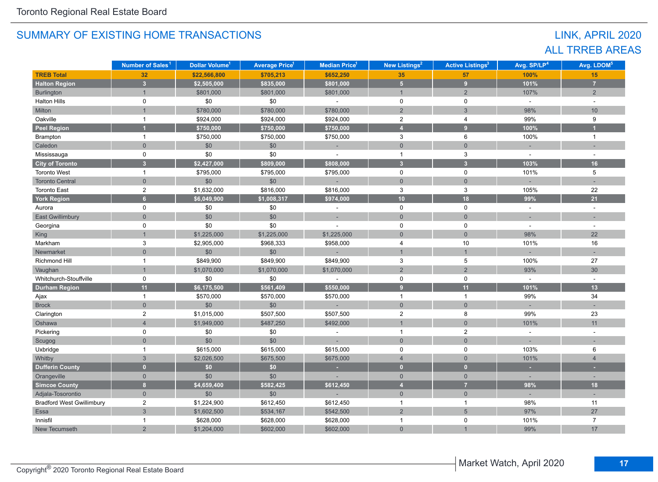## LINK, APRIL 2020 ALL TRREB AREAS

|                                  | Number of Sales <sup>1</sup> | Dollar Volume <sup>1</sup> | <b>Average Price<sup>1</sup></b> | <b>Median Price</b> <sup>1</sup> | New Listings <sup>2</sup> | <b>Active Listings<sup>3</sup></b> | Avg. SP/LP <sup>4</sup> | Avg. LDOM <sup>5</sup> |
|----------------------------------|------------------------------|----------------------------|----------------------------------|----------------------------------|---------------------------|------------------------------------|-------------------------|------------------------|
| <b>TREB Total</b>                | 32                           | \$22,566,800               | \$705,213                        | \$652,250                        | 35 <sub>5</sub>           | 57                                 | 100%                    | 15                     |
| <b>Halton Region</b>             | 3 <sup>1</sup>               | \$2,505,000                | \$835,000                        | \$801,000                        | 5 <sub>5</sub>            | 9                                  | 101%                    | $\overline{7}$         |
| Burlington                       | $\overline{1}$               | \$801,000                  | \$801,000                        | \$801,000                        | $\mathbf{1}$              | 2                                  | 107%                    | $2^{\circ}$            |
| <b>Halton Hills</b>              | 0                            | \$0                        | \$0                              | $\mathbf{r}$                     | $\mathbf 0$               | $\mathbf 0$                        | $\omega$                | $\omega$               |
| Milton                           |                              | \$780,000                  | \$780,000                        | \$780,000                        | $\overline{2}$            | $\mathfrak{S}$                     | 98%                     | 10                     |
| Oakville                         | $\mathbf{1}$                 | \$924,000                  | \$924,000                        | \$924,000                        | $\sqrt{2}$                | 4                                  | 99%                     | 9                      |
| <b>Peel Region</b>               |                              | \$750,000                  | \$750,000                        | \$750,000                        | $\overline{4}$            | 9 <sup>°</sup>                     | 100%                    |                        |
| Brampton                         | $\mathbf{1}$                 | \$750,000                  | \$750,000                        | \$750,000                        | 3                         | 6                                  | 100%                    | $\overline{1}$         |
| Caledon                          | $\overline{0}$               | \$0                        | \$0                              | ÷                                | $\mathbf{0}$              | $\overline{0}$                     |                         |                        |
| Mississauga                      | 0                            | \$0                        | \$0                              |                                  | $\mathbf{1}$              | 3                                  | $\sim$                  |                        |
| <b>City of Toronto</b>           | $\overline{\mathbf{3}}$      | \$2,427,000                | \$809,000                        | \$808,000                        | $\overline{\mathbf{3}}$   | $\overline{\mathbf{3}}$            | 103%                    | 16                     |
| <b>Toronto West</b>              | $\mathbf{1}$                 | \$795,000                  | \$795,000                        | \$795,000                        | $\mathbf 0$               | $\mathbf 0$                        | 101%                    | 5                      |
| <b>Toronto Central</b>           | $\overline{0}$               | \$0                        | \$0                              |                                  | $\mathbf{0}$              | $\overline{0}$                     |                         |                        |
| <b>Toronto East</b>              | $\overline{2}$               | \$1,632,000                | \$816,000                        | \$816,000                        | 3                         | 3                                  | 105%                    | 22                     |
| <b>York Region</b>               | $6\phantom{a}$               | \$6,049,900                | \$1,008,317                      | \$974,000                        | 10                        | 18                                 | 99%                     | 21                     |
| Aurora                           | $\mathbf 0$                  | \$0                        | \$0                              |                                  | $\mathbf 0$               | 0                                  |                         |                        |
| <b>East Gwillimbury</b>          | $\Omega$                     | \$0                        | \$0                              | ×.                               | $\mathbf{0}$              | $\overline{0}$                     |                         |                        |
| Georgina                         | $\mathbf 0$                  | \$0                        | \$0                              |                                  | 0                         | 0                                  | $\sim$                  |                        |
| King                             |                              | \$1,225,000                | \$1,225,000                      | \$1,225,000                      | $\mathbf{0}$              | $\overline{0}$                     | 98%                     | 22                     |
| Markham                          | 3                            | \$2,905,000                | \$968,333                        | \$958,000                        | $\overline{4}$            | 10                                 | 101%                    | 16                     |
| Newmarket                        | $\overline{0}$               | \$0                        | \$0                              | $\overline{a}$                   | $\overline{1}$            | $\mathbf{1}$                       |                         |                        |
| Richmond Hill                    | $\mathbf{1}$                 | \$849,900                  | \$849,900                        | \$849,900                        | $\mathbf{3}$              | 5                                  | 100%                    | 27                     |
| Vaughan                          |                              | \$1,070,000                | \$1,070,000                      | \$1,070,000                      | $\overline{2}$            | $\overline{2}$                     | 93%                     | 30                     |
| Whitchurch-Stouffville           | 0                            | \$0                        | \$0                              |                                  | $\mathbf 0$               | $\mathbf 0$                        |                         |                        |
| <b>Durham Region</b>             | 11                           | \$6,175,500                | \$561,409                        | \$550,000                        | 9                         | 11                                 | 101%                    | 13                     |
| Ajax                             | $\mathbf{1}$                 | \$570,000                  | \$570,000                        | \$570,000                        | $\overline{1}$            | $\mathbf{1}$                       | 99%                     | 34                     |
| <b>Brock</b>                     | $\mathbf 0$                  | \$0                        | \$0                              |                                  | $\mathbf{0}$              | $\mathbf 0$                        |                         |                        |
| Clarington                       | $\boldsymbol{2}$             | \$1,015,000                | \$507,500                        | \$507,500                        | $\sqrt{2}$                | $\bf 8$                            | 99%                     | 23                     |
| Oshawa                           | $\overline{4}$               | \$1,949,000                | \$487,250                        | \$492,000                        | $\overline{1}$            | $\overline{0}$                     | 101%                    | 11                     |
| Pickering                        | 0                            | \$0                        | \$0                              | $\bar{a}$                        | $\mathbf{1}$              | $\mathbf{2}$                       | $\omega$                | $\sim$                 |
| Scugog                           | $\mathbf 0$                  | \$0                        | \$0                              |                                  | $\mathbf 0$               | $\mathbf 0$                        |                         |                        |
| Uxbridge                         | $\mathbf{1}$                 | \$615,000                  | \$615,000                        | \$615,000                        | $\mathsf 0$               | $\pmb{0}$                          | 103%                    | 6                      |
| Whitby                           | $\overline{3}$               | \$2,026,500                | \$675,500                        | \$675,000                        | $\overline{4}$            | $\overline{0}$                     | 101%                    | $\overline{4}$         |
| <b>Dufferin County</b>           | $\overline{0}$               | \$0                        | \$0                              | ×.                               | $\mathbf{0}$              | $\mathbf{0}$                       | $\sim$                  | ٠                      |
| Orangeville                      | $\mathbf{0}$                 | \$0                        | \$0                              |                                  | $\overline{0}$            | $\overline{0}$                     |                         |                        |
| <b>Simcoe County</b>             | $\overline{\mathbf{8}}$      | \$4,659,400                | \$582,425                        | \$612,450                        | $\overline{4}$            | $\overline{7}$                     | 98%                     | 18                     |
| Adjala-Tosorontio                | $\mathbf{0}$                 | \$0                        | \$0                              |                                  | $\mathbf{0}$              | $\overline{0}$                     |                         | $\sim$                 |
| <b>Bradford West Gwillimbury</b> | $\overline{2}$               | \$1,224,900                | \$612,450                        | \$612,450                        | $\mathbf{1}$              | $\mathbf{1}$                       | 98%                     | 11                     |
| Essa                             | $\mathbf{3}$                 | \$1,602,500                | \$534,167                        | \$542,500                        | $\overline{2}$            | $5\overline{)}$                    | 97%                     | 27                     |
| Innisfil                         | $\mathbf{1}$                 | \$628,000                  | \$628,000                        | \$628,000                        | $\mathbf{1}$              | 0                                  | 101%                    | $\overline{7}$         |
| New Tecumseth                    | $\overline{2}$               | \$1,204,000                | \$602,000                        | \$602,000                        | $\mathbf{0}$              |                                    | 99%                     | 17                     |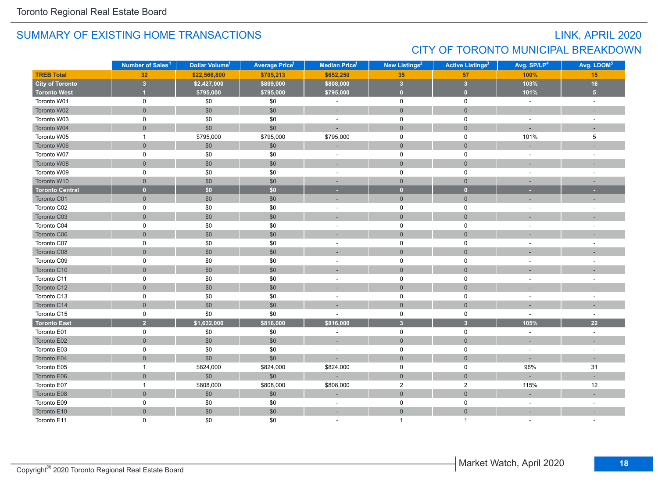## LINK, APRIL 2020 CITY OF TORONTO MUNICIPAL BREAKDOWN

|                        | Number of Sales <sup>1</sup> | Dollar Volume <sup>1</sup> | <b>Average Price<sup>1</sup></b> | Median Price <sup>1</sup> | New Listings <sup>2</sup> | <b>Active Listings<sup>3</sup></b> | Avg. SP/LP <sup>4</sup> | Avg. LDOM <sup>5</sup> |
|------------------------|------------------------------|----------------------------|----------------------------------|---------------------------|---------------------------|------------------------------------|-------------------------|------------------------|
| <b>TREB Total</b>      | 32                           | \$22,566,800               | \$705,213                        | \$652,250                 | 35                        | 57                                 | 100%                    | 15                     |
| <b>City of Toronto</b> | $\overline{\mathbf{3}}$      | \$2,427,000                | \$809,000                        | \$808,000                 | $\overline{\mathbf{3}}$   | $\overline{\mathbf{3}}$            | 103%                    | 16                     |
| <b>Toronto West</b>    |                              | \$795,000                  | \$795,000                        | \$795,000                 | $\overline{0}$            | $\mathbf{0}$                       | 101%                    | 5 <sup>2</sup>         |
| Toronto W01            | 0                            | \$0                        | \$0                              | $\blacksquare$            | $\mathsf 0$               | $\mathbf 0$                        | $\omega$                | $\sim$                 |
| Toronto W02            | $\overline{0}$               | \$0                        | \$0                              | ÷                         | $\mathsf 0$               | $\mathbf 0$                        | $\sim$                  |                        |
| Toronto W03            | $\mathbf 0$                  | \$0                        | \$0                              | $\blacksquare$            | $\mathbf 0$               | $\mathbf 0$                        | $\sim$                  | $\sim$                 |
| Toronto W04            | $\mathsf{O}\xspace$          | \$0                        | \$0                              | ÷,                        | $\mathsf{O}$              | $\mathbf 0$                        |                         |                        |
| Toronto W05            | $\mathbf{1}$                 | \$795,000                  | \$795,000                        | \$795,000                 | $\mathsf{O}$              | $\mathbf 0$                        | 101%                    | 5                      |
| Toronto W06            | $\mathbf{0}$                 | \$0                        | \$0                              | ×.                        | $\mathbf{0}$              | $\overline{0}$                     |                         |                        |
| Toronto W07            | 0                            | \$0                        | \$0                              |                           | 0                         | 0                                  |                         |                        |
| Toronto W08            | $\mathbf{0}$                 | \$0                        | \$0                              | ÷,                        | $\mathbf 0$               | $\overline{0}$                     |                         |                        |
| Toronto W09            | $\mathsf 0$                  | \$0                        | \$0                              | $\blacksquare$            | $\mathsf 0$               | $\mathsf 0$                        | $\sim$                  |                        |
| Toronto W10            | $\mathbf 0$                  | \$0                        | \$0                              | $\sim$                    | $\mathbf{0}$              | $\overline{0}$                     | $\sim$                  | $\sim$                 |
| <b>Toronto Central</b> | $\mathbf{0}$                 | \$0                        | \$0                              | ×                         | $\bullet$                 | $\mathbf{0}$                       | ×.                      | ×                      |
| Toronto C01            | $\mathsf{O}\xspace$          | $$0$$                      | \$0                              | ×,                        | $\mathbf 0$               | $\mathsf{O}\xspace$                |                         |                        |
| Toronto C02            | $\mathsf 0$                  | \$0                        | \$0                              | $\bar{a}$                 | $\pmb{0}$                 | $\mathsf 0$                        | $\sim$                  |                        |
| Toronto C03            | $\mathbf 0$                  | \$0                        | \$0                              | ٠                         | $\mathsf{O}\xspace$       | $\overline{0}$                     |                         |                        |
| Toronto C04            | 0                            | $\$0$                      | \$0                              | $\overline{\phantom{a}}$  | $\mathbf 0$               | 0                                  |                         |                        |
| Toronto C06            | $\mathbf 0$                  | \$0                        | \$0                              |                           | $\mathbf{0}$              | $\mathbf{0}$                       |                         |                        |
| Toronto C07            | 0                            | $\$0$                      | \$0                              | $\sim$                    | $\mathsf 0$               | $\mathbf 0$                        | $\overline{a}$          |                        |
| Toronto C08            | $\mathbf{0}$                 | \$0                        | \$0                              | ۰                         | $\mathbf{0}$              | $\overline{0}$                     |                         |                        |
| Toronto C09            | $\mathbf 0$                  | \$0                        | \$0                              | $\blacksquare$            | $\mathbf 0$               | $\mathbf 0$                        | $\sim$                  | $\sim$                 |
| Toronto C10            | $\mathbf{0}$                 | \$0                        | \$0                              | ٠                         | $\mathsf{O}$              | $\overline{0}$                     |                         |                        |
| Toronto C11            | 0                            | \$0                        | \$0                              | $\sim$                    | $\mathbf 0$               | $\mathbf 0$                        |                         |                        |
| Toronto C12            | $\mathbf{0}$                 | \$0                        | \$0                              | ÷,                        | $\mathbf{0}$              | $\overline{0}$                     |                         |                        |
| Toronto C13            | 0                            | $$0$$                      | \$0                              | $\overline{\phantom{a}}$  | 0                         | $\mathbf 0$                        |                         |                        |
| Toronto C14            | $\overline{0}$               | \$0                        | \$0                              |                           | $\mathbf{0}$              | $\mathbf 0$                        |                         |                        |
| Toronto C15            | 0                            | \$0                        | \$0                              | ٠                         | $\mathsf 0$               | $\mathbf 0$                        | $\sim$                  | $\sim$                 |
| <b>Toronto East</b>    | $\overline{2}$               | \$1,632,000                | \$816,000                        | \$816,000                 | $\overline{\mathbf{3}}$   | $\overline{\mathbf{3}}$            | 105%                    | 22                     |
| Toronto E01            | $\mathsf{O}$                 | $$0$$                      | \$0                              | ä,                        | $\mathsf 0$               | $\mathsf 0$                        | $\sim$                  | $\sim$                 |
| Toronto E02            | $\mathsf{O}\xspace$          | \$0                        | \$0                              | $\sim$                    | $\mathsf{O}\xspace$       | $\overline{0}$                     | $\sim$                  |                        |
| Toronto E03            | $\mathsf 0$                  | \$0                        | \$0                              | ä,                        | $\mathsf 0$               | $\mathbf 0$                        | $\sim$                  | $\sim$                 |
| Toronto E04            | $\mathbf 0$                  | \$0                        | \$0                              | $\overline{a}$            | $\mathbf{0}$              | $\overline{0}$                     |                         |                        |
| Toronto E05            | $\mathbf{1}$                 | \$824,000                  | \$824,000                        | \$824,000                 | $\mathsf 0$               | $\mathbf 0$                        | 96%                     | 31                     |
| Toronto E06            | $\mathbf 0$                  | \$0                        | $$0$$                            |                           | $\mathsf{O}\xspace$       | $\mathsf{O}\xspace$                |                         |                        |
| Toronto E07            | $\mathbf{1}$                 | \$808,000                  | \$808,000                        | \$808,000                 | $\overline{2}$            | $\mathbf{2}$                       | 115%                    | 12                     |
| Toronto E08            | $\mathsf{O}\xspace$          | $$0$$                      | \$0                              | ÷                         | $\mathbf 0$               | $\mathsf{O}\xspace$                |                         |                        |
| Toronto E09            | 0                            | $$0$$                      | \$0                              | $\sim$                    | $\mathsf 0$               | $\mathbf 0$                        | $\sim$                  | $\overline{a}$         |
| Toronto E10            | $\overline{0}$               | \$0                        | \$0                              | ÷,                        | $\mathbf 0$               | $\overline{0}$                     |                         |                        |
| Toronto E11            | $\Omega$                     | \$0                        | \$0                              |                           | 1                         | 1                                  |                         |                        |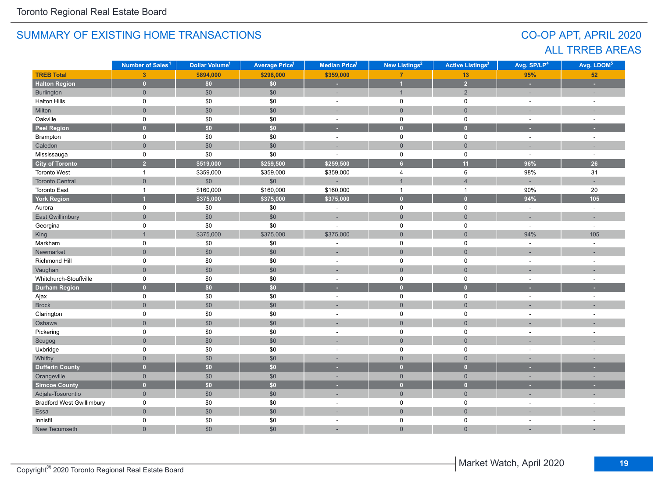## CO-OP APT, APRIL 2020 ALL TRREB AREAS

|                                  | Number of Sales <sup>1</sup> | Dollar Volume <sup>1</sup> | Average Price <sup>1</sup> | Median Price <sup>1</sup> | New Listings <sup>2</sup> | <b>Active Listings<sup>3</sup></b> | Avg. SP/LP <sup>4</sup> | Avg. LDOM <sup>5</sup> |
|----------------------------------|------------------------------|----------------------------|----------------------------|---------------------------|---------------------------|------------------------------------|-------------------------|------------------------|
| <b>TREB Total</b>                | $\overline{3}$               | \$894,000                  | \$298,000                  | \$359,000                 | $\overline{7}$            | 13                                 | 95%                     | 52                     |
| <b>Halton Region</b>             | $\overline{0}$               | \$0                        | \$0\$                      | ×,                        | $\overline{1}$            | $\overline{2}$                     | $\sim$                  | ÷.                     |
| Burlington                       | $\overline{0}$               | \$0                        | \$0                        | ÷,                        | $\mathbf{1}$              | $\overline{2}$                     |                         | ÷                      |
| <b>Halton Hills</b>              | 0                            | $\$0$                      | $\$0$                      | $\sim$                    | $\mathbf 0$               | $\mathbf 0$                        | $\sim$                  | $\sim$                 |
| Milton                           | $\overline{0}$               | \$0                        | \$0                        | ÷.                        | $\mathbf{0}$              | $\mathbf 0$                        |                         |                        |
| Oakville                         | $\mathsf 0$                  | \$0                        | \$0                        | $\sim$                    | $\mathsf 0$               | $\mathsf 0$                        | $\sim$                  | $\sim$                 |
| <b>Peel Region</b>               | $\overline{0}$               | \$0                        | \$0                        | ×.                        | $\overline{0}$            | $\overline{0}$                     |                         |                        |
| Brampton                         | $\mathsf 0$                  | \$0                        | \$0                        | $\omega$                  | $\mathsf 0$               | $\mathbf 0$                        | $\sim$                  | $\sim$                 |
| Caledon                          | $\overline{0}$               | $$0$$                      | \$0                        | ÷.                        | $\mathsf{O}\xspace$       | $\mathsf{O}\xspace$                |                         | ÷.                     |
| Mississauga                      | $\mathbf 0$                  | \$0                        | \$0                        | $\sim$                    | $\mathsf 0$               | $\mathbf 0$                        | $\sim$                  | $\sim$                 |
| <b>City of Toronto</b>           | $\overline{2}$               | \$519,000                  | \$259,500                  | \$259,500                 | $6\phantom{a}$            | 11                                 | 96%                     | 26                     |
| <b>Toronto West</b>              | $\mathbf{1}$                 | \$359,000                  | \$359,000                  | \$359,000                 | $\overline{\mathbf{4}}$   | 6                                  | 98%                     | 31                     |
| <b>Toronto Central</b>           | $\mathbf 0$                  | $$0$$                      | \$0                        |                           | $\mathbf{1}$              | $\overline{4}$                     |                         |                        |
| <b>Toronto East</b>              | $\mathbf{1}$                 | \$160,000                  | \$160,000                  | \$160,000                 | $\mathbf{1}$              | $\mathbf{1}$                       | 90%                     | 20                     |
| <b>York Region</b>               |                              | \$375,000                  | \$375,000                  | \$375,000                 | $\overline{0}$            | $\overline{0}$                     | 94%                     | 105                    |
| Aurora                           | $\mathsf 0$                  | \$0                        | \$0                        | ÷,                        | $\mathsf 0$               | $\mathbf 0$                        | $\sim$                  | $\sim$                 |
| <b>East Gwillimbury</b>          | $\overline{0}$               | \$0                        | \$0                        | ۰                         | $\overline{0}$            | $\overline{0}$                     |                         | ÷.                     |
| Georgina                         | $\mathbf 0$                  | \$0                        | \$0                        | ÷,                        | $\mathbf 0$               | $\mathbf 0$                        | $\sim$                  | $\sim$                 |
| King                             | $\overline{1}$               | \$375,000                  | \$375,000                  | \$375,000                 | $\mathbf{0}$              | $\overline{0}$                     | 94%                     | 105                    |
| Markham                          | $\mathbf 0$                  | $\$0$                      | \$0                        | $\overline{\phantom{a}}$  | $\mathbf 0$               | $\mathbf 0$                        | $\sim$                  | $\sim$                 |
| Newmarket                        | $\overline{0}$               | \$0                        | \$0                        |                           | $\mathsf{O}\xspace$       | $\overline{0}$                     |                         |                        |
| Richmond Hill                    | 0                            | \$0                        | $$0$$                      | $\blacksquare$            | $\mathbf 0$               | $\mathbf 0$                        | $\overline{a}$          | $\sim$                 |
| Vaughan                          | $\overline{0}$               | \$0                        | \$0                        |                           | $\mathsf{O}$              | $\mathbf{0}$                       |                         |                        |
| Whitchurch-Stouffville           | 0                            | \$0                        | $\$0$                      | $\sim$                    | $\mathbf 0$               | $\mathbf 0$                        | $\sim$                  | $\sim$                 |
| <b>Durham Region</b>             | $\overline{0}$               | $\overline{50}$            | $\overline{50}$            | ٠                         | $\bullet$                 | $\overline{0}$                     |                         |                        |
| Ajax                             | $\mathsf 0$                  | \$0                        | \$0                        | $\omega$                  | $\mathsf 0$               | $\mathbf 0$                        | $\sim$                  | $\sim$                 |
| <b>Brock</b>                     | $\overline{0}$               | \$0                        | \$0                        |                           | $\mathsf{O}$              | $\overline{0}$                     |                         |                        |
| Clarington                       | $\mathbf 0$                  | \$0                        | \$0                        | $\sim$                    | $\mathsf 0$               | $\mathbf 0$                        | $\sim$                  | $\sim$                 |
| Oshawa                           | $\overline{0}$               | \$0                        | \$0                        |                           | $\mathbf{0}$              | $\overline{0}$                     |                         |                        |
| Pickering                        | $\mathbf 0$                  | $\$0$                      | $\$0$                      | $\sim$                    | $\mathbf 0$               | $\mathbf 0$                        | $\sim$                  | $\sim$                 |
| Scugog                           | $\overline{0}$               | $$0$$                      | \$0                        | $\overline{a}$            | $\mathsf{O}\xspace$       | $\mathsf{O}\xspace$                |                         |                        |
| Uxbridge                         | 0                            | $$0$$                      | $$0$$                      | $\sim$                    | $\mathbf 0$               | $\mathbf 0$                        |                         | ÷,                     |
| Whitby                           | $\overline{0}$               | \$0                        | \$0                        | ×.                        | $\mathbf 0$               | $\mathbf 0$                        |                         |                        |
| <b>Dufferin County</b>           | $\overline{0}$               | \$0                        | \$0                        | ٠                         | $\overline{0}$            | $\overline{0}$                     |                         |                        |
| Orangeville                      | $\overline{0}$               | \$0                        | \$0                        | ×.                        | $\mathsf{O}\xspace$       | $\mathsf{O}\xspace$                | $\sim$                  | ×.                     |
| <b>Simcoe County</b>             | $\overline{0}$               | \$0\$                      | \$0                        | ٠                         | $\overline{0}$            | $\mathbf{0}$                       |                         |                        |
| Adjala-Tosorontio                | $\mathbf{0}$                 | \$0                        | \$0                        | ÷                         | $\overline{0}$            | $\overline{0}$                     |                         |                        |
| <b>Bradford West Gwillimbury</b> | $\mathbf 0$                  | \$0                        | \$0                        | ٠                         | $\mathbf 0$               | $\mathsf{O}$                       |                         |                        |
| Essa                             | $\overline{0}$               | \$0                        | \$0                        |                           | $\mathbf 0$               | $\overline{0}$                     |                         |                        |
| Innisfil                         | 0                            | $\$0$                      | $$0$$                      | ÷,                        | $\mathbf 0$               | 0                                  |                         | $\overline{a}$         |
| New Tecumseth                    | $\overline{0}$               | \$0                        | \$0                        |                           | $\mathbf{0}$              | $\overline{0}$                     |                         |                        |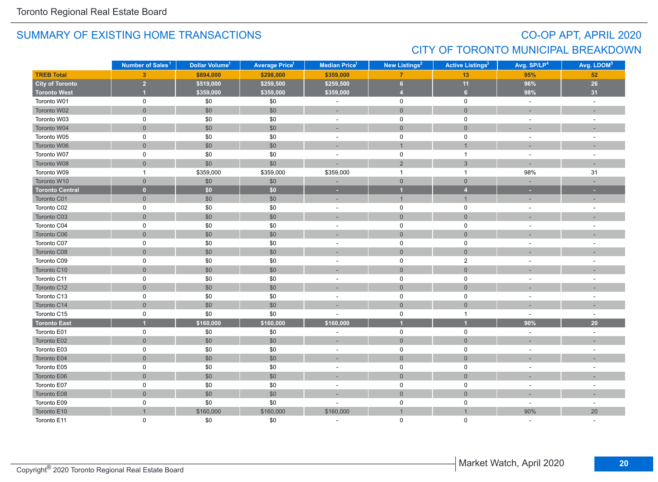## CO-OP APT, APRIL 2020 CITY OF TORONTO MUNICIPAL BREAKDOWN

|                        | Number of Sales <sup>1</sup> | Dollar Volume <sup>1</sup> | <b>Average Price<sup>1</sup></b> | <b>Median Price</b> <sup>1</sup> | New Listings <sup>2</sup> | <b>Active Listings<sup>3</sup></b> | Avg. SP/LP <sup>4</sup>  | Avg. LDOM <sup>5</sup>   |
|------------------------|------------------------------|----------------------------|----------------------------------|----------------------------------|---------------------------|------------------------------------|--------------------------|--------------------------|
| <b>TREB Total</b>      | 3 <sup>2</sup>               | \$894,000                  | \$298,000                        | \$359,000                        | $\overline{7}$            | 13                                 | 95%                      | 52                       |
| <b>City of Toronto</b> | $\overline{2}$               | \$519,000                  | \$259,500                        | \$259,500                        | 6                         | 11                                 | 96%                      | 26                       |
| <b>Toronto West</b>    |                              | \$359,000                  | \$359,000                        | \$359,000                        | $\overline{4}$            | 6                                  | 98%                      | 31                       |
| Toronto W01            | $\mathbf 0$                  | \$0                        | \$0                              | $\sim$                           | $\mathsf{O}$              | $\mathsf 0$                        | $\sim$                   | $\omega$                 |
| Toronto W02            | $\overline{0}$               | \$0                        | \$0                              | ÷                                | $\mathbf{0}$              | $\mathbf{0}$                       | $\sim$                   | $\sim$                   |
| Toronto W03            | 0                            | \$0                        | \$0                              | $\sim$                           | $\mathsf{O}$              | $\mathsf{O}$                       | $\sim$                   | $\sim$                   |
| Toronto W04            | $\overline{0}$               | \$0                        | \$0                              | ٠                                | $\mathsf{O}\xspace$       | $\mathbf 0$                        |                          |                          |
| Toronto W05            | 0                            | \$0                        | \$0                              | $\sim$                           | $\mathsf{O}$              | $\mathbf 0$                        | $\sim$                   | $\sim$                   |
| Toronto W06            | $\overline{0}$               | \$0                        | \$0                              | $\sim$                           | $\overline{1}$            | $\overline{1}$                     | $\overline{\phantom{a}}$ | $\overline{\phantom{a}}$ |
| Toronto W07            | 0                            | \$0                        | \$0                              | ÷,                               | $\pmb{0}$                 | $\overline{1}$                     | $\overline{\phantom{a}}$ |                          |
| Toronto W08            | $\overline{0}$               | \$0                        | \$0                              |                                  | 2                         | $\mathbf{3}$                       | $\sim$                   |                          |
| Toronto W09            | $\mathbf{1}$                 | \$359,000                  | \$359,000                        | \$359,000                        | $\mathbf{1}$              | $\overline{1}$                     | 98%                      | 31                       |
| Toronto W10            | $\overline{0}$               | \$0                        | \$0                              |                                  | $\mathsf{O}\xspace$       | $\mathbf{0}$                       | $\sim$                   | $\sim$                   |
| <b>Toronto Central</b> | $\mathbf{0}$                 | \$0                        | \$0                              | ٠                                | $\overline{1}$            | $\overline{4}$                     | ×                        | ×                        |
| Toronto C01            | $\mathsf{O}\xspace$          | \$0                        | \$0                              | $\sim$                           | $\mathbf{1}$              | $\mathbf{1}$                       |                          |                          |
| Toronto C02            | 0                            | \$0                        | \$0                              | $\sim$                           | $\mathsf 0$               | $\mathsf 0$                        | $\blacksquare$           |                          |
| Toronto C03            | $\overline{0}$               | \$0                        | \$0                              | ٠                                | $\mathsf{O}\xspace$       | $\mathbf{0}$                       | $\overline{\phantom{a}}$ |                          |
| Toronto C04            | 0                            | \$0                        | \$0                              | $\blacksquare$                   | $\mathsf{O}\xspace$       | 0                                  | $\blacksquare$           | $\sim$                   |
| Toronto C06            | $\overline{0}$               | $$0$$                      | \$0                              | ÷.                               | $\mathbf{0}$              | $\mathbf{0}$                       |                          |                          |
| Toronto C07            | 0                            | $\$0$                      | \$0                              | $\sim$                           | $\mathsf 0$               | $\mathsf 0$                        | $\sim$                   | $\overline{a}$           |
| Toronto C08            | $\overline{0}$               | \$0                        | \$0                              | ÷.                               | $\mathbf{0}$              | $\mathbf{0}$                       |                          |                          |
| Toronto C09            | 0                            | \$0                        | \$0                              | $\sim$                           | $\mathsf{O}$              | $\overline{2}$                     | $\sim$                   | $\sim$                   |
| Toronto C10            | $\overline{0}$               | \$0                        | \$0                              | ٠                                | $\mathsf{O}\xspace$       | $\mathbf 0$                        |                          |                          |
| Toronto C11            | 0                            | \$0                        | \$0                              | $\overline{a}$                   | $\mathsf{O}$              | $\mathsf{O}$                       | $\sim$                   |                          |
| Toronto C12            | $\overline{0}$               | \$0                        | \$0                              | $\sim$                           | $\overline{0}$            | $\mathbf{0}$                       | $\sim$                   |                          |
| Toronto C13            | 0                            | $\$0$                      | \$0                              | $\blacksquare$                   | $\mathsf 0$               | 0                                  | $\sim$                   |                          |
| Toronto C14            | $\overline{0}$               | \$0                        | \$0                              |                                  | $\mathbf{0}$              | $\mathbf{0}$                       |                          |                          |
| Toronto C15            | 0                            | \$0                        | \$0                              | ÷.                               | $\mathsf{O}$              | $\overline{1}$                     | $\sim$                   | $\sim$                   |
| <b>Toronto East</b>    |                              | \$160,000                  | \$160,000                        | \$160,000                        | $\overline{1}$            | $\overline{1}$                     | 90%                      | $20\degree$              |
| Toronto E01            | 0                            | \$0                        | \$0                              | ÷,                               | $\mathsf 0$               | $\mathbf 0$                        | $\blacksquare$           | $\sim$                   |
| Toronto E02            | $\overline{0}$               | \$0                        | \$0                              | $\sim$                           | $\mathsf{O}\xspace$       | $\mathbf{0}$                       | ٠                        | $\sim$                   |
| Toronto E03            | 0                            | \$0                        | \$0                              | ÷                                | $\mathsf 0$               | $\mathbf 0$                        | $\overline{\phantom{a}}$ |                          |
| Toronto E04            | $\overline{0}$               | $$0$$                      | \$0                              | ÷,                               | $\overline{0}$            | $\mathbf{0}$                       |                          |                          |
| Toronto E05            | 0                            | $\$0$                      | \$0                              | $\sim$                           | $\mathsf{O}\xspace$       | $\mathsf 0$                        | $\sim$                   |                          |
| Toronto E06            | $\overline{0}$               | $$0$$                      | \$0                              | ÷,                               | $\mathsf{O}\xspace$       | $\mathsf{O}\xspace$                |                          |                          |
| Toronto E07            | 0                            | \$0                        | \$0                              | $\blacksquare$                   | $\pmb{0}$                 | $\mathsf 0$                        | $\overline{\phantom{a}}$ | $\overline{\phantom{a}}$ |
| Toronto E08            | $\mathsf{O}\xspace$          | \$0                        | \$0                              | ÷,                               | $\mathbf 0$               | $\mathbf 0$                        |                          |                          |
| Toronto E09            | 0                            | \$0                        | \$0                              | ÷,                               | $\mathsf{O}$              | 0                                  | $\sim$                   | $\sim$                   |
| Toronto E10            | $\overline{1}$               | \$160,000                  | \$160,000                        | \$160,000                        | $\overline{1}$            | $\overline{1}$                     | 90%                      | 20                       |
| Toronto E11            | $\Omega$                     | \$0                        | \$0                              |                                  | $\mathbf 0$               | $\Omega$                           |                          |                          |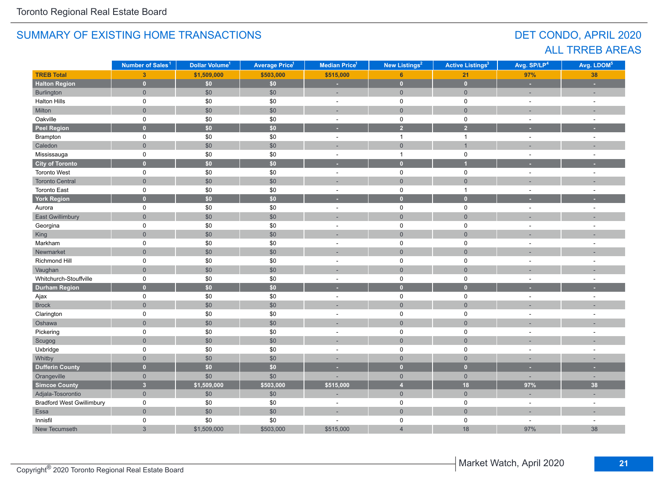## DET CONDO, APRIL 2020 ALL TRREB AREAS

|                                  | Number of Sales <sup>1</sup> | Dollar Volume <sup>1</sup> | <b>Average Price<sup>1</sup></b> | Median Price <sup>1</sup> | New Listings <sup>2</sup> |                     | Avg. SP/LP <sup>4</sup>  | Avg. LDOM <sup>5</sup> |
|----------------------------------|------------------------------|----------------------------|----------------------------------|---------------------------|---------------------------|---------------------|--------------------------|------------------------|
| <b>TREB Total</b>                | 3 <sup>2</sup>               | \$1,509,000                | \$503,000                        | \$515,000                 | 6                         | 21                  | 97%                      | 38                     |
| <b>Halton Region</b>             | $\mathbf{0}$                 | \$0                        | \$0                              | ×.                        | $\mathbf{0}$              | $\mathbf 0$         | ٠                        | ×                      |
| Burlington                       | $\mathsf{O}\xspace$          | \$0                        | \$0                              | ۰                         | $\mathsf{O}\xspace$       | $\mathsf{O}\xspace$ | ÷                        | ٠                      |
| <b>Halton Hills</b>              | $\mathsf{O}$                 | \$0                        | \$0                              | $\mathbf 0$<br>$\sim$     |                           | $\pmb{0}$           | $\sim$                   | $\sim$                 |
| Milton                           | $\overline{0}$               | \$0                        | \$0                              | ÷.                        | $\overline{0}$            | $\mathbf 0$         | ÷.                       |                        |
| Oakville                         | 0                            | \$0                        | \$0                              | $\sim$                    | $\mathbf 0$               | $\mathbf 0$         | ÷.                       | $\sim$                 |
| <b>Peel Region</b>               | $\overline{0}$               | \$0                        | \$0                              | ٠                         | $\overline{2}$            | $\overline{2}$      |                          |                        |
| Brampton                         | 0                            | \$0                        | \$0                              | $\mathbf{r}$              | $\mathbf{1}$              | $\mathbf{1}$        | $\sim$                   | $\sim$                 |
| Caledon                          | $\overline{0}$               | \$0                        | \$0                              |                           | $\mathsf{O}\xspace$       | $\mathbf{1}$        |                          |                        |
| Mississauga                      | 0                            | $$0$$                      | \$0                              | $\overline{a}$            | $\mathbf{1}$              | $\pmb{0}$           | $\sim$                   | ÷,                     |
| <b>City of Toronto</b>           | $\overline{0}$               | \$0\$                      | \$0                              |                           | $\mathbf{0}$              | $\overline{1}$      |                          |                        |
| <b>Toronto West</b>              | 0                            | \$0                        | \$0                              | $\sim$                    | $\mathsf 0$               | $\pmb{0}$           | $\sim$                   | $\sim$                 |
| <b>Toronto Central</b>           | $\overline{0}$               | \$0                        | \$0                              | ×,                        | $\mathsf{O}\xspace$       | $\mathbf 0$         | ٠                        |                        |
| Toronto East                     | 0                            | $\$0$                      | \$0                              | $\overline{a}$            | $\mathbf 0$               | $\mathbf{1}$        | $\sim$                   | $\overline{a}$         |
| <b>York Region</b>               | $\overline{0}$               | $\overline{50}$            | \$0                              | ×                         | $\mathbf{0}$              | $\mathbf{0}$        | ٠                        | н                      |
| Aurora                           | 0                            | \$0                        | \$0                              | ÷,                        | 0                         | $\pmb{0}$           | $\overline{a}$           | $\overline{a}$         |
| East Gwillimbury                 | $\overline{0}$               | \$0                        | \$0                              |                           | $\overline{0}$            | $\mathbf 0$         |                          |                        |
| Georgina                         | 0                            | \$0                        | \$0                              | $\overline{\phantom{a}}$  | $\mathbf 0$               | $\mathbf 0$         | ÷,                       | ÷,                     |
| King                             | $\overline{0}$               | \$0                        | \$0                              |                           | $\overline{0}$            | $\mathbf{0}$        |                          |                        |
| Markham                          | 0                            | \$0                        | \$0                              | ÷,                        | $\mathbf 0$               | $\mathbf 0$         | ٠                        |                        |
| Newmarket                        | $\mathsf{O}\xspace$          | \$0                        | \$0                              |                           | $\overline{0}$            | $\mathbf 0$         |                          |                        |
| Richmond Hill                    | 0                            | \$0                        | \$0                              | $\overline{\phantom{a}}$  | $\mathbf 0$               | $\mathbf 0$         |                          | ÷                      |
| Vaughan                          | $\overline{0}$               | $$0$$                      | \$0                              |                           | $\overline{0}$            | $\mathbf{0}$        |                          |                        |
| Whitchurch-Stouffville           | 0                            | \$0                        | \$0                              | ÷                         | $\pmb{0}$                 | $\pmb{0}$           |                          |                        |
| <b>Durham Region</b>             | $\overline{0}$               | $\overline{\textbf{S0}}$   | $\overline{50}$                  |                           | $\overline{0}$            | $\mathbf{0}$        |                          |                        |
| Ajax                             | 0                            | \$0                        | \$0                              | $\sim$                    | $\mathsf 0$               | $\pmb{0}$           | $\sim$                   | $\sim$                 |
| <b>Brock</b>                     | $\overline{0}$               | $$0$$                      | \$0                              |                           | $\mathbf 0$               | $\mathbf 0$         |                          |                        |
| Clarington                       | 0                            | \$0                        | \$0                              | $\sim$                    | $\mathbf 0$               | $\pmb{0}$           | ÷.                       | ٠                      |
| Oshawa                           | $\overline{0}$               | $$0$$                      | \$0                              |                           | $\overline{0}$            | $\mathbf{0}$        |                          |                        |
| Pickering                        | 0                            | \$0                        | \$0                              | $\overline{a}$            | $\mathbf 0$               | $\pmb{0}$           | ÷,                       | ÷,                     |
| Scugog                           | $\overline{0}$               | $$0$$                      | \$0                              | ٠                         | $\mathsf{O}\xspace$       | $\mathbf 0$         |                          |                        |
| Uxbridge                         | 0                            | $\$0$                      | \$0                              | $\overline{a}$            | $\mathsf 0$               | $\pmb{0}$           | $\ddot{\phantom{1}}$     | $\overline{a}$         |
| Whitby                           | $\overline{0}$               | \$0                        | \$0                              | п.                        | $\overline{0}$            | $\mathbf{0}$        | ÷                        | ۰                      |
| <b>Dufferin County</b>           | $\overline{0}$               | \$0                        | \$0                              | ٠                         | $\mathbf{0}$              | $\bullet$           | ٠                        | ٠                      |
| Orangeville                      | $\overline{0}$               | \$0                        | \$0                              |                           | $\overline{0}$            | $\overline{0}$      | $\overline{\phantom{a}}$ | $\sim$                 |
| <b>Simcoe County</b>             | $\overline{\mathbf{3}}$      | \$1,509,000                | \$503,000                        | \$515,000                 | $\overline{4}$            | 18                  | 97%                      | 38                     |
| Adjala-Tosorontio                | $\overline{0}$               | \$0                        | \$0                              |                           | $\mathsf{O}\xspace$       | $\mathsf{O}\xspace$ | ÷,                       |                        |
| <b>Bradford West Gwillimbury</b> | 0                            | \$0                        | \$0                              | $\sim$                    | $\mathbf 0$               | $\mathbf 0$         | $\sim$                   | $\sim$                 |
| Essa                             | $\mathsf{O}\xspace$          | $$0$$                      | \$0                              | ÷                         | $\mathsf{O}\xspace$       | $\mathsf{O}\xspace$ | ٠                        | ٠                      |
| Innisfil                         | 0                            | \$0                        | \$0                              |                           | 0                         | $\pmb{0}$           | $\sim$                   | $\sim$                 |
| New Tecumseth                    | $\mathbf{3}$                 | \$1,509,000                | \$503,000                        | \$515,000                 | $\overline{4}$            | 18                  | 97%                      | 38                     |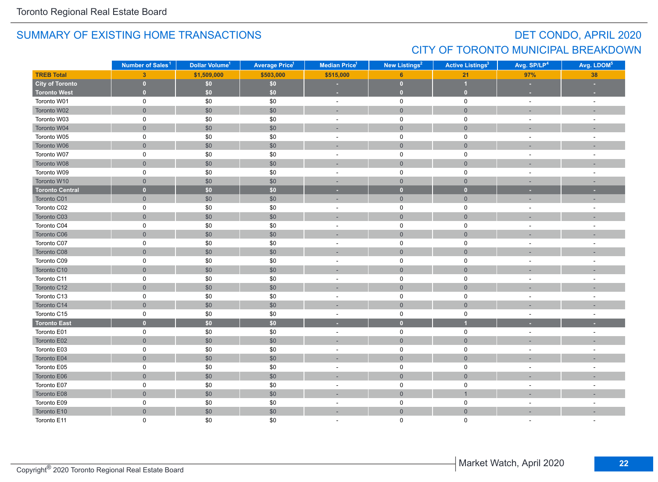## DET CONDO, APRIL 2020 CITY OF TORONTO MUNICIPAL BREAKDOWN

|                        | Number of Sales <sup>1</sup> | Dollar Volume <sup>1</sup> | <b>Average Price<sup>1</sup></b> | <b>Median Price</b> <sup>1</sup> | New Listings <sup>2</sup> | <b>Active Listings<sup>3</sup></b> | Avg. SP/LP <sup>4</sup>  | Avg. LDOM <sup>5</sup>   |
|------------------------|------------------------------|----------------------------|----------------------------------|----------------------------------|---------------------------|------------------------------------|--------------------------|--------------------------|
| <b>TREB Total</b>      | 3 <sup>2</sup>               | \$1,509,000                | \$503,000                        | \$515,000                        | 6                         | 21                                 | 97%                      | 38                       |
| <b>City of Toronto</b> | $\mathbf{0}$                 | \$0                        | $$0$$                            |                                  | $\bullet$                 | $\overline{\mathbf{1}}$            | н.                       |                          |
| <b>Toronto West</b>    | $\overline{0}$               | \$0                        | \$0                              | ٠                                | $\mathbf{0}$              | $\overline{0}$                     |                          |                          |
| Toronto W01            | $\mathbf 0$                  | \$0                        | \$0                              | $\sim$                           | $\mathsf{O}$              | $\mathsf 0$                        | $\sim$                   | $\sim$                   |
| Toronto W02            | $\overline{0}$               | $$0$$                      | \$0                              | ÷                                | $\mathbf{0}$              | $\mathbf 0$                        | $\sim$                   |                          |
| Toronto W03            | 0                            | \$0                        | \$0                              | $\blacksquare$                   | $\mathsf{O}$              | $\mathsf{O}$                       | $\sim$                   | $\sim$                   |
| Toronto W04            | $\overline{0}$               | \$0                        | \$0                              | ٠                                | $\mathsf{O}\xspace$       | $\overline{0}$                     |                          |                          |
| Toronto W05            | 0                            | \$0                        | \$0                              | $\sim$                           | $\mathsf{O}$              | $\mathsf{O}$                       | $\sim$                   |                          |
| Toronto W06            | $\overline{0}$               | \$0                        | \$0                              | $\sim$                           | $\mathbf{0}$              | $\mathbf{0}$                       | $\overline{\phantom{a}}$ |                          |
| Toronto W07            | 0                            | \$0                        | \$0                              | $\overline{\phantom{a}}$         | $\mathbf 0$               | 0                                  | $\sim$                   |                          |
| Toronto W08            | $\overline{0}$               | $$0$$                      | \$0                              |                                  | $\mathbf{0}$              | $\mathbf 0$                        |                          |                          |
| Toronto W09            | 0                            | \$0                        | \$0                              | $\blacksquare$                   | $\mathsf 0$               | $\mathsf 0$                        | $\overline{\phantom{a}}$ | $\overline{\phantom{a}}$ |
| Toronto W10            | $\overline{0}$               | \$0                        | \$0                              | $\sim$                           | $\mathbf{0}$              | $\overline{0}$                     | $\sim$                   | $\sim$                   |
| <b>Toronto Central</b> | $\mathbf{0}$                 | \$0\$                      | \$0                              | $\sim$                           | $\mathbf{0}$              | $\overline{0}$                     | ×.                       | ×.                       |
| Toronto C01            | $\mathsf{O}\xspace$          | \$0                        | \$0                              | ÷,                               | $\mathsf{O}\xspace$       | $\mathbf 0$                        |                          |                          |
| Toronto C02            | 0                            | \$0                        | \$0                              | $\sim$                           | $\pmb{0}$                 | $\mathsf 0$                        | $\overline{\phantom{a}}$ |                          |
| Toronto C03            | $\overline{0}$               | \$0                        | \$0                              | ٠                                | $\mathsf{O}\xspace$       | $\mathbf{0}$                       | $\sim$                   |                          |
| Toronto C04            | 0                            | \$0                        | \$0                              | $\overline{\phantom{a}}$         | $\mathsf{O}\xspace$       | 0                                  | $\overline{\phantom{a}}$ |                          |
| Toronto C06            | $\overline{0}$               | $$0$$                      | \$0                              |                                  | $\mathbf{0}$              | $\mathbf{0}$                       |                          |                          |
| Toronto C07            | 0                            | \$0                        | \$0                              | $\sim$                           | $\mathsf 0$               | $\mathsf 0$                        | $\sim$                   | $\overline{a}$           |
| Toronto C08            | $\overline{0}$               | \$0                        | \$0                              | ÷                                | $\overline{0}$            | $\mathbf{0}$                       |                          |                          |
| Toronto C09            | 0                            | \$0                        | \$0                              | $\blacksquare$                   | $\mathsf{O}$              | 0                                  | $\sim$                   | $\sim$                   |
| Toronto C10            | $\overline{0}$               | \$0                        | \$0                              | ٠                                | $\mathsf{O}\xspace$       | $\mathbf{0}$                       |                          |                          |
| Toronto C11            | 0                            | \$0                        | \$0                              | $\sim$                           | $\mathsf{O}$              | $\mathsf{O}$                       | $\overline{a}$           |                          |
| Toronto C12            | $\overline{0}$               | \$0                        | \$0                              | $\sim$                           | $\mathbf{0}$              | $\mathbf{0}$                       |                          |                          |
| Toronto C13            | 0                            | $\$0$                      | \$0                              | $\blacksquare$                   | $\mathsf 0$               | 0                                  | $\overline{\phantom{a}}$ |                          |
| Toronto C14            | $\overline{0}$               | \$0                        | \$0                              |                                  | $\mathbf{0}$              | $\mathbf{0}$                       |                          |                          |
| Toronto C15            | 0                            | \$0                        | \$0                              | $\blacksquare$                   | $\mathsf{O}$              | $\mathbf 0$                        | $\sim$                   | $\sim$                   |
| <b>Toronto East</b>    | $\overline{0}$               | \$0                        | \$0                              | ٥                                | $\bullet$                 | $\overline{1}$                     |                          |                          |
| Toronto E01            | 0                            | $\$0$                      | \$0                              | $\overline{\phantom{a}}$         | $\mathsf 0$               | $\mathbf 0$                        | $\overline{\phantom{a}}$ | $\sim$                   |
| Toronto E02            | $\overline{0}$               | \$0                        | \$0                              | $\sim$                           | $\mathsf{O}\xspace$       | $\mathbf{0}$                       |                          |                          |
| Toronto E03            | 0                            | \$0                        | \$0                              | ÷,                               | $\mathsf 0$               | 0                                  | $\overline{\phantom{a}}$ |                          |
| Toronto E04            | $\overline{0}$               | $$0$$                      | \$0                              |                                  | $\overline{0}$            | $\mathbf{0}$                       |                          |                          |
| Toronto E05            | 0                            | $\$0$                      | \$0                              | $\overline{\phantom{a}}$         | $\mathsf{O}\xspace$       | $\mathsf 0$                        | $\overline{\phantom{a}}$ |                          |
| Toronto E06            | $\overline{0}$               | $$0$$                      | \$0                              |                                  | $\mathsf{O}\xspace$       | $\mathbf{0}$                       |                          |                          |
| Toronto E07            | 0                            | \$0                        | \$0                              | $\blacksquare$                   | $\pmb{0}$                 | $\mathsf 0$                        | $\sim$                   |                          |
| Toronto E08            | $\mathsf{O}\xspace$          | \$0                        | \$0                              |                                  | $\boldsymbol{0}$          | $\overline{1}$                     |                          |                          |
| Toronto E09            | 0                            | \$0                        | \$0                              | $\sim$                           | $\mathsf{O}$              | 0                                  | $\sim$                   |                          |
| Toronto E10            | $\overline{0}$               | \$0                        | \$0                              | ÷                                | $\mathbf 0$               | $\overline{0}$                     |                          |                          |
| Toronto E11            | $\Omega$                     | \$0                        | \$0                              |                                  | $\mathbf 0$               | $\Omega$                           |                          |                          |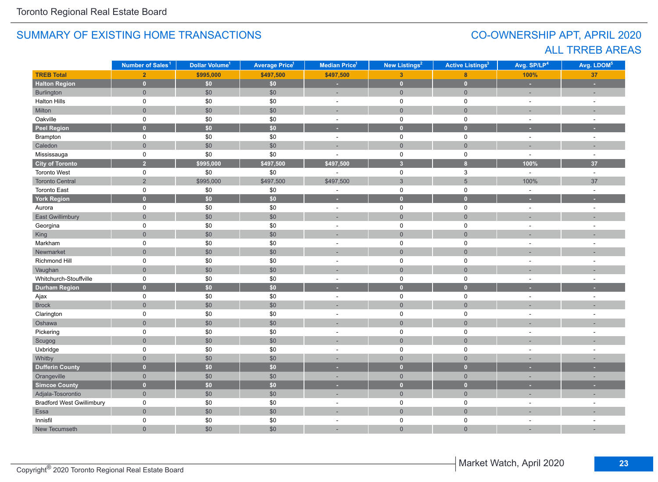## CO-OWNERSHIP APT, APRIL 2020 ALL TRREB AREAS

|                                  | Number of Sales <sup>1</sup> | Dollar Volume <sup>1</sup> | <b>Average Price<sup>1</sup></b> | Median Price <sup>1</sup> | New Listings <sup>2</sup> |                           | Avg. SP/LP <sup>4</sup> | Avg. LDOM <sup>5</sup>   |
|----------------------------------|------------------------------|----------------------------|----------------------------------|---------------------------|---------------------------|---------------------------|-------------------------|--------------------------|
| <b>TREB Total</b>                | 2 <sup>1</sup>               | \$995,000                  | \$497,500                        | \$497,500                 | 3 <sup>1</sup>            | 8                         | 100%                    | 37                       |
| <b>Halton Region</b>             | $\mathbf{0}$                 | \$0                        | \$0\$                            | ×,                        | $\bullet$                 | $\mathbf{0}$              | ÷                       | ÷                        |
| Burlington                       | $\overline{0}$               | \$0                        | \$0                              | ÷,                        | $\mathbf 0$               | $\mathbf 0$               | ÷,                      | ÷,                       |
| <b>Halton Hills</b>              | 0                            | \$0                        | \$0                              | $\sim$                    | $\mathsf 0$               | $\pmb{0}$                 | $\sim$                  | $\sim$                   |
| Milton                           | $\overline{0}$               | \$0                        | \$0                              | ÷.                        | $\mathsf{O}\xspace$       | $\mathbf 0$               | ÷                       |                          |
| Oakville                         | 0                            | \$0                        | \$0                              | $\sim$                    | $\mathbf 0$               | $\pmb{0}$                 | $\sim$                  | $\sim$                   |
| <b>Peel Region</b>               | $\overline{0}$               | \$0                        | $\overline{50}$                  | ٠                         | $\mathbf{0}$              | $\overline{0}$            | ٠                       | н                        |
| Brampton                         | 0                            | $$0$$                      | \$0                              | $\omega$                  | $\mathsf 0$               | $\pmb{0}$                 | $\sim$                  | $\sim$                   |
| Caledon                          | $\overline{0}$               | \$0                        | \$0                              | ÷                         | $\overline{0}$            | $\mathbf 0$               |                         |                          |
| Mississauga                      | 0                            | \$0                        | \$0                              | ÷,                        | $\mathbf 0$               | $\pmb{0}$                 | $\sim$                  | $\sim$                   |
| <b>City of Toronto</b>           | $\overline{2}$               | \$995,000                  | \$497,500                        | \$497,500                 | $\overline{\mathbf{3}}$   | $\bf{8}$                  | 100%                    | 37                       |
| Toronto West                     | 0                            | \$0                        | \$0                              |                           | $\mathbf 0$               | $\ensuremath{\mathsf{3}}$ | $\sim$                  | $\omega$                 |
| <b>Toronto Central</b>           | $\overline{2}$               | \$995,000                  | \$497,500                        | \$497,500                 | $\mathfrak{S}$            | $5\phantom{.0}$           | 100%                    | 37                       |
| <b>Toronto East</b>              | 0                            | $$0$$                      | \$0                              | ÷                         | $\mathbf 0$               | $\pmb{0}$                 | $\sim$                  | $\sim$                   |
| <b>York Region</b>               | $\mathbf{0}$                 | \$0                        | \$0                              | ٠                         | $\mathbf{0}$              | $\mathbf{0}$              | ٠                       |                          |
| Aurora                           | 0                            | \$0                        | \$0                              | $\sim$                    | $\mathsf 0$               | $\mathbf 0$               | $\sim$                  | $\sim$                   |
| <b>East Gwillimbury</b>          | $\overline{0}$               | \$0                        | \$0                              | ٠                         | $\mathsf{O}\xspace$       | $\mathbf{0}$              | ÷                       | ٠                        |
| Georgina                         | $\mathsf{O}$                 | $\$0$                      | \$0                              | $\sim$                    | $\mathsf 0$               | $\pmb{0}$                 | $\sim$                  | $\sim$                   |
| King                             | $\overline{0}$               | $$0$$                      | \$0                              | $\overline{\phantom{a}}$  | $\overline{0}$            | $\mathbf 0$               |                         |                          |
| Markham                          | 0                            | \$0                        | \$0                              |                           | $\mathbf 0$               | $\mathbf 0$               |                         |                          |
| Newmarket                        | $\overline{0}$               | \$0                        | \$0                              |                           | $\overline{0}$            | $\overline{0}$            |                         |                          |
| Richmond Hill                    | 0                            | \$0                        | \$0                              | ÷                         | $\mathbf 0$               | $\mathbf 0$               | ÷,                      | ÷                        |
| Vaughan                          | $\overline{0}$               | $$0$$                      | \$0                              | ÷                         | $\overline{0}$            | $\mathbf{0}$              |                         |                          |
| Whitchurch-Stouffville           | 0                            | \$0                        | \$0                              | ÷,                        | $\mathbf 0$               | $\pmb{0}$                 | ÷                       | ÷,                       |
| <b>Durham Region</b>             | $\overline{0}$               | \$0                        | $\overline{50}$                  | ٠                         | $\overline{0}$            | $\mathbf{0}$              |                         |                          |
| Ajax                             | 0                            | $$0$$                      | \$0                              | $\blacksquare$            | $\mathbf 0$               | $\pmb{0}$                 | $\sim$                  | ÷                        |
| <b>Brock</b>                     | $\mathsf{O}\xspace$          | \$0                        | \$0                              |                           | $\mathsf{O}\xspace$       | $\mathbf 0$               |                         |                          |
| Clarington                       | 0                            | $\$0$                      | \$0                              | $\overline{a}$            | $\mathsf 0$               | $\pmb{0}$                 | $\overline{a}$          | ÷,                       |
| Oshawa                           | $\overline{0}$               | \$0                        | \$0                              |                           | $\overline{0}$            | $\mathbf 0$               |                         |                          |
| Pickering                        | 0                            | $$0$$                      | \$0                              | $\sim$                    | $\mathbf 0$               | $\pmb{0}$                 | $\sim$                  | $\overline{\phantom{a}}$ |
| Scugog                           | $\overline{0}$               | \$0                        | \$0                              | ÷                         | $\mathbf 0$               | $\mathbf 0$               |                         |                          |
| Uxbridge                         | 0                            | \$0                        | \$0                              | $\sim$                    | $\mathbf 0$               | $\mathbf 0$               | ÷,                      | ÷                        |
| Whitby                           | $\mathbf 0$                  | \$0                        | \$0                              | п.                        | $\overline{0}$            | $\mathbf 0$               |                         |                          |
| <b>Dufferin County</b>           | $\overline{0}$               | $\overline{50}$            | \$0                              | ×                         | $\mathbf{0}$              | $\mathbf{0}$              | ٠                       | $\sim$                   |
| Orangeville                      | $\overline{0}$               | \$0                        | \$0                              | ×,                        | $\overline{0}$            | $\overline{0}$            | ٠                       | ×,                       |
| <b>Simcoe County</b>             | $\mathbf{0}$                 | $\overline{30}$            | $\overline{50}$                  | ٠                         | $\mathbf{0}$              | $\mathbf{0}$              | ٠                       | ٠                        |
| Adjala-Tosorontio                | $\overline{0}$               | \$0                        | \$0                              | ٠                         | $\mathsf{O}\xspace$       | $\overline{0}$            | ٠                       | ÷                        |
| <b>Bradford West Gwillimbury</b> | 0                            | $$0$$                      | \$0                              | $\sim$                    | $\mathbf 0$               | $\mathbf 0$               | $\sim$                  | ÷,                       |
| Essa                             | $\mathsf{O}\xspace$          | $\$0$                      | \$0                              | ٠                         | $\mathsf{O}\xspace$       | $\mathsf{O}\xspace$       |                         |                          |
| Innisfil                         | 0                            | \$0                        | \$0                              | ÷,                        | 0                         | $\pmb{0}$                 | $\sim$                  |                          |
| New Tecumseth                    | $\overline{0}$               | \$0                        | \$0                              | ٠                         | $\overline{0}$            | $\mathbf 0$               | ÷,                      | ÷                        |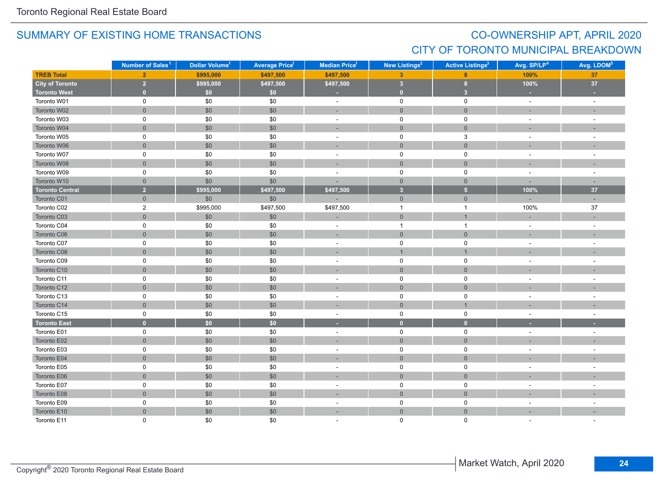## CO-OWNERSHIP APT, APRIL 2020 CITY OF TORONTO MUNICIPAL BREAKDOWN

|                        | Number of Sales <sup>1</sup> | Dollar Volume <sup>1</sup> | <b>Average Price<sup>1</sup></b> | <b>Median Price</b> <sup>1</sup> | New Listings <sup>2</sup> | <b>Active Listings<sup>3</sup></b> | Avg. SP/LP <sup>4</sup>  | Avg. LDOM <sup>5</sup>   |
|------------------------|------------------------------|----------------------------|----------------------------------|----------------------------------|---------------------------|------------------------------------|--------------------------|--------------------------|
| <b>TREB Total</b>      | 2 <sup>1</sup>               | \$995,000                  | \$497,500                        | \$497,500                        | $\overline{3}$            | 8                                  | 100%                     | 37                       |
| <b>City of Toronto</b> | $\overline{2}$               | \$995,000                  | \$497,500                        | \$497,500                        | $\sqrt{3}$                | 8 <sub>1</sub>                     | 100%                     | $37\,$                   |
| <b>Toronto West</b>    | $\mathbf{0}$                 | \$0\$                      | \$0                              |                                  | $\mathbf 0$               | $\overline{\mathbf{3}}$            |                          |                          |
| Toronto W01            | $\mathbf 0$                  | $\$0$                      | \$0                              | $\sim$                           | $\mathsf{O}\xspace$       | $\mathsf 0$                        | $\omega$                 | $\sim$                   |
| Toronto W02            | $\mathbf{0}$                 | $$0$$                      | \$0                              | ÷                                | $\mathsf{O}\xspace$       | $\mathbf{0}$                       |                          |                          |
| Toronto W03            | 0                            | $$0$$                      | \$0                              | $\blacksquare$                   | 0                         | $\mathbf 0$                        |                          | $\overline{\phantom{a}}$ |
| Toronto W04            | $\overline{0}$               | \$0                        | \$0                              |                                  | $\overline{0}$            | $\mathbf 0$                        |                          |                          |
| Toronto W05            | 0                            | \$0                        | \$0                              | $\sim$                           | $\mathbf 0$               | 3                                  | $\sim$                   | $\sim$                   |
| Toronto W06            | $\overline{0}$               | $$0$$                      | \$0                              | ÷.                               | $\mathbf{0}$              | $\overline{0}$                     |                          |                          |
| Toronto W07            | 0                            | $$0$$                      | \$0                              | $\blacksquare$                   | $\mathbf 0$               | $\mathbf 0$                        | $\sim$                   | $\overline{\phantom{a}}$ |
| Toronto W08            | $\mathsf{O}\xspace$          | \$0                        | \$0                              | ÷                                | $\mathbf 0$               | $\mathsf{O}\xspace$                |                          | ٠                        |
| Toronto W09            | 0                            | \$0                        | \$0                              | $\bar{a}$                        | $\mathbf 0$               | $\mathbf 0$                        | $\sim$                   | $\sim$                   |
| Toronto W10            | $\overline{0}$               | \$0                        | \$0                              | ä,                               | $\mathbf{0}$              | $\overline{0}$                     | i.                       | п,                       |
| <b>Toronto Central</b> | $\overline{2}$               | \$995,000                  | \$497,500                        | \$497,500                        | $\overline{\mathbf{3}}$   | 5 <sup>1</sup>                     | 100%                     | 37                       |
| Toronto C01            | $\overline{0}$               | \$0                        | \$0                              |                                  | $\mathbf{0}$              | $\overline{0}$                     |                          | ÷                        |
| Toronto C02            | $\overline{2}$               | \$995,000                  | \$497,500                        | \$497,500                        | $\overline{1}$            | $\mathbf{1}$                       | 100%                     | 37                       |
| Toronto C03            | $\mathsf{O}\xspace$          | $$0$$                      | \$0                              |                                  | $\mathsf{O}\xspace$       | $\mathbf{1}$                       |                          |                          |
| Toronto C04            | $\pmb{0}$                    | $$0$$                      | \$0                              | $\bar{a}$                        | $\overline{1}$            | $\mathbf{1}$                       | $\sim$                   | $\sim$                   |
| Toronto C06            | $\mathbf{0}$                 | \$0                        | \$0                              | $\sim$                           | $\mathbf 0$               | $\mathbf{0}$                       |                          | $\overline{a}$           |
| Toronto C07            | 0                            | \$0                        | \$0                              | $\blacksquare$                   | $\mathbf 0$               | $\mathbf 0$                        |                          |                          |
| Toronto C08            | $\overline{0}$               | \$0                        | \$0                              |                                  | $\mathbf{1}$              | $\mathbf{1}$                       |                          |                          |
| Toronto C09            | 0                            | $$0$$                      | \$0                              | $\sim$                           | $\mathsf{O}$              | $\mathbf 0$                        | $\sim$                   | $\sim$                   |
| Toronto C10            | $\mathbf{0}$                 | $$0$$                      | \$0                              | ×.                               | $\mathsf{O}\xspace$       | $\mathsf{O}\xspace$                |                          |                          |
| Toronto C11            | 0                            | $$0$$                      | \$0                              | $\bar{a}$                        | $\mathbf 0$               | $\mathbf 0$                        |                          |                          |
| Toronto C12            | $\mathsf{O}\xspace$          | \$0                        | \$0                              | ٠                                | $\mathsf{O}\xspace$       | $\mathsf{O}\xspace$                |                          |                          |
| Toronto C13            | 0                            | $$0$$                      | \$0                              | $\sim$                           | $\mathsf 0$               | $\mathbf 0$                        |                          |                          |
| Toronto C14            | $\overline{0}$               | $$0$$                      | \$0                              |                                  | $\mathbf 0$               | $\overline{1}$                     |                          |                          |
| Toronto C15            | 0                            | \$0                        | \$0                              | $\overline{\phantom{a}}$         | $\mathbf 0$               | $\mathbf 0$                        | $\sim$                   | $\overline{\phantom{a}}$ |
| <b>Toronto East</b>    | $\bullet$                    | \$0                        | $\overline{50}$                  | ٠                                | $\bullet$                 | $\mathbf{0}$                       |                          |                          |
| Toronto E01            | $\mathbf 0$                  | $\$0$                      | \$0                              | $\sim$                           | $\mathsf{O}\xspace$       | $\mathbf 0$                        | $\sim$                   | $\sim$                   |
| Toronto E02            | $\mathbf{0}$                 | \$0                        | \$0                              | ٠                                | $\mathsf{O}\xspace$       | $\mathsf{O}\xspace$                |                          |                          |
| Toronto E03            | $\mathbf 0$                  | \$0                        | \$0                              | ÷,                               | $\pmb{0}$                 | $\mathbf 0$                        |                          |                          |
| Toronto E04            | $\overline{0}$               | \$0                        | \$0                              | ×.                               | $\mathbf{0}$              | $\overline{0}$                     |                          |                          |
| Toronto E05            | 0                            | \$0                        | \$0                              | $\blacksquare$                   | 0                         | 0                                  |                          |                          |
| Toronto E06            | $\mathbf{0}$                 | \$0                        | \$0                              |                                  | $\overline{0}$            | $\overline{0}$                     |                          |                          |
| Toronto E07            | 0                            | $\$0$                      | \$0                              | $\blacksquare$                   | $\mathsf 0$               | $\mathbf 0$                        | $\overline{\phantom{a}}$ |                          |
| Toronto E08            | $\mathsf{O}\xspace$          | \$0                        | \$0                              | $\overline{\phantom{a}}$         | $\mathsf{O}\xspace$       | $\mathsf{O}\xspace$                |                          |                          |
| Toronto E09            | 0                            | $$0$$                      | \$0                              | $\blacksquare$                   | $\mathbf 0$               | $\mathbf 0$                        | $\sim$                   | ÷,                       |
| Toronto E10            | $\mathbf{0}$                 | \$0                        | \$0                              | ÷                                | $\mathsf{O}\xspace$       | $\mathsf{O}\xspace$                |                          |                          |
| Toronto E11            | $\Omega$                     | \$0                        | \$0                              |                                  | $\Omega$                  | $\Omega$                           |                          |                          |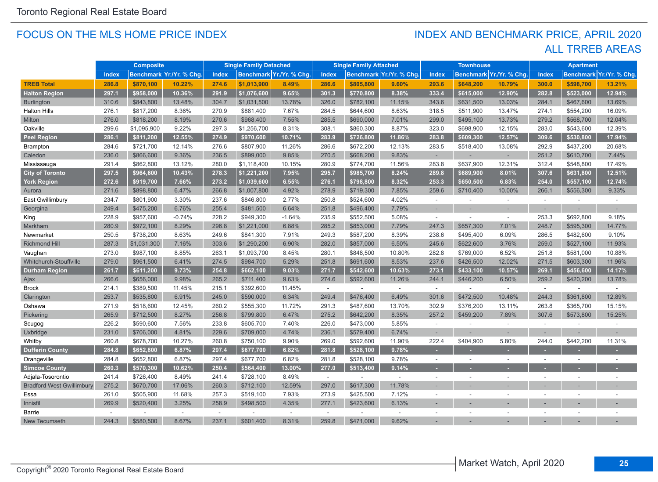#### FOCUS ON THE MLS HOME PRICE INDEX

## ALL TRREB AREAS INDEX AND BENCHMARK PRICE, APRIL 2020

|                                  |              | <b>Composite</b> |                          |        | <b>Single Family Detached</b> |                          |              | <b>Single Family Attached</b> |                         |                          | <b>Townhouse</b> |                          |               | <b>Apartment</b> |               |
|----------------------------------|--------------|------------------|--------------------------|--------|-------------------------------|--------------------------|--------------|-------------------------------|-------------------------|--------------------------|------------------|--------------------------|---------------|------------------|---------------|
|                                  | <b>Index</b> |                  | Benchmark Yr./Yr. % Chg. | Index  |                               | Benchmark Yr./Yr. % Chg. | <b>Index</b> |                               | Benchmark Yr./Yr. % Chg | <b>Index</b>             |                  | Benchmark Yr./Yr. % Chg. | Index         | <b>Benchmark</b> | Yr./Yr. % Chg |
| <b>TREB Total</b>                | 286.8        | \$870,100        | 10.22%                   | 274.6  | \$1,013,900                   | 8.49%                    | 286.6        | \$805,800                     | 9.60%                   | 293.6                    | \$648,200        | 10.79%                   | 300.0         | \$598,700        | 13.21%        |
| <b>Halton Region</b>             | 297.1        | \$958,000        | 10.36%                   | 291.9  | \$1,076,600                   | 9.65%                    | 301.3        | \$770,800                     | 8.38%                   | 333.4                    | \$615,000        | 12.90%                   | 282.8         | \$523,000        | 12.94%        |
| <b>Burlington</b>                | 310.6        | \$843,800        | 13.48%                   | 304.7  | \$1,031,500                   | 13.78%                   | 326.0        | \$782,100                     | 11.15%                  | 343.6                    | \$631,500        | 13.03%                   | 284.1         | \$467,600        | 13.69%        |
| <b>Halton Hills</b>              | 276.1        | \$817,200        | 8.36%                    | 270.9  | \$881,400                     | 7.67%                    | 284.5        | \$644,600                     | 8.63%                   | 318.5                    | \$511,900        | 13.47%                   | 274.1         | \$554,200        | 16.09%        |
| Milton                           | 276.0        | \$818,200        | 8.19%                    | 270.6  | \$968,400                     | 7.55%                    | 285.5        | \$690,000                     | 7.01%                   | 299.0                    | \$495,100        | 13.73%                   | 279.2         | \$568,700        | 12.04%        |
| Oakville                         | 299.6        | \$1,095,900      | 9.22%                    | 297.3  | \$1,256,700                   | 8.31%                    | 308.1        | \$860,300                     | 8.87%                   | 323.0                    | \$698,900        | 12.15%                   | 283.0         | \$543,600        | 12.39%        |
| <b>Peel Region</b>               | 286.1        | \$811,200        | 12.55%                   | 274.9  | \$970,600                     | 10.71%                   | 283.9        | \$726,800                     | 11.86%                  | 283.8                    | \$609,300        | 12.57%                   | 309.6         | \$530,800        | 17.94%        |
| <b>Brampton</b>                  | 284.6        | \$721,700        | 12.14%                   | 276.6  | \$807,900                     | 11.26%                   | 286.6        | \$672,200                     | 12.13%                  | 283.5                    | \$518,400        | 13.08%                   | 292.9         | \$437,200        | 20.68%        |
| Caledon                          | 236.0        | \$866,600        | 9.36%                    | 236.5  | \$899,000                     | 9.85%                    | 270.5        | \$668,200                     | 9.83%                   | ÷.                       |                  |                          | 251.2         | \$610,700        | 7.44%         |
| Mississauga                      | 291.4        | \$862,800        | 13.12%                   | 280.0  | \$1,118,400                   | 10.15%                   | 280.9        | \$774,700                     | 11.56%                  | 283.8                    | \$637,900        | 12.31%                   | 312.4         | \$548,800        | 17.49%        |
| <b>City of Toronto</b>           | 297.5        | \$964,600        | 10.43%                   | 278.3  | \$1,221,200                   | 7.95%                    | 295.7        | \$985,700                     | 8.24%                   | 289.8                    | \$689,900        | 8.01%                    | 307.6         | \$631,800        | 12.51%        |
| <b>York Region</b>               | 272.6        | \$919,700        | 7.66%                    | 273.2  | \$1,039,600                   | 6.55%                    | 276.1        | \$798,800                     | 8.32%                   | 253.3                    | \$650,500        | 6.83%                    | 254.0         | \$557,100        | 12.74%        |
| Aurora                           | 271.6        | \$898,800        | 6.47%                    | 266.8  | \$1,007,800                   | 4.92%                    | 278.9        | \$719,300                     | 7.85%                   | 259.6                    | \$710.400        | 10.00%                   | 266.1         | \$556,300        | 9.33%         |
| East Gwillimbury                 | 234.7        | \$801,900        | 3.30%                    | 237.6  | \$846,800                     | 2.77%                    | 250.8        | \$524,600                     | 4.02%                   | $\sim$                   |                  | $\sim$                   | $\mathcal{L}$ |                  | $\sim$        |
| Georgina                         | 249.4        | \$475,200        | 6.76%                    | 255.4  | \$481,500                     | 6.64%                    | 251.8        | \$496,400                     | 7.79%                   | $\sim$                   |                  |                          |               |                  | ÷.            |
| King                             | 228.9        | \$957,600        | $-0.74%$                 | 228.2  | \$949,300                     | $-1.64%$                 | 235.9        | \$552,500                     | 5.08%                   | ÷                        |                  | $\sim$                   | 253.3         | \$692,800        | 9.18%         |
| Markham                          | 280.9        | \$972,100        | 8.29%                    | 296.8  | \$1,221,000                   | 6.88%                    | 285.2        | \$853,000                     | 7.79%                   | 247.3                    | \$657,300        | 7.01%                    | 248.7         | \$595,300        | 14.77%        |
| Newmarket                        | 250.5        | \$738,200        | 8.63%                    | 249.6  | \$841,300                     | 7.91%                    | 249.3        | \$587,200                     | 8.39%                   | 238.6                    | \$495,400        | 6.09%                    | 286.5         | \$482,600        | 9.10%         |
| Richmond Hill                    | 287.3        | \$1,031,300      | 7.16%                    | 303.6  | \$1,290,200                   | 6.90%                    | 282.0        | \$857,000                     | 6.50%                   | 245.6                    | \$622,600        | 3.76%                    | 259.0         | \$527,100        | 11.93%        |
| Vaughan                          | 273.0        | \$987,100        | 8.85%                    | 263.1  | \$1,093,700                   | 8.45%                    | 280.1        | \$848,500                     | 10.80%                  | 282.8                    | \$769,000        | 6.52%                    | 251.8         | \$581,000        | 10.88%        |
| <b>Whitchurch-Stouffville</b>    | 279.0        | \$961,500        | 6.41%                    | 274.5  | \$984,700                     | 5.29%                    | 251.8        | \$691.600                     | 8.53%                   | 237.6                    | \$426,500        | 12.02%                   | 271.5         | \$603,300        | 11.96%        |
| <b>Durham Region</b>             | 261.7        | \$611,200        | 9.73%                    | 254.8  | \$662,100                     | 9.03%                    | 271.7        | \$542.600                     | 10.63%                  | 273.1                    | \$433,100        | 10.57%                   | 269.1         | \$456,600        | 14.17%        |
| Ajax                             | 266.6        | \$656,000        | 9.98%                    | 265.2  | \$711,400                     | 9.63%                    | 274.6        | \$592,600                     | 11.26%                  | 244.1                    | \$446,200        | 6.50%                    | 259.2         | \$420,200        | 13.78%        |
| <b>Brock</b>                     | 214.1        | \$389,500        | 11.45%                   | 215.1  | \$392,600                     | 11.45%                   | $\sim$       | $\sim$                        | $\sim$                  | $\sim$                   |                  | $\sim$                   | $\sim$        |                  |               |
| Clarington                       | 253.7        | \$535.800        | 6.91%                    | 245.0  | \$590,000                     | 6.34%                    | 249.4        | \$476,400                     | 6.49%                   | 301.6                    | \$472,500        | 10.48%                   | 244.3         | \$361,800        | 12.89%        |
| Oshawa                           | 271.9        | \$518,600        | 12.45%                   | 260.2  | \$555,300                     | 11.72%                   | 291.3        | \$487,600                     | 13.70%                  | 302.9                    | \$376,200        | 13.11%                   | 263.8         | \$365,700        | 15.15%        |
| Pickering                        | 265.9        | \$712,500        | 8.27%                    | 256.8  | \$799,800                     | 6.47%                    | 275.2        | \$642,200                     | 8.35%                   | 257.2                    | \$459,200        | 7.89%                    | 307.6         | \$573,800        | 15.25%        |
| Scugog                           | 226.2        | \$590,600        | 7.56%                    | 233.8  | \$605,700                     | 7.40%                    | 226.0        | \$473,000                     | 5.85%                   | ÷.                       |                  |                          | $\sim$        | ÷,               |               |
| Uxbridge                         | 231.0        | \$706,000        | 4.81%                    | 229.6  | \$709,000                     | 4.74%                    | 236.1        | \$579,400                     | 6.74%                   | ٠                        |                  |                          |               |                  |               |
| Whitby                           | 260.8        | \$678,700        | 10.27%                   | 260.8  | \$750,100                     | 9.90%                    | 269.0        | \$592,600                     | 11.90%                  | 222.4                    | \$404,900        | 5.80%                    | 244.0         | \$442,200        | 11.31%        |
| <b>Dufferin County</b>           | 284.8        | \$652.800        | 6.87%                    | 297.4  | \$677,700                     | 6.82%                    | 281.8        | \$528.100                     | 9.78%                   | ×                        |                  |                          |               |                  |               |
| Orangeville                      | 284.8        | \$652,800        | 6.87%                    | 297.4  | \$677,700                     | 6.82%                    | 281.8        | \$528,100                     | 9.78%                   | $\overline{\phantom{a}}$ |                  |                          |               | ÷.               |               |
| <b>Simcoe County</b>             | 260.3        | \$570,300        | 10.62%                   | 250.4  | \$564,400                     | 13.00%                   | 277.0        | \$513,400                     | 9.14%                   |                          |                  |                          |               |                  |               |
| Adjala-Tosorontio                | 241.4        | \$726,400        | 8.49%                    | 241.4  | \$728,100                     | 8.49%                    | $\sim$       | $\overline{\phantom{a}}$      | $\sim$                  | $\sim$                   | $\overline{a}$   |                          |               |                  |               |
| <b>Bradford West Gwillimbury</b> | 275.2        | \$670,700        | 17.06%                   | 260.3  | \$712,100                     | 12.59%                   | 297.0        | \$617,300                     | 11.78%                  |                          |                  |                          |               |                  |               |
| Essa                             | 261.0        | \$505,900        | 11.68%                   | 257.3  | \$519,100                     | 7.93%                    | 273.9        | \$425,500                     | 7.12%                   | ÷.                       |                  |                          |               | ä,               |               |
| Innisfil                         | 269.9        | \$520,400        | 3.25%                    | 258.9  | \$498,500                     | 4.35%                    | 277.1        | \$423,600                     | 6.13%                   |                          |                  |                          |               |                  |               |
| Barrie                           |              |                  | $\sim$                   | $\sim$ |                               |                          | $\sim$       |                               |                         |                          |                  |                          |               |                  |               |
| New Tecumseth                    | 244.3        | \$580,500        | 8.67%                    | 237.1  | \$601,400                     | 8.31%                    | 259.8        | \$471,000                     | 9.62%                   |                          |                  |                          |               |                  |               |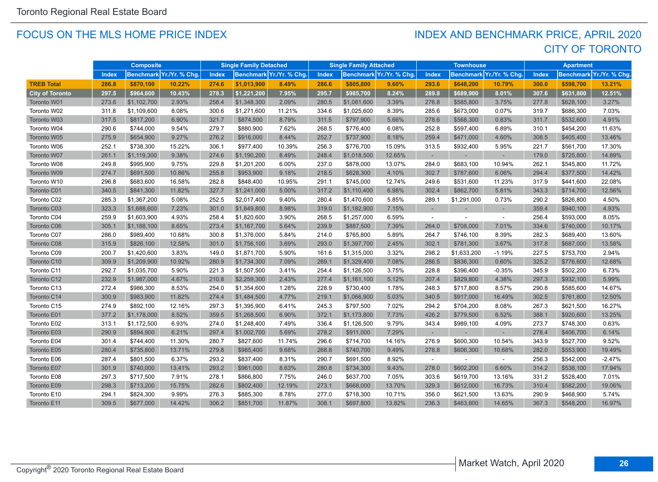#### FOCUS ON THE MLS HOME PRICE INDEX

## CITY OF TORONTO INDEX AND BENCHMARK PRICE, APRIL 2020

|                        |       | <b>Composite</b> |                         |              | <b>Single Family Detached</b> |                          |       | <b>Single Family Attached</b> |                          |              | <b>Townhouse</b> |                          |              | <b>Apartment</b> |                          |
|------------------------|-------|------------------|-------------------------|--------------|-------------------------------|--------------------------|-------|-------------------------------|--------------------------|--------------|------------------|--------------------------|--------------|------------------|--------------------------|
|                        | Index |                  | Benchmark Yr./Yr. % Chg | <b>Index</b> |                               | Benchmark Yr./Yr. % Chg. | Index |                               | Benchmark Yr./Yr. % Chg. | <b>Index</b> |                  | Benchmark Yr./Yr. % Chg. | <b>Index</b> |                  | Benchmark Yr./Yr. % Chg. |
| <b>TREB Total</b>      | 286.8 | \$870,100        | 10.22%                  | 274.6        | \$1,013,900                   | 8.49%                    | 286.6 | \$805,800                     | 9.60%                    | 293.6        | \$648,200        | 10.79%                   | 300.0        | \$598,700        | 13.21%                   |
| <b>City of Toronto</b> | 297.5 | \$964,600        | 10.43%                  | 278.3        | \$1,221,200                   | 7.95%                    | 295.7 | \$985,700                     | 8.24%                    | 289.8        | \$689,900        | 8.01%                    | 307.6        | \$631,800        | 12.51%                   |
| Toronto W01            | 273.6 | \$1,102,700      | 2.93%                   | 258.4        | \$1,348,300                   | 2.09%                    | 280.5 | \$1,081,600                   | 3.39%                    | 276.8        | \$585,800        | 3.75%                    | 277.8        | \$628,100        | 3.27%                    |
| Toronto W02            | 311.8 | \$1,109,600      | 8.08%                   | 300.6        | \$1,271,600                   | 11.21%                   | 334.6 | \$1,025,600                   | 8.39%                    | 285.6        | \$673,000        | 0.07%                    | 319.7        | \$686,300        | 7.03%                    |
| Toronto W03            | 317.5 | \$817,200        | 6.90%                   | 321.7        | \$874,500                     | 8.79%                    | 311.5 | \$797,900                     | 5.66%                    | 278.6        | \$568,300        | 0.83%                    | 311.7        | \$532,600        | 4.91%                    |
| Toronto W04            | 290.6 | \$744,000        | 9.54%                   | 279.7        | \$880,900                     | 7.62%                    | 268.5 | \$776,400                     | 6.08%                    | 252.8        | \$597,400        | 6.89%                    | 310.1        | \$454,200        | 11.63%                   |
| Toronto W05            | 275.9 | \$654,900        | 9.27%                   | 276.2        | \$916,000                     | 8.44%                    | 252.7 | \$737,900                     | 8.18%                    | 259.4        | \$471,000        | 4.60%                    | 308.5        | \$405,400        | 13.46%                   |
| Toronto W06            | 252.1 | \$738,300        | 15.22%                  | 306.1        | \$977,400                     | 10.39%                   | 256.3 | \$776,700                     | 15.09%                   | 313.5        | \$932,400        | 5.95%                    | 221.7        | \$561,700        | 17.30%                   |
| Toronto W07            | 261.1 | \$1,119,300      | 9.38%                   | 274.6        | \$1,190,200                   | 8.49%                    | 248.4 | \$1,018,500                   | 12.65%                   |              |                  |                          | 179.0        | \$725,800        | 14.89%                   |
| Toronto W08            | 249.8 | \$995,900        | 9.75%                   | 229.8        | \$1,201,200                   | 6.00%                    | 237.0 | \$878,000                     | 13.07%                   | 284.0        | \$683,100        | 10.94%                   | 262.1        | \$545,800        | 11.72%                   |
| Toronto W09            | 274.7 | \$691,500        | 10.86%                  | 255.8        | \$953,900                     | 9.18%                    | 218.5 | \$628,300                     | 4.10%                    | 302.7        | \$787,600        | 6.06%                    | 294.4        | \$377,500        | 14.42%                   |
| Toronto W10            | 296.8 | \$683,600        | 16.58%                  | 282.8        | \$848,400                     | 10.95%                   | 291.1 | \$745,000                     | 12.74%                   | 249.6        | \$531,600        | 11.23%                   | 317.9        | \$441,600        | 22.08%                   |
| Toronto C01            | 340.5 | \$841,300        | 11.82%                  | 327.7        | \$1,241,000                   | 5.00%                    | 317.2 | \$1,110,400                   | 6.98%                    | 302.4        | \$862,700        | 5.81%                    | 343.3        | \$714,700        | 12.56%                   |
| Toronto C02            | 285.3 | \$1,367,200      | 5.08%                   | 252.5        | \$2,017,400                   | 9.40%                    | 280.4 | \$1,470,600                   | 5.85%                    | 289.1        | \$1,291,000      | 0.73%                    | 290.2        | \$826,800        | 4.50%                    |
| Toronto C03            | 323.3 | \$1,688,600      | 7.23%                   | 301.0        | \$1,849,800                   | 8.98%                    | 319.0 | \$1,182,900                   | 7.15%                    |              |                  |                          | 359.4        | \$940,100        | 4.93%                    |
| Toronto C04            | 259.9 | \$1,603,900      | 4.93%                   | 258.4        | \$1,820,600                   | 3.90%                    | 268.5 | \$1,257,000                   | 6.59%                    | $\sim$       |                  | $\sim$                   | 256.4        | \$593,000        | 8.05%                    |
| Toronto C06            | 305.1 | \$1,188,100      | 8.65%                   | 273.4        | \$1,167,700                   | 5.64%                    | 239.9 | \$887,500                     | 7.39%                    | 264.0        | \$708,000        | 7.01%                    | 334.6        | \$740,000        | 10.17%                   |
| Toronto C07            | 286.0 | \$989,400        | 10.68%                  | 300.8        | \$1,376,000                   | 5.84%                    | 214.0 | \$765,800                     | 5.89%                    | 264.7        | \$746,100        | 8.39%                    | 282.3        | \$689,400        | 13.60%                   |
| Toronto C08            | 315.9 | \$826,100        | 12.58%                  | 301.0        | \$1,756,100                   | 3.69%                    | 293.0 | \$1,397,700                   | 2.45%                    | 302.1        | \$781,300        | 3.67%                    | 317.8        | \$687,000        | 13.58%                   |
| Toronto C09            | 200.7 | \$1,420,600      | 3.83%                   | 149.0        | \$1,871,700                   | 5.90%                    | 161.6 | \$1,315,000                   | 3.32%                    | 298.2        | \$1,633,200      | $-1.19%$                 | 227.5        | \$753,700        | 2.94%                    |
| Toronto C10            | 309.9 | \$1,209,900      | 10.92%                  | 280.9        | \$1,734,300                   | 7.09%                    | 269.1 | \$1,329,400                   | 7.08%                    | 286.5        | \$836,300        | 0.60%                    | 325.2        | \$776,600        | 12.68%                   |
| Toronto C11            | 292.7 | \$1,035,700      | 5.90%                   | 221.3        | \$1,507,500                   | 3.41%                    | 254.4 | \$1,126,500                   | 3.75%                    | 228.8        | \$396,400        | $-0.35%$                 | 345.9        | \$502,200        | 6.73%                    |
| Toronto C12            | 232.9 | \$1,987,000      | 4.67%                   | 210.8        | \$2,259,300                   | 2.43%                    | 277.4 | \$1,161,100                   | 5.12%                    | 207.4        | \$829,800        | 4.38%                    | 297.3        | \$932,100        | 5.99%                    |
| Toronto C13            | 272.4 | \$986,300        | 8.53%                   | 254.0        | \$1,354,600                   | 1.28%                    | 228.9 | \$730,400                     | 1.78%                    | 248.3        | \$717,800        | 8.57%                    | 290.8        | \$585,600        | 14.67%                   |
| Toronto C14            | 300.9 | \$983,900        | 11.82%                  | 274.4        | \$1,484,500                   | 4.77%                    | 219.1 | \$1,066,900                   | 5.03%                    | 340.5        | \$917,000        | 16.49%                   | 302.5        | \$761,800        | 12.50%                   |
| Toronto C15            | 274.9 | \$892,100        | 12.16%                  | 297.3        | \$1,395,900                   | 6.41%                    | 245.3 | \$797,500                     | 7.02%                    | 294.2        | \$704,200        | 8.08%                    | 267.3        | \$621,500        | 16.27%                   |
| Toronto E01            | 377.2 | \$1,178,000      | 8.52%                   | 359.5        | \$1,268,500                   | 6.90%                    | 372.1 | \$1,173,800                   | 7.73%                    | 426.2        | \$779,500        | 6.52%                    | 388.1        | \$920,600        | 13.25%                   |
| Toronto E02            | 313.1 | \$1,172,500      | 6.93%                   | 274.0        | \$1,248,400                   | 7.49%                    | 336.4 | \$1,126,500                   | 9.79%                    | 343.4        | \$989,100        | 4.09%                    | 273.7        | \$748,300        | 0.63%                    |
| Toronto E03            | 290.9 | \$894,900        | 6.21%                   | 297.4        | \$1,002,700                   | 5.69%                    | 278.2 | \$911,000                     | 7.29%                    |              |                  |                          | 278.4        | \$406,700        | 6.14%                    |
| Toronto E04            | 301.4 | \$744,400        | 11.30%                  | 280.7        | \$827,600                     | 11.74%                   | 296.6 | \$714,700                     | 14.16%                   | 276.9        | \$600,300        | 10.54%                   | 343.9        | \$527,700        | 9.52%                    |
| Toronto E05            | 280.4 | \$735,800        | 13.71%                  | 279.8        | \$985,400                     | 9.68%                    | 268.8 | \$740,700                     | 9.49%                    | 278.8        | \$606,300        | 10.68%                   | 282.0        | \$553,900        | 19.49%                   |
| Toronto E06            | 287.4 | \$801,500        | 6.37%                   | 293.2        | \$837,400                     | 8.31%                    | 290.7 | \$691,500                     | 8.92%                    |              |                  |                          | 256.3        | \$542,000        | $-2.47%$                 |
| Toronto E07            | 301.9 | \$740,000        | 13.41%                  | 293.2        | \$961,000                     | 8.63%                    | 280.8 | \$734,300                     | 9.43%                    | 278.0        | \$602,200        | 6.60%                    | 314.2        | \$538,100        | 17.94%                   |
| Toronto E08            | 297.3 | \$717,500        | 7.91%                   | 278.1        | \$866,800                     | 7.75%                    | 246.0 | \$637,700                     | 7.05%                    | 303.6        | \$619,700        | 13.16%                   | 331.2        | \$528,400        | 7.01%                    |
| Toronto E09            | 298.3 | \$713,200        | 15.75%                  | 282.6        | \$802,400                     | 12.19%                   | 273.1 | \$668,000                     | 13.70%                   | 329.3        | \$612,000        | 16.73%                   | 310.4        | \$582,200        | 19.06%                   |
| Toronto E10            | 294.1 | \$824,300        | 9.99%                   | 276.3        | \$885,300                     | 8.78%                    | 277.0 | \$718,300                     | 10.71%                   | 356.0        | \$621,500        | 13.63%                   | 290.9        | \$468,900        | 5.74%                    |
| Toronto E11            | 309.5 | \$677,000        | 14.42%                  | 306.2        | \$851,700                     | 11.87%                   | 308.1 | \$697,800                     | 13.82%                   | 236.3        | \$463,800        | 14.65%                   | 367.3        | \$548,200        | 16.97%                   |